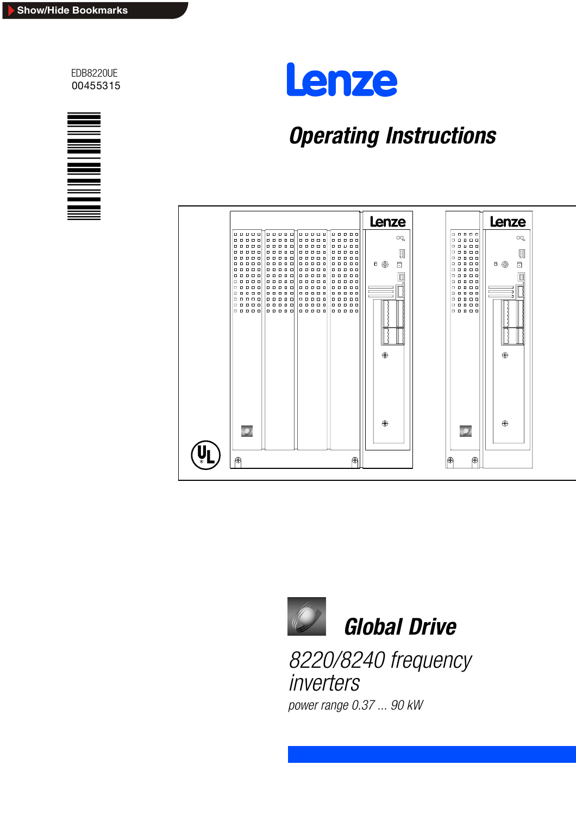**EDB8220UE** 00455315





## **Operating Instructions**





8220/8240 frequency inverters

power range 0.37 ... 90 kW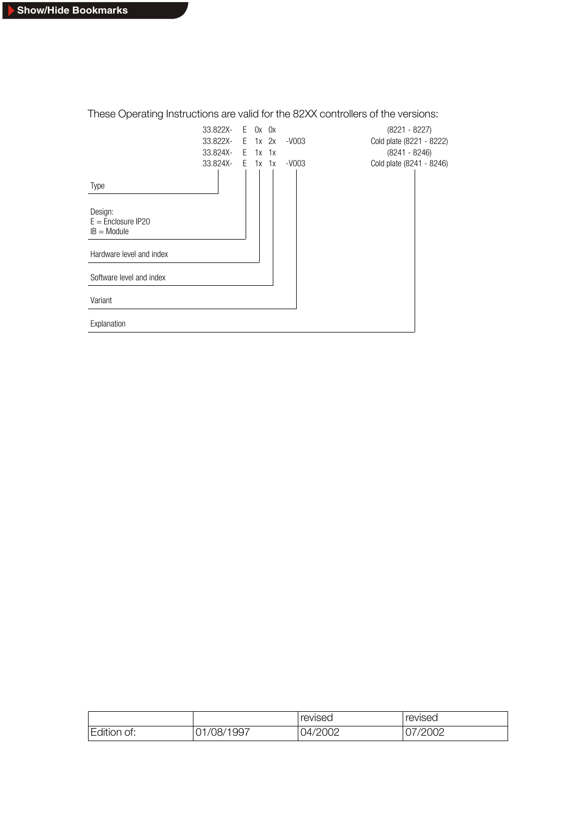| .<br>$\cdot$                    |                  |  |                          |       |                          |
|---------------------------------|------------------|--|--------------------------|-------|--------------------------|
|                                 | 33.822X- E 0x 0x |  |                          |       | $(8221 - 8227)$          |
|                                 | 33.822X- E 1x 2x |  | Cold plate (8221 - 8222) |       |                          |
|                                 | 33.824X- E 1x 1x |  |                          |       | $(8241 - 8246)$          |
|                                 | 33.824X-         |  | E 1x 1x                  | -V003 | Cold plate (8241 - 8246) |
| Type                            |                  |  |                          |       |                          |
| Design:<br>$E =$ Enclosure IP20 |                  |  |                          |       |                          |
| $IB = Module$                   |                  |  |                          |       |                          |
| Hardware level and index        |                  |  |                          |       |                          |
| Software level and index        |                  |  |                          |       |                          |
| Variant                         |                  |  |                          |       |                          |
| Explanation                     |                  |  |                          |       |                          |

These Operating Instructions are valid for the 82XX controllers of the versions:

|             |            | revised | revised |
|-------------|------------|---------|---------|
| Edition of: | 01/08/1997 | 04/2002 | 07/2002 |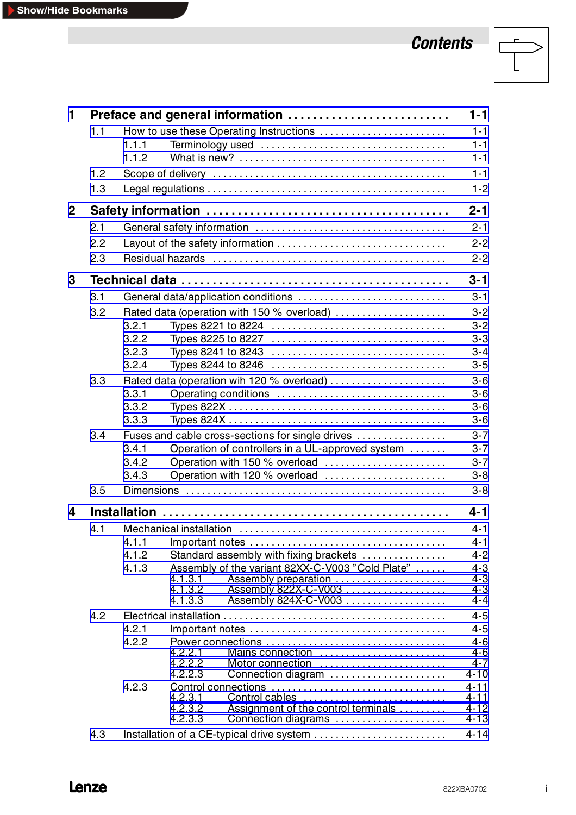## *Contents*



| 1              |            | $1 - 1$<br>Preface and general information                                                                                         |
|----------------|------------|------------------------------------------------------------------------------------------------------------------------------------|
|                | 1.1        | How to use these Operating Instructions<br>$1 - 1$<br>$1 - 1$<br>1.1.1<br>$1 - 1$<br>1.1.2                                         |
|                | 1.2<br>1.3 | $1 - 1$<br>$1 - 2$                                                                                                                 |
| $\overline{2}$ |            | $2 - 1$                                                                                                                            |
|                | 2.1        | $2 - 1$                                                                                                                            |
|                | 2.2        | $2 - 2$                                                                                                                            |
|                | 2.3        | $2 - 2$                                                                                                                            |
| 3              |            | $3 - 1$                                                                                                                            |
|                | 3.1        | $3 - 1$<br>General data/application conditions                                                                                     |
|                | 3.2        | Rated data (operation with 150 % overload)<br>$3 - 2$                                                                              |
|                |            | 3.2.1<br>$3 - 2$                                                                                                                   |
|                |            | 3.2.2<br>$3 - 3$                                                                                                                   |
|                |            | 3.2.3<br>$3 - 4$<br>3.2.4<br>$3 - 5$                                                                                               |
|                | 3.3        | $3-6$                                                                                                                              |
|                |            | Rated data (operation wih 120 % overload)<br>3.3.1<br>$3-6$<br>Operating conditions                                                |
|                |            | 3.3.2<br>$3-6$                                                                                                                     |
|                |            | 3.3.3<br>$3-6$                                                                                                                     |
|                | 3.4        | $3 - 7$<br>Fuses and cable cross-sections for single drives                                                                        |
|                |            | 3.4.1<br>Operation of controllers in a UL-approved system<br>$3 - 7$                                                               |
|                |            | 3.4.2<br>Operation with 150 % overload<br>$3 - 7$<br>3.4.3<br>Operation with 120 % overload<br>$3 - 8$                             |
|                | 3.5        | $3 - 8$                                                                                                                            |
|                |            |                                                                                                                                    |
| 4              |            | 4-1                                                                                                                                |
|                | 4.1        | $4 - 1$                                                                                                                            |
|                |            | 4.1.1<br>4-1                                                                                                                       |
|                |            | 4.1.2<br>Standard assembly with fixing brackets<br>$4 - 2$<br>4.1.3<br>Assembly of the variant 82XX-C-V003 "Cold Plate"<br>$4 - 3$ |
|                |            | $4 - 3$<br>4.1.3.1<br>Assembly preparation                                                                                         |
|                |            | Assembly 822X-C-V003<br>$4 - 3$<br>4.1.3.2<br>4.1.3.3<br>$4 - 4$                                                                   |
|                | 4.2        | Assembly 824X-C-V003<br>$4 - 5$                                                                                                    |
|                |            | $4 - 5$<br>4.2.1                                                                                                                   |
|                |            | 4.2.2<br>$4 - 6$                                                                                                                   |
|                |            | Mains connection<br>$4 - 6$<br>4.2.2.1                                                                                             |
|                |            | 4.2.2.2<br>Motor connection<br>$4 - 7$<br>$4 - 10$<br>4.2.2.3<br>Connection diagram                                                |
|                |            | $4 - 11$<br>4.2.3                                                                                                                  |
|                |            | Control cables<br>$4 - 11$<br>4.2.3.1<br>Assignment of the control terminals<br>$4 - 12$<br>4.2.3.2                                |
|                |            | $4 - 13$<br>4.2.3.3<br>Connection diagrams                                                                                         |
|                | 4.3        | $4 - 14$<br>Installation of a CE-typical drive system                                                                              |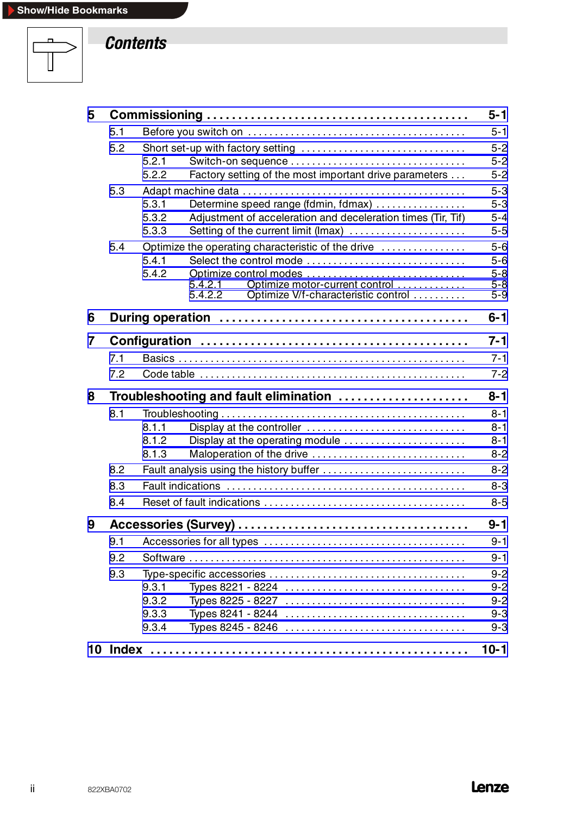

*Contents*

| 5                       |     |                                                                                                                        | 5-1                |
|-------------------------|-----|------------------------------------------------------------------------------------------------------------------------|--------------------|
|                         | 5.1 |                                                                                                                        | $5 - 1$            |
|                         | 5.2 |                                                                                                                        | $5 - 2$            |
|                         |     | 5.2.1                                                                                                                  | $5 - 2$            |
|                         |     | 5.2.2<br>Factory setting of the most important drive parameters                                                        | $5 - 2$            |
|                         | 5.3 |                                                                                                                        | $5 - 3$            |
|                         |     | Determine speed range (fdmin, fdmax)<br>5.3.1<br>5.3.2<br>Adjustment of acceleration and deceleration times (Tir, Tif) | $5 - 3$<br>$5 - 4$ |
|                         |     | 5.3.3<br>Setting of the current limit (Imax)                                                                           | $5-5$              |
|                         | 5.4 | Optimize the operating characteristic of the drive                                                                     | $5-6$              |
|                         |     | 5.4.1<br>Select the control mode                                                                                       | $5-6$              |
|                         |     | 5.4.2<br>Optimize control modes                                                                                        | $5 - 8$            |
|                         |     | Optimize motor-current control<br>5.4.2.1<br>5.4.2.2<br>Optimize V/f-characteristic control                            | $5 - 8$<br>$5 - 9$ |
|                         |     |                                                                                                                        |                    |
| 6                       |     |                                                                                                                        | $6 - 1$            |
| $\overline{\mathbf{z}}$ |     |                                                                                                                        | $7 - 1$            |
|                         | 7.1 |                                                                                                                        | $7 - 1$            |
|                         | 7.2 |                                                                                                                        | $7 - 2$            |
| 8                       |     | Troubleshooting and fault elimination                                                                                  | $8 - 1$            |
|                         | 8.1 |                                                                                                                        | $8 - 1$            |
|                         |     | 8.1.1                                                                                                                  | $8 - 1$            |
|                         |     | 8.1.2<br>Display at the operating module                                                                               | $8 - 1$            |
|                         |     | Maloperation of the drive<br>8.1.3                                                                                     | $8 - 2$            |
|                         | 8.2 |                                                                                                                        | $8 - 2$            |
|                         | 8.3 |                                                                                                                        | $8 - 3$            |
|                         | 8.4 |                                                                                                                        | $8 - 5$            |
| 9                       |     |                                                                                                                        | $9 - 1$            |
|                         | 9.1 |                                                                                                                        | $9 - 1$            |
|                         | 9.2 |                                                                                                                        | $9 - 1$            |
|                         | 9.3 |                                                                                                                        | $9 - 2$            |
|                         |     | 9.3.1                                                                                                                  | $9 - 2$            |
|                         |     | 9.3.2                                                                                                                  | $9 - 2$            |
|                         |     | 9.3.3<br>9.3.4                                                                                                         | $9 - 3$<br>$9 - 3$ |
|                         |     |                                                                                                                        |                    |
|                         |     |                                                                                                                        |                    |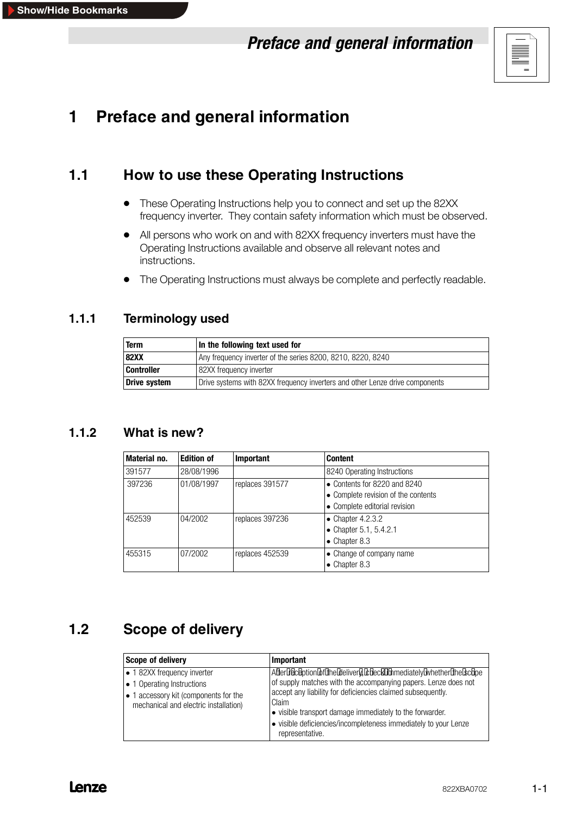## *Preface and general information*

![](_page_4_Picture_2.jpeg)

## <span id="page-4-0"></span>**1 Preface and general information**

## **1.1 How to use these Operating Instructions**

- These Operating Instructions help you to connect and set up the 82XX frequency inverter. They contain safety information which must be observed.
- All persons who work on and with 82XX frequency inverters must have the Operating Instructions available and observe all relevant notes and instructions.
- The Operating Instructions must always be complete and perfectly readable.

### **1.1.1 Terminology used**

| <b>Term</b>       | In the following text used for                                               |
|-------------------|------------------------------------------------------------------------------|
| <b>82XX</b>       | Any frequency inverter of the series 8200, 8210, 8220, 8240                  |
| <b>Controller</b> | 82XX frequency inverter                                                      |
| Drive system      | Drive systems with 82XX frequency inverters and other Lenze drive components |

### **1.1.2 What is new?**

| Material no. | <b>Edition of</b> | <b>Important</b> | Content                                                                                              |
|--------------|-------------------|------------------|------------------------------------------------------------------------------------------------------|
| 391577       | 28/08/1996        |                  | 8240 Operating Instructions                                                                          |
| 397236       | 01/08/1997        | replaces 391577  | • Contents for 8220 and 8240<br>• Complete revision of the contents<br>• Complete editorial revision |
| 452539       | 04/2002           | replaces 397236  | $\bullet$ Chapter 4.2.3.2<br>• Chapter 5.1, 5.4.2.1<br>$\bullet$ Chapter 8.3                         |
| 455315       | 07/2002           | replaces 452539  | • Change of company name<br>• Chapter $8.3$                                                          |

## **1.2 Scope of delivery**

| <b>Scope of delivery</b>                                                                                                                    | Important                                                                                                                                                                                                                                                                                                                                                        |
|---------------------------------------------------------------------------------------------------------------------------------------------|------------------------------------------------------------------------------------------------------------------------------------------------------------------------------------------------------------------------------------------------------------------------------------------------------------------------------------------------------------------|
| • 1 82XX frequency inverter<br>• 1 Operating Instructions<br>• 1 accessory kit (components for the<br>mechanical and electric installation) | After reception of the delivery, check immediately whether the scope<br>of supply matches with the accompanying papers. Lenze does not<br>accept any liability for deficiencies claimed subsequently.<br>Claim<br>• visible transport damage immediately to the forwarder.<br>• visible deficiencies/incompleteness immediately to your Lenze<br>representative. |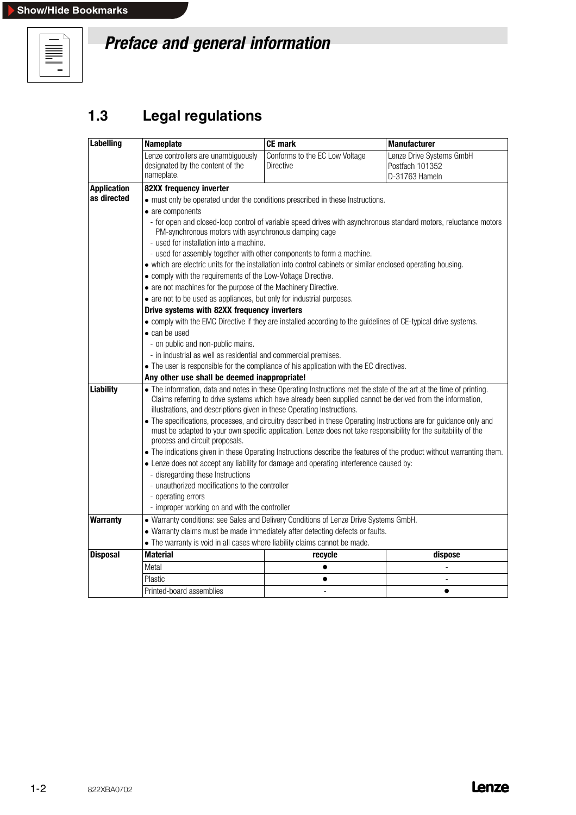<span id="page-5-0"></span>![](_page_5_Picture_1.jpeg)

## *Preface and general information*

## **1.3 Legal regulations**

| Labelling          | <b>Nameplate</b>                                                                                                                                                                                                                                                        | <b>CE mark</b>                                                                                                                                                                                                                                                                                              | <b>Manufacturer</b>      |  |  |  |  |  |  |
|--------------------|-------------------------------------------------------------------------------------------------------------------------------------------------------------------------------------------------------------------------------------------------------------------------|-------------------------------------------------------------------------------------------------------------------------------------------------------------------------------------------------------------------------------------------------------------------------------------------------------------|--------------------------|--|--|--|--|--|--|
|                    | Lenze controllers are unambiguously                                                                                                                                                                                                                                     | Conforms to the EC Low Voltage                                                                                                                                                                                                                                                                              | Lenze Drive Systems GmbH |  |  |  |  |  |  |
|                    | designated by the content of the                                                                                                                                                                                                                                        | <b>Directive</b>                                                                                                                                                                                                                                                                                            | Postfach 101352          |  |  |  |  |  |  |
|                    | nameplate.                                                                                                                                                                                                                                                              |                                                                                                                                                                                                                                                                                                             | D-31763 Hameln           |  |  |  |  |  |  |
| <b>Application</b> | 82XX frequency inverter                                                                                                                                                                                                                                                 |                                                                                                                                                                                                                                                                                                             |                          |  |  |  |  |  |  |
| as directed        | • must only be operated under the conditions prescribed in these Instructions.                                                                                                                                                                                          |                                                                                                                                                                                                                                                                                                             |                          |  |  |  |  |  |  |
|                    | • are components                                                                                                                                                                                                                                                        |                                                                                                                                                                                                                                                                                                             |                          |  |  |  |  |  |  |
|                    | - for open and closed-loop control of variable speed drives with asynchronous standard motors, reluctance motors<br>PM-synchronous motors with asynchronous damping cage<br>- used for installation into a machine.                                                     |                                                                                                                                                                                                                                                                                                             |                          |  |  |  |  |  |  |
|                    | - used for assembly together with other components to form a machine.                                                                                                                                                                                                   |                                                                                                                                                                                                                                                                                                             |                          |  |  |  |  |  |  |
|                    | • which are electric units for the installation into control cabinets or similar enclosed operating housing.                                                                                                                                                            |                                                                                                                                                                                                                                                                                                             |                          |  |  |  |  |  |  |
|                    |                                                                                                                                                                                                                                                                         | • comply with the requirements of the Low-Voltage Directive.                                                                                                                                                                                                                                                |                          |  |  |  |  |  |  |
|                    | • are not machines for the purpose of the Machinery Directive.                                                                                                                                                                                                          |                                                                                                                                                                                                                                                                                                             |                          |  |  |  |  |  |  |
|                    | • are not to be used as appliances, but only for industrial purposes.                                                                                                                                                                                                   |                                                                                                                                                                                                                                                                                                             |                          |  |  |  |  |  |  |
|                    | Drive systems with 82XX frequency inverters                                                                                                                                                                                                                             |                                                                                                                                                                                                                                                                                                             |                          |  |  |  |  |  |  |
|                    | • comply with the EMC Directive if they are installed according to the guidelines of CE-typical drive systems.                                                                                                                                                          |                                                                                                                                                                                                                                                                                                             |                          |  |  |  |  |  |  |
|                    | • can be used                                                                                                                                                                                                                                                           |                                                                                                                                                                                                                                                                                                             |                          |  |  |  |  |  |  |
|                    | - on public and non-public mains.                                                                                                                                                                                                                                       |                                                                                                                                                                                                                                                                                                             |                          |  |  |  |  |  |  |
|                    | - in industrial as well as residential and commercial premises.                                                                                                                                                                                                         |                                                                                                                                                                                                                                                                                                             |                          |  |  |  |  |  |  |
|                    |                                                                                                                                                                                                                                                                         | • The user is responsible for the compliance of his application with the EC directives.                                                                                                                                                                                                                     |                          |  |  |  |  |  |  |
|                    | Any other use shall be deemed inappropriate!                                                                                                                                                                                                                            |                                                                                                                                                                                                                                                                                                             |                          |  |  |  |  |  |  |
| <b>Liability</b>   |                                                                                                                                                                                                                                                                         | • The information, data and notes in these Operating Instructions met the state of the art at the time of printing.<br>Claims referring to drive systems which have already been supplied cannot be derived from the information,<br>illustrations, and descriptions given in these Operating Instructions. |                          |  |  |  |  |  |  |
|                    | • The specifications, processes, and circuitry described in these Operating Instructions are for guidance only and<br>must be adapted to your own specific application. Lenze does not take responsibility for the suitability of the<br>process and circuit proposals. |                                                                                                                                                                                                                                                                                                             |                          |  |  |  |  |  |  |
|                    | • The indications given in these Operating Instructions describe the features of the product without warranting them.                                                                                                                                                   |                                                                                                                                                                                                                                                                                                             |                          |  |  |  |  |  |  |
|                    | • Lenze does not accept any liability for damage and operating interference caused by:                                                                                                                                                                                  |                                                                                                                                                                                                                                                                                                             |                          |  |  |  |  |  |  |
|                    | - disregarding these Instructions                                                                                                                                                                                                                                       |                                                                                                                                                                                                                                                                                                             |                          |  |  |  |  |  |  |
|                    | - unauthorized modifications to the controller                                                                                                                                                                                                                          |                                                                                                                                                                                                                                                                                                             |                          |  |  |  |  |  |  |
|                    | - operating errors                                                                                                                                                                                                                                                      |                                                                                                                                                                                                                                                                                                             |                          |  |  |  |  |  |  |
|                    | - improper working on and with the controller                                                                                                                                                                                                                           |                                                                                                                                                                                                                                                                                                             |                          |  |  |  |  |  |  |
| <b>Warranty</b>    | • Warranty conditions: see Sales and Delivery Conditions of Lenze Drive Systems GmbH.                                                                                                                                                                                   |                                                                                                                                                                                                                                                                                                             |                          |  |  |  |  |  |  |
|                    | • Warranty claims must be made immediately after detecting defects or faults.                                                                                                                                                                                           |                                                                                                                                                                                                                                                                                                             |                          |  |  |  |  |  |  |
|                    | • The warranty is void in all cases where liability claims cannot be made.                                                                                                                                                                                              |                                                                                                                                                                                                                                                                                                             |                          |  |  |  |  |  |  |
| <b>Disposal</b>    | <b>Material</b>                                                                                                                                                                                                                                                         | recycle                                                                                                                                                                                                                                                                                                     | dispose                  |  |  |  |  |  |  |
|                    | Metal                                                                                                                                                                                                                                                                   | $\bullet$                                                                                                                                                                                                                                                                                                   |                          |  |  |  |  |  |  |
|                    | Plastic                                                                                                                                                                                                                                                                 | $\bullet$                                                                                                                                                                                                                                                                                                   |                          |  |  |  |  |  |  |
|                    | Printed-board assemblies                                                                                                                                                                                                                                                |                                                                                                                                                                                                                                                                                                             |                          |  |  |  |  |  |  |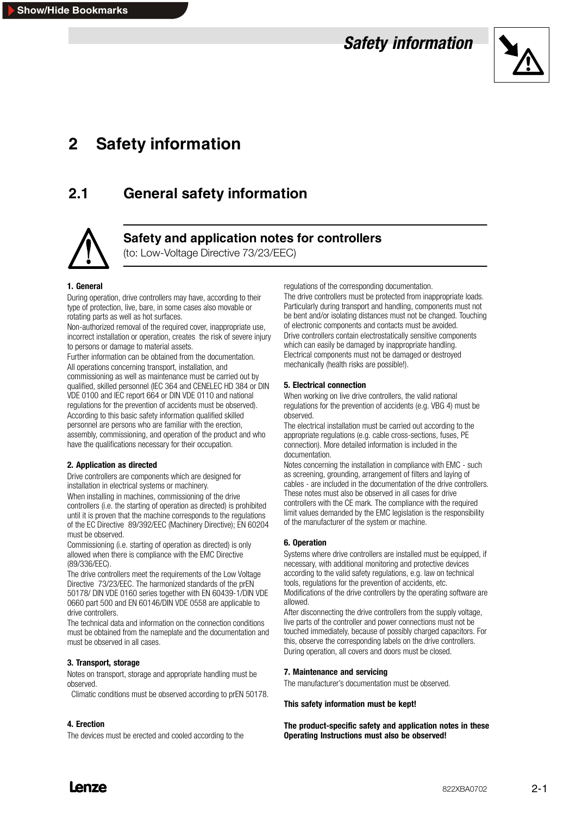## *Safety information*

![](_page_6_Picture_2.jpeg)

## <span id="page-6-0"></span>**2 Safety information**

### **2.1 General safety information**

![](_page_6_Picture_5.jpeg)

### **Safety and application notes for controllers**

(to: Low-Voltage Directive 73/23/EEC)

### **1. General**

During operation, drive controllers may have, according to their type of protection, live, bare, in some cases also movable or rotating parts as well as hot surfaces.

Non-authorized removal of the required cover, inappropriate use, incorrect installation or operation, creates the risk of severe injury to persons or damage to material assets.

Further information can be obtained from the documentation. All operations concerning transport, installation, and commissioning as well as maintenance must be carried out by qualified, skilled personnel (IEC 364 and CENELEC HD 384 or DIN VDE 0100 and IEC report 664 or DIN VDE 0110 and national regulations for the prevention of accidents must be observed). According to this basic safety information qualified skilled personnel are persons who are familiar with the erection, assembly, commissioning, and operation of the product and who have the qualifications necessary for their occupation.

### **2. Application as directed**

Drive controllers are components which are designed for installation in electrical systems or machinery.

When installing in machines, commissioning of the drive controllers (i.e. the starting of operation as directed) is prohibited until it is proven that the machine corresponds to the regulations of the EC Directive 89/392/EEC (Machinery Directive); EN 60204 must be observed.

Commissioning (i.e. starting of operation as directed) is only allowed when there is compliance with the EMC Directive (89/336/EEC).

The drive controllers meet the requirements of the Low Voltage Directive 73/23/EEC. The harmonized standards of the prEN 50178/ DIN VDE 0160 series together with EN 60439-1/DIN VDE 0660 part 500 and EN 60146/DIN VDE 0558 are applicable to drive controllers.

The technical data and information on the connection conditions must be obtained from the nameplate and the documentation and must be observed in all cases.

### **3. Transport, storage**

Notes on transport, storage and appropriate handling must be observed.

Climatic conditions must be observed according to prEN 50178.

### **4. Erection**

The devices must be erected and cooled according to the

regulations of the corresponding documentation.

The drive controllers must be protected from inappropriate loads. Particularly during transport and handling, components must not be bent and/or isolating distances must not be changed. Touching of electronic components and contacts must be avoided. Drive controllers contain electrostatically sensitive components which can easily be damaged by inappropriate handling. Electrical components must not be damaged or destroyed mechanically (health risks are possible!).

### **5. Electrical connection**

When working on live drive controllers, the valid national regulations for the prevention of accidents (e.g. VBG 4) must be observed.

The electrical installation must be carried out according to the appropriate regulations (e.g. cable cross-sections, fuses, PE connection). More detailed information is included in the documentation.

Notes concerning the installation in compliance with EMC - such as screening, grounding, arrangement of filters and laying of cables - are included in the documentation of the drive controllers. These notes must also be observed in all cases for drive controllers with the CE mark. The compliance with the required limit values demanded by the EMC legislation is the responsibility of the manufacturer of the system or machine.

### **6. Operation**

Systems where drive controllers are installed must be equipped, if necessary, with additional monitoring and protective devices according to the valid safety regulations, e.g. law on technical tools, regulations for the prevention of accidents, etc. Modifications of the drive controllers by the operating software are allowed.

After disconnecting the drive controllers from the supply voltage, live parts of the controller and power connections must not be touched immediately, because of possibly charged capacitors. For this, observe the corresponding labels on the drive controllers. During operation, all covers and doors must be closed.

### **7. Maintenance and servicing**

The manufacturer's documentation must be observed.

### **This safety information must be kept!**

**The product-specific safety and application notes in these Operating Instructions must also be observed!**

![](_page_6_Picture_36.jpeg)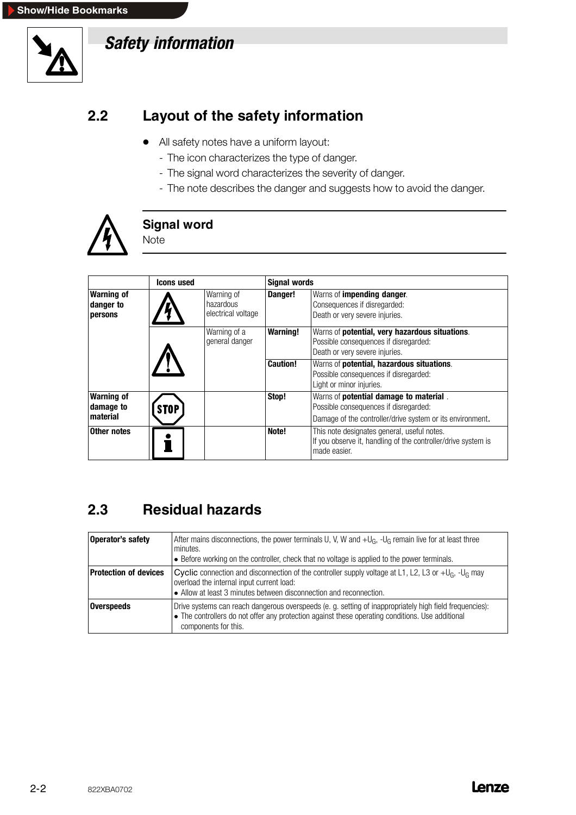<span id="page-7-0"></span>![](_page_7_Picture_1.jpeg)

## *Safety information*

## **2.2 Layout of the safety information**

- All safety notes have a uniform layout:
	- The icon characterizes the type of danger.
	- The signal word characterizes the severity of danger.
	- The note describes the danger and suggests how to avoid the danger.

![](_page_7_Picture_8.jpeg)

### **Signal word** Note

|                                            | <b>Icons used</b> |                                               | <b>Signal words</b> |                                                                                                                                              |  |  |  |
|--------------------------------------------|-------------------|-----------------------------------------------|---------------------|----------------------------------------------------------------------------------------------------------------------------------------------|--|--|--|
| <b>Warning of</b><br>danger to<br>persons  |                   | Warning of<br>hazardous<br>electrical voltage | Danger!             | Warns of <i>impending danger</i> .<br>Consequences if disregarded:<br>Death or very severe injuries.                                         |  |  |  |
|                                            |                   | Warning of a<br>general danger                | <b>Warning!</b>     | Warns of potential, very hazardous situations.<br>Possible consequences if disregarded:<br>Death or very severe injuries.                    |  |  |  |
|                                            |                   |                                               | Caution!            | Warns of potential, hazardous situations.<br>Possible consequences if disregarded:<br>Light or minor injuries.                               |  |  |  |
| <b>Warning of</b><br>damage to<br>material |                   |                                               | Stop!               | Warns of potential damage to material.<br>Possible consequences if disregarded:<br>Damage of the controller/drive system or its environment. |  |  |  |
| Other notes                                |                   |                                               | Note!               | This note designates general, useful notes.<br>If you observe it, handling of the controller/drive system is<br>made easier.                 |  |  |  |

## **2.3 Residual hazards**

| Operator's safety            | After mains disconnections, the power terminals U, V, W and $+U_G$ , $-U_G$ remain live for at least three<br>minutes.<br>• Before working on the controller, check that no voltage is applied to the power terminals.              |
|------------------------------|-------------------------------------------------------------------------------------------------------------------------------------------------------------------------------------------------------------------------------------|
| <b>Protection of devices</b> | <b>Cyclic</b> connection and disconnection of the controller supply voltage at L1, L2, L3 or $+U_G$ , $-U_G$ may<br>overload the internal input current load:<br>Allow at least 3 minutes between disconnection and reconnection.   |
| <b>Overspeeds</b>            | Drive systems can reach dangerous overspeeds (e. g. setting of inappropriately high field frequencies):<br>• The controllers do not offer any protection against these operating conditions. Use additional<br>components for this. |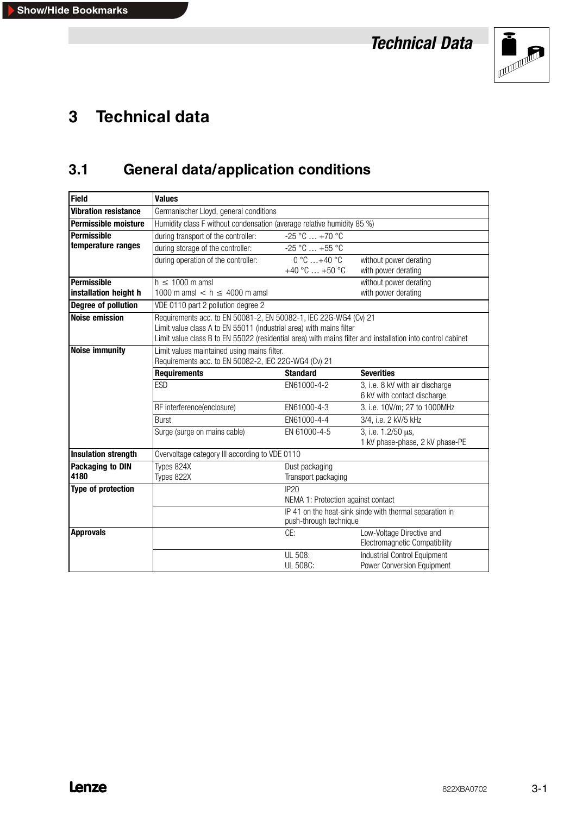![](_page_8_Picture_2.jpeg)

## <span id="page-8-0"></span>**3.1 General data/application conditions**

| Field                       | <b>Values</b>                                                                                              |                                                               |                                                                |  |  |  |  |
|-----------------------------|------------------------------------------------------------------------------------------------------------|---------------------------------------------------------------|----------------------------------------------------------------|--|--|--|--|
| <b>Vibration resistance</b> | Germanischer Lloyd, general conditions                                                                     |                                                               |                                                                |  |  |  |  |
| Permissible moisture        | Humidity class F without condensation (average relative humidity 85 %)                                     |                                                               |                                                                |  |  |  |  |
| Permissible                 | during transport of the controller:                                                                        | $-25 °C  +70 °C$                                              |                                                                |  |  |  |  |
| temperature ranges          | during storage of the controller:                                                                          | $-25 °C  +55 °C$                                              |                                                                |  |  |  |  |
|                             | during operation of the controller:                                                                        | $0^\circ C$ +40 $^\circ C$                                    | without power derating                                         |  |  |  |  |
|                             |                                                                                                            | $+40 °C  +50 °C$                                              | with power derating                                            |  |  |  |  |
| Permissible                 | $h \leq 1000$ m amsl                                                                                       | without power derating                                        |                                                                |  |  |  |  |
| installation height h       |                                                                                                            | with power derating<br>1000 m amsl $\lt$ h $\leq$ 4000 m amsl |                                                                |  |  |  |  |
| Degree of pollution         | VDE 0110 part 2 pollution degree 2                                                                         |                                                               |                                                                |  |  |  |  |
| <b>Noise emission</b>       | Requirements acc. to EN 50081-2, EN 50082-1, IEC 22G-WG4 (Cv) 21                                           |                                                               |                                                                |  |  |  |  |
|                             | Limit value class A to EN 55011 (industrial area) with mains filter                                        |                                                               |                                                                |  |  |  |  |
|                             | Limit value class B to EN 55022 (residential area) with mains filter and installation into control cabinet |                                                               |                                                                |  |  |  |  |
| <b>Noise immunity</b>       | Limit values maintained using mains filter.<br>Requirements acc. to EN 50082-2, IEC 22G-WG4 (Cv) 21        |                                                               |                                                                |  |  |  |  |
|                             |                                                                                                            | <b>Severities</b>                                             |                                                                |  |  |  |  |
|                             | <b>Requirements</b>                                                                                        | <b>Standard</b>                                               |                                                                |  |  |  |  |
|                             | <b>FSD</b>                                                                                                 | EN61000-4-2                                                   | 3, i.e. 8 kV with air discharge<br>6 kV with contact discharge |  |  |  |  |
|                             |                                                                                                            |                                                               |                                                                |  |  |  |  |
|                             |                                                                                                            |                                                               |                                                                |  |  |  |  |
|                             | RF interference(enclosure)                                                                                 | EN61000-4-3                                                   | 3, i.e. 10V/m; 27 to 1000MHz                                   |  |  |  |  |
|                             | Burst                                                                                                      | EN61000-4-4                                                   | 3/4, i.e. 2 kV/5 kHz                                           |  |  |  |  |
|                             | Surge (surge on mains cable)                                                                               | EN 61000-4-5                                                  | 3, i.e. 1.2/50 µs,                                             |  |  |  |  |
|                             |                                                                                                            |                                                               | 1 kV phase-phase, 2 kV phase-PE                                |  |  |  |  |
| <b>Insulation strength</b>  | Overvoltage category III according to VDE 0110                                                             |                                                               |                                                                |  |  |  |  |
| Packaging to DIN            | Types 824X                                                                                                 | Dust packaging                                                |                                                                |  |  |  |  |
| 4180                        | Types 822X                                                                                                 | Transport packaging                                           |                                                                |  |  |  |  |
| <b>Type of protection</b>   |                                                                                                            | <b>IP20</b>                                                   |                                                                |  |  |  |  |
|                             |                                                                                                            | NEMA 1: Protection against contact                            |                                                                |  |  |  |  |
|                             |                                                                                                            |                                                               | IP 41 on the heat-sink sinde with thermal separation in        |  |  |  |  |
|                             |                                                                                                            | push-through technique                                        |                                                                |  |  |  |  |
|                             |                                                                                                            | CE:                                                           | Low-Voltage Directive and<br>Electromagnetic Compatibility     |  |  |  |  |
| <b>Approvals</b>            |                                                                                                            | UL 508:<br><b>UL 508C:</b>                                    | Industrial Control Equipment<br>Power Conversion Equipment     |  |  |  |  |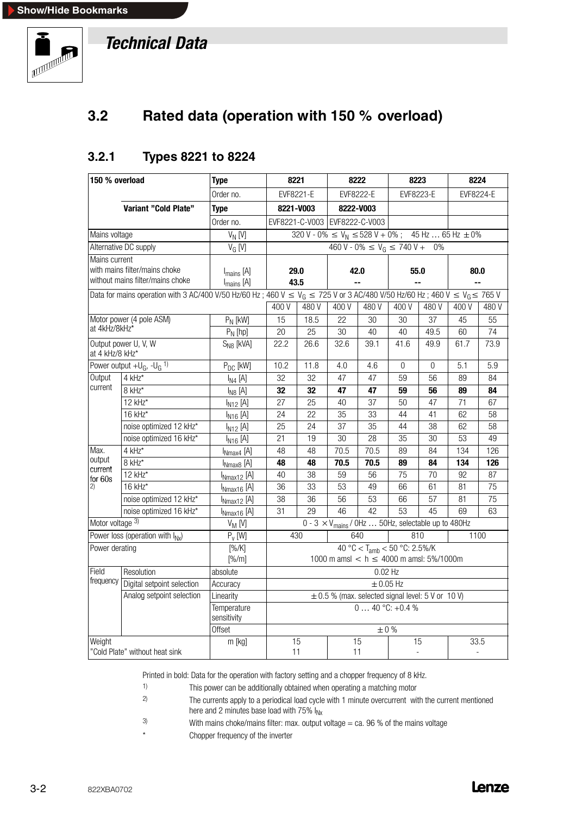<span id="page-9-0"></span>![](_page_9_Picture_1.jpeg)

## **3.2 Rated data (operation with 150 % overload)**

### **3.2.1 Types 8221 to 8224**

| 150 % overload    |                                                                                                                                                                    | <b>Type</b>                | 8221                                                        |                                                                                      |                                                                | 8222                                                        |                                                       | 8223           |                                  | 8224  |  |
|-------------------|--------------------------------------------------------------------------------------------------------------------------------------------------------------------|----------------------------|-------------------------------------------------------------|--------------------------------------------------------------------------------------|----------------------------------------------------------------|-------------------------------------------------------------|-------------------------------------------------------|----------------|----------------------------------|-------|--|
|                   |                                                                                                                                                                    | Order no.                  |                                                             | EVF8221-E                                                                            | EVF8222-E                                                      |                                                             | EVF8223-E                                             |                | EVF8224-E                        |       |  |
|                   | Variant "Cold Plate"                                                                                                                                               | <b>Type</b>                |                                                             | 8221-V003                                                                            | 8222-V003                                                      |                                                             |                                                       |                |                                  |       |  |
|                   |                                                                                                                                                                    | Order no.                  |                                                             |                                                                                      | EVF8221-C-V003 EVF8222-C-V003                                  |                                                             |                                                       |                |                                  |       |  |
| Mains voltage     |                                                                                                                                                                    | $V_N$ [V]                  |                                                             | $320 \text{ V} \cdot 0\% \leq V_N \leq 528 \text{ V} + 0\%$ ; 45 Hz  65 Hz $\pm 0\%$ |                                                                |                                                             |                                                       |                |                                  |       |  |
|                   | Alternative DC supply                                                                                                                                              | $V_G$ [V]                  |                                                             |                                                                                      |                                                                | $460 \text{ V} \cdot 0\% \leq V_G \leq 740 \text{ V} + 0\%$ |                                                       |                |                                  |       |  |
| Mains current     |                                                                                                                                                                    |                            |                                                             |                                                                                      |                                                                |                                                             |                                                       |                |                                  |       |  |
|                   | with mains filter/mains choke                                                                                                                                      | $I_{\text{mains}}[A]$      | 29.0                                                        |                                                                                      | 42.0                                                           |                                                             | 55.0                                                  |                | 80.0                             |       |  |
|                   | without mains filter/mains choke                                                                                                                                   | $I_{\text{mains}}$ [A]     | 43.5                                                        |                                                                                      |                                                                |                                                             |                                                       |                |                                  |       |  |
|                   | Data for mains operation with 3 AC/400 V/50 Hz/60 Hz; 460 V $\leq$ V <sub>G</sub> $\leq$ 725 V or 3 AC/480 V/50 Hz/60 Hz; 460 V $\leq$ V <sub>G</sub> $\leq$ 765 V |                            |                                                             |                                                                                      |                                                                |                                                             |                                                       |                |                                  |       |  |
|                   |                                                                                                                                                                    |                            | 400 V                                                       | 480 V                                                                                | 400 V                                                          | 480 V                                                       | 400 V                                                 | 480V           | 400 V                            | 480 V |  |
|                   | Motor power (4 pole ASM)                                                                                                                                           | $P_N$ [kW]                 | 15                                                          | 18.5                                                                                 | 22                                                             | 30                                                          | 30                                                    | 37             | 45                               | 55    |  |
| at 4kHz/8kHz*     |                                                                                                                                                                    | $P_N$ [hp]                 | 20                                                          | 25                                                                                   | 30                                                             | 40                                                          | 40                                                    | 49.5           | 60                               | 74    |  |
| at 4 kHz/8 kHz*   | Output power U, V, W                                                                                                                                               | $S_{N8}$ [kVA]             | 22.2                                                        | 26.6                                                                                 | 32.6                                                           | 39.1                                                        | 41.6                                                  | 49.9           | 61.7                             | 73.9  |  |
|                   | Power output $+U_G$ , $-U_G$ <sup>1)</sup>                                                                                                                         | P <sub>DC</sub> [kW]       | 10.2                                                        | 11.8                                                                                 | 4.0                                                            | 4.6                                                         | $\overline{0}$                                        | $\overline{0}$ | 5.1                              | 5.9   |  |
| Output            | 4 kHz*                                                                                                                                                             | $I_{N4}$ [A]               | 32                                                          | 32                                                                                   | 47                                                             | 47                                                          | 59                                                    | 56             | 89                               | 84    |  |
| current           | 8 kHz*                                                                                                                                                             | $I_{N8}$ [A]               | 32                                                          | 32                                                                                   | 47                                                             | 47                                                          | 59                                                    | 56             | 89                               | 84    |  |
|                   | 12 kHz*                                                                                                                                                            | $I_{N12}$ [A]              | 27                                                          | 25                                                                                   | 40                                                             | 37                                                          | 50                                                    | 47             | 71                               | 67    |  |
|                   | 16 kHz*                                                                                                                                                            | $I_{N16}$ [A]              | 24                                                          | $\overline{22}$                                                                      | 35                                                             | 33                                                          | 44                                                    | 41             | 62                               | 58    |  |
|                   | noise optimized 12 kHz*                                                                                                                                            | $I_{N12}$ [A]              | 25                                                          | 24                                                                                   | 37                                                             | 35                                                          | 44                                                    | 38             | 62                               | 58    |  |
|                   | noise optimized 16 kHz*                                                                                                                                            | $I_{N16}$ [A]              | 21                                                          | 19                                                                                   | 30                                                             | 28                                                          | 35                                                    | 30             | 53                               | 49    |  |
| Max.              | 4 kHz*                                                                                                                                                             | I <sub>Nmax</sub> 4 [A]    | 48                                                          | 48                                                                                   | 70.5                                                           | 70.5                                                        | 89                                                    | 84             | 134                              | 126   |  |
| output<br>current | 8 kHz*                                                                                                                                                             | $I_{Nmax8}$ [A]            | 48                                                          | 48                                                                                   | 70.5                                                           | 70.5                                                        | 89                                                    | 84             | 134                              | 126   |  |
| for $60s$         | 12 kHz*                                                                                                                                                            | $I_{Nmax12}$ [A]           | 40                                                          | 38                                                                                   | 59                                                             | 56                                                          | 75                                                    | 70             | 92                               | 87    |  |
| 2)                | 16 kHz*                                                                                                                                                            | $I_{Nmax16}$ [A]           | 36                                                          | 33                                                                                   | 53                                                             | 49                                                          | 66                                                    | 61             | 81                               | 75    |  |
|                   | noise optimized 12 kHz*                                                                                                                                            | $I_{Nmax12}$ [A]           | 38                                                          | 36                                                                                   | 56                                                             | 53                                                          | 66                                                    | 57             | 81                               | 75    |  |
|                   | noise optimized 16 kHz*                                                                                                                                            | $I_{Nmax16}$ [A]           | 31                                                          | 29                                                                                   | 46                                                             | 42                                                          | $\overline{53}$                                       | 45             | 69                               | 63    |  |
| Motor voltage 3)  |                                                                                                                                                                    | $V_M$ [V]                  |                                                             |                                                                                      | 0 - 3 × V <sub>mains</sub> / 0Hz  50Hz, selectable up to 480Hz |                                                             |                                                       |                |                                  |       |  |
|                   | Power loss (operation with $I_{Nx}$ )                                                                                                                              | $P_V$ [W]                  |                                                             | 430                                                                                  | 640                                                            |                                                             | 1100<br>810                                           |                |                                  |       |  |
| Power derating    |                                                                                                                                                                    | [%K]<br>[%/m]              |                                                             |                                                                                      |                                                                | 40 °C < T <sub>amb</sub> < 50 °C: 2.5%/K                    |                                                       |                |                                  |       |  |
| Field             | Resolution                                                                                                                                                         | absolute                   | 1000 m amsl $\lt h \leq 4000$ m amsl: 5%/1000m<br>$0.02$ Hz |                                                                                      |                                                                |                                                             |                                                       |                |                                  |       |  |
| frequency         | Digital setpoint selection                                                                                                                                         | Accuracy                   |                                                             |                                                                                      | $\pm$ 0.05 Hz                                                  |                                                             |                                                       |                |                                  |       |  |
|                   | Analog setpoint selection                                                                                                                                          | Linearity                  |                                                             |                                                                                      |                                                                |                                                             | $\pm$ 0.5 % (max. selected signal level: 5 V or 10 V) |                |                                  |       |  |
|                   |                                                                                                                                                                    | Temperature<br>sensitivity |                                                             |                                                                                      |                                                                | $040$ °C: +0.4 %                                            |                                                       |                |                                  |       |  |
|                   |                                                                                                                                                                    | <b>Offset</b>              |                                                             |                                                                                      |                                                                | $\pm 0\%$                                                   |                                                       |                |                                  |       |  |
| Weight            | "Cold Plate" without heat sink                                                                                                                                     | $m$ [kg]                   |                                                             | 15<br>11                                                                             | 15<br>11                                                       |                                                             | 15<br>$\Box$                                          |                | 33.5<br>$\overline{\phantom{a}}$ |       |  |
|                   |                                                                                                                                                                    |                            |                                                             |                                                                                      |                                                                |                                                             |                                                       |                |                                  |       |  |

Printed in bold: Data for the operation with factory setting and a chopper frequency of 8 kHz.

1) This power can be additionally obtained when operating a matching motor

- 2) The currents apply to a periodical load cycle with 1 minute overcurrent with the current mentioned here and 2 minutes base load with  $75\%$   $I_{Nx}$
- $3$  With mains choke/mains filter: max. output voltage = ca. 96 % of the mains voltage
- \* Chopper frequency of the inverter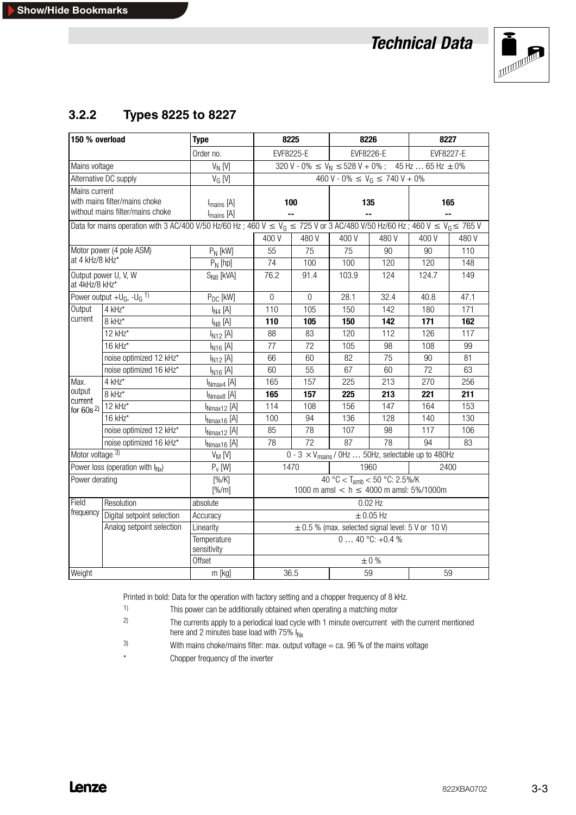![](_page_10_Picture_2.jpeg)

### <span id="page-10-0"></span>**3.2.2 Types 8225 to 8227**

| 150 % overload    |                                                                                                                                                                    | <b>Type</b>                                    | 8225           |                                                    | 8226                                                                                 |                  | 8227      |       |  |
|-------------------|--------------------------------------------------------------------------------------------------------------------------------------------------------------------|------------------------------------------------|----------------|----------------------------------------------------|--------------------------------------------------------------------------------------|------------------|-----------|-------|--|
|                   |                                                                                                                                                                    | Order no.                                      | EVF8225-E      |                                                    | EVF8226-E                                                                            |                  | EVF8227-E |       |  |
| Mains voltage     |                                                                                                                                                                    | $V_N$ [V]                                      |                |                                                    | $320 \text{ V} - 0\% \leq V_N \leq 528 \text{ V} + 0\%$ ; 45 Hz  65 Hz $\pm 0\%$     |                  |           |       |  |
|                   | Alternative DC supply                                                                                                                                              | $V_G$ [V]                                      |                | 460 V - 0% $\leq$ V <sub>G</sub> $\leq$ 740 V + 0% |                                                                                      |                  |           |       |  |
| Mains current     | with mains filter/mains choke<br>without mains filter/mains choke                                                                                                  | $I_{\text{mains}}[A]$<br>$I_{\text{mains}}[A]$ |                | 100                                                |                                                                                      | 135              | 165       |       |  |
|                   | Data for mains operation with 3 AC/400 V/50 Hz/60 Hz; 460 V $\leq$ V <sub>G</sub> $\leq$ 725 V or 3 AC/480 V/50 Hz/60 Hz; 460 V $\leq$ V <sub>G</sub> $\leq$ 765 V |                                                |                |                                                    |                                                                                      |                  |           |       |  |
|                   |                                                                                                                                                                    |                                                | 400 V          | 480 V                                              | 400 V                                                                                | 480V             | 400 V     | 480 V |  |
|                   | Motor power (4 pole ASM)                                                                                                                                           | $P_N$ [kW]                                     | 55             | 75                                                 | 75                                                                                   | 90               | 90        | 110   |  |
| at 4 kHz/8 kHz*   |                                                                                                                                                                    | $P_N$ [hp]                                     | 74             | 100                                                | 100                                                                                  | 120              | 120       | 148   |  |
| at 4kHz/8 kHz*    | Output power U, V, W                                                                                                                                               | S <sub>N8</sub> [kVA]                          | 76.2           | 91.4                                               | 103.9                                                                                | 124              | 124.7     | 149   |  |
|                   | Power output $+U_G$ , $-U_G$ <sup>1)</sup>                                                                                                                         | $P_{DC}$ [kW]                                  | $\overline{0}$ | $\overline{0}$                                     | 28.1                                                                                 | 32.4             | 40.8      | 47.1  |  |
| Output            | 4 kHz*                                                                                                                                                             | $I_{N4}$ [A]                                   | 110            | 105                                                | 150                                                                                  | 142              | 180       | 171   |  |
| current           | 8 kHz*                                                                                                                                                             | $I_{N8}$ [A]                                   | 110            | 105                                                | 150                                                                                  | 142              | 171       | 162   |  |
|                   | 12 kHz*                                                                                                                                                            | $I_{N12}$ [A]                                  | 88             | 83                                                 | 120                                                                                  | 112              | 126       | 117   |  |
|                   | 16 kHz*                                                                                                                                                            | $I_{N16}$ [A]                                  | 77             | 72                                                 | 105                                                                                  | 98               | 108       | 99    |  |
|                   | noise optimized 12 kHz*                                                                                                                                            | I <sub>N12</sub> [A]                           | 66             | 60                                                 | 82                                                                                   | 75               | 90        | 81    |  |
|                   | noise optimized 16 kHz*                                                                                                                                            | $I_{N16}$ [A]                                  | 60             | 55                                                 | 67                                                                                   | 60               | 72        | 63    |  |
| Max.              | 4 kHz*                                                                                                                                                             | I <sub>Nmax4</sub> [A]                         | 165            | 157                                                | 225                                                                                  | 213              | 270       | 256   |  |
| output<br>current | 8 kHz*                                                                                                                                                             | $I_{Nmax8}$ [A]                                | 165            | 157                                                | 225                                                                                  | 213              | 221       | 211   |  |
| for $60s$ $2)$    | 12 kHz*                                                                                                                                                            | I <sub>Nmax12</sub> [A]                        | 114            | 108                                                | 156                                                                                  | 147              | 164       | 153   |  |
|                   | 16 kHz*                                                                                                                                                            | $I_{Nmax16}$ [A]                               | 100            | 94                                                 | 136                                                                                  | 128              | 140       | 130   |  |
|                   | noise optimized 12 kHz*                                                                                                                                            | $I_{Nmax12}$ [A]                               | 85             | 78                                                 | 107                                                                                  | 98               | 117       | 106   |  |
|                   | noise optimized 16 kHz*                                                                                                                                            | $I_{Nmax16}$ [A]                               | 78             | 72                                                 | 87                                                                                   | 78               | 94        | 83    |  |
| Motor voltage 3)  |                                                                                                                                                                    | $V_M$ [V]                                      |                |                                                    | 0 - 3 $\times$ V <sub>mains</sub> / 0Hz  50Hz, selectable up to 480Hz                |                  |           |       |  |
|                   | Power loss (operation with $I_{Nx}$ )                                                                                                                              | $P_V$ [W]                                      | 1470           |                                                    | 1960                                                                                 |                  | 2400      |       |  |
| Power derating    |                                                                                                                                                                    | [% / K]<br>[%/m]                               |                |                                                    | $40 °C < T_{amb} < 50 °C$ : 2.5%/K<br>1000 m amsl $\lt h \leq 4000$ m amsl: 5%/1000m |                  |           |       |  |
| Field             | Resolution                                                                                                                                                         | absolute                                       |                |                                                    |                                                                                      | 0.02 Hz          |           |       |  |
| frequency         | Digital setpoint selection                                                                                                                                         | Accuracy                                       |                |                                                    |                                                                                      | $\pm$ 0.05 Hz    |           |       |  |
|                   | Analog setpoint selection                                                                                                                                          | Linearity                                      |                |                                                    | $\pm$ 0.5 % (max. selected signal level: 5 V or 10 V)                                |                  |           |       |  |
|                   |                                                                                                                                                                    | Temperature<br>sensitivity                     |                |                                                    |                                                                                      | $040$ °C: +0.4 % |           |       |  |
|                   |                                                                                                                                                                    | Offset                                         |                |                                                    |                                                                                      | $\pm$ 0 %        |           |       |  |
| Weight            |                                                                                                                                                                    | m [kg]                                         | 36.5           |                                                    | 59                                                                                   |                  | 59        |       |  |

Printed in bold: Data for the operation with factory setting and a chopper frequency of 8 kHz.

1) This power can be additionally obtained when operating a matching motor<br>2) The currents apply to a periodical load cycle with 1 minute overcurrent with

The currents apply to a periodical load cycle with 1 minute overcurrent with the current mentioned here and 2 minutes base load with  $75\%$   $I_{\text{Nx}}$ 

 $3$  With mains choke/mains filter: max. output voltage = ca. 96 % of the mains voltage

\* Chopper frequency of the inverter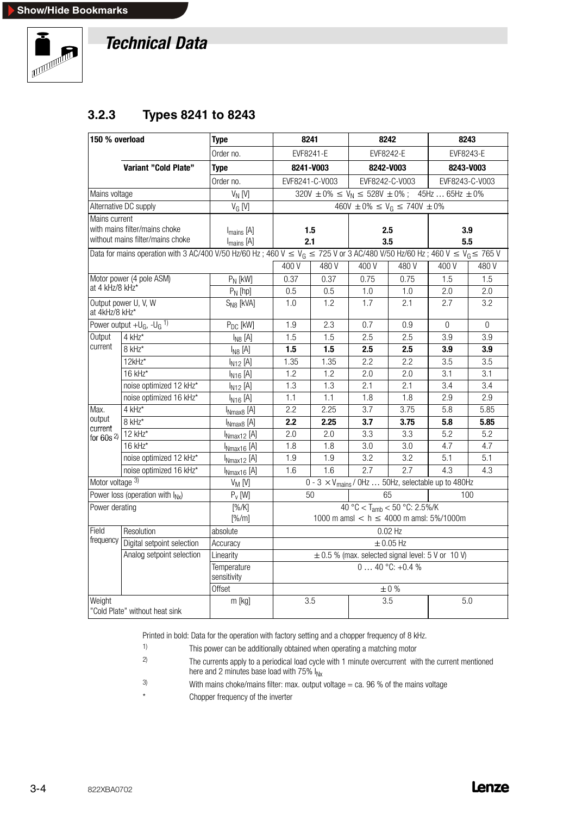<span id="page-11-0"></span>![](_page_11_Picture_1.jpeg)

### **3.2.3 Types 8241 to 8243**

| 150 % overload                                                                                                                                                                                                                                           |                                            | <b>Type</b>                                      | 8241                                                           |                | 8242                                                                                       |                  |                | 8243       |  |  |
|----------------------------------------------------------------------------------------------------------------------------------------------------------------------------------------------------------------------------------------------------------|--------------------------------------------|--------------------------------------------------|----------------------------------------------------------------|----------------|--------------------------------------------------------------------------------------------|------------------|----------------|------------|--|--|
|                                                                                                                                                                                                                                                          |                                            | Order no.                                        |                                                                | EVF8241-E      | EVF8242-E                                                                                  |                  |                | EVF8243-E  |  |  |
|                                                                                                                                                                                                                                                          | <b>Variant "Cold Plate"</b>                | <b>Type</b>                                      |                                                                | 8241-V003      | 8242-V003                                                                                  |                  |                | 8243-V003  |  |  |
|                                                                                                                                                                                                                                                          |                                            | Order no.                                        |                                                                | EVF8241-C-V003 | EVF8242-C-V003                                                                             |                  | EVF8243-C-V003 |            |  |  |
| Mains voltage                                                                                                                                                                                                                                            |                                            | $V_N$ [V]                                        | 320V $\pm 0\% \le V_N \le 528V \pm 0\%$ ; 45Hz  65Hz $\pm 0\%$ |                |                                                                                            |                  |                |            |  |  |
|                                                                                                                                                                                                                                                          | Alternative DC supply                      | $V_G$ [V]                                        |                                                                |                | $460V \pm 0\% \leq V_G \leq 740V \pm 0\%$                                                  |                  |                |            |  |  |
| Mains current<br>with mains filter/mains choke<br>without mains filter/mains choke<br>Data for mains operation with 3 AC/400 V/50 Hz/60 Hz; 460 V $\leq$ V <sub>G</sub> $\leq$ 725 V or 3 AC/480 V/50 Hz/60 Hz; 460 V $\leq$ V <sub>G</sub> $\leq$ 765 V |                                            | $I_{\text{mains}}$ [A]<br>$I_{\text{mains}}$ [A] |                                                                | 1.5<br>2.1     |                                                                                            | 2.5<br>3.5       |                | 3.9<br>5.5 |  |  |
|                                                                                                                                                                                                                                                          |                                            |                                                  | 400 V                                                          | 480 V          | 400 V                                                                                      | 480 V            | 400 V          | 480 V      |  |  |
| Motor power (4 pole ASM)                                                                                                                                                                                                                                 |                                            | $P_N$ [kW]                                       | 0.37                                                           | 0.37           | 0.75                                                                                       | 0.75             | 1.5            | 1.5        |  |  |
| at 4 kHz/8 kHz*                                                                                                                                                                                                                                          |                                            | $P_N$ [hp]                                       | 0.5                                                            | 0.5            | 1.0                                                                                        | 1.0              | 2.0            | 2.0        |  |  |
| at 4kHz/8 kHz*                                                                                                                                                                                                                                           | Output power U, V, W                       | S <sub>N8</sub> [kVA]                            | 1.0                                                            | 1.2            | 1.7                                                                                        | 2.1              | 2.7            | 3.2        |  |  |
|                                                                                                                                                                                                                                                          | Power output $+U_G$ , $-U_G$ <sup>1)</sup> | $P_{DC}$ [kW]                                    | 1.9                                                            | 2.3            | 0.7                                                                                        | 0.9              | $\overline{0}$ | $\Omega$   |  |  |
| Output                                                                                                                                                                                                                                                   | 4 kHz*                                     | $I_{N8}$ [A]                                     | 1.5                                                            | 1.5            | 2.5                                                                                        | 2.5              | 3.9            | 3.9        |  |  |
| current                                                                                                                                                                                                                                                  | 8 kHz*                                     | $I_{N8}$ [A]                                     | 1.5                                                            | 1.5            | 2.5                                                                                        | 2.5              | 3.9            | 3.9        |  |  |
|                                                                                                                                                                                                                                                          | 12kHz*                                     | $IN12$ [A]                                       | 1.35                                                           | 1.35           | 2.2                                                                                        | 2.2              | 3.5            | 3.5        |  |  |
|                                                                                                                                                                                                                                                          | 16 kHz*                                    | $I_{N16}$ [A]                                    | 1.2                                                            | 1.2            | 2.0                                                                                        | 2.0              | 3.1            | 3.1        |  |  |
|                                                                                                                                                                                                                                                          | noise optimized 12 kHz*                    | $IN12$ [A]                                       | 1.3                                                            | 1.3            | 2.1                                                                                        | 2.1              | 3.4            | 3.4        |  |  |
|                                                                                                                                                                                                                                                          | noise optimized 16 kHz*                    | $I_{N16}$ [A]                                    | 1.1                                                            | 1.1            | 1.8                                                                                        | 1.8              | 2.9            | 2.9        |  |  |
| Max.                                                                                                                                                                                                                                                     | 4 kHz*                                     | $I_{Nmax8}$ [A]                                  | 2.2                                                            | 2.25           | 3.7                                                                                        | 3.75             | 5.8            | 5.85       |  |  |
| output<br>current                                                                                                                                                                                                                                        | 8 kHz*                                     | $I_{Nmax8}$ [A]                                  | 2.2                                                            | 2.25           | 3.7                                                                                        | 3.75             | 5.8            | 5.85       |  |  |
| for $60s$ $2)$                                                                                                                                                                                                                                           | $12$ kHz <sup>*</sup>                      | $I_{Nmax12}$ [A]                                 | 2.0                                                            | 2.0            | 3.3                                                                                        | 3.3              | 5.2            | 5.2        |  |  |
|                                                                                                                                                                                                                                                          | 16 kHz*                                    | $I_{Nmax16}$ [A]                                 | 1.8                                                            | 1.8            | $\overline{3.0}$                                                                           | 3.0              | 4.7            | 4.7        |  |  |
|                                                                                                                                                                                                                                                          | noise optimized 12 kHz*                    | $I_{Nmax12}$ [A]                                 | 1.9                                                            | 1.9            | 3.2                                                                                        | 3.2              | 5.1            | 5.1        |  |  |
|                                                                                                                                                                                                                                                          | noise optimized 16 kHz*                    | $I_{Nmax16}$ [A]                                 | 1.6                                                            | 1.6            | 2.7                                                                                        | 2.7              | 4.3            | 4.3        |  |  |
| Motor voltage 3)                                                                                                                                                                                                                                         |                                            | $V_M$ [V]                                        |                                                                |                | 0 - 3 $\times$ V <sub>mains</sub> / 0Hz  50Hz, selectable up to 480Hz                      |                  |                |            |  |  |
|                                                                                                                                                                                                                                                          | Power loss (operation with $I_{Nx}$ )      | $P_V$ [W]                                        |                                                                | 50             | 65                                                                                         |                  |                | 100        |  |  |
| Power derating                                                                                                                                                                                                                                           |                                            | [% / K]<br>[%/m]                                 |                                                                |                | 40 °C < T <sub>amb</sub> < 50 °C: 2.5%/K<br>1000 m amsl $\lt h \leq 4000$ m amsl: 5%/1000m |                  |                |            |  |  |
| Field                                                                                                                                                                                                                                                    | Resolution                                 | absolute                                         |                                                                |                |                                                                                            | 0.02 Hz          |                |            |  |  |
| frequency                                                                                                                                                                                                                                                | Digital setpoint selection                 | Accuracy                                         |                                                                |                |                                                                                            | $\pm$ 0.05 Hz    |                |            |  |  |
|                                                                                                                                                                                                                                                          | Analog setpoint selection                  | Linearity                                        |                                                                |                | $\pm$ 0.5 % (max. selected signal level: 5 V or 10 V)                                      |                  |                |            |  |  |
|                                                                                                                                                                                                                                                          |                                            | Temperature<br>sensitivity                       |                                                                |                |                                                                                            | $040$ °C: +0.4 % |                |            |  |  |
|                                                                                                                                                                                                                                                          |                                            | Offset                                           |                                                                |                |                                                                                            | $\pm$ 0 %        |                |            |  |  |
| Weight                                                                                                                                                                                                                                                   | "Cold Plate" without heat sink             | m [kg]                                           |                                                                | 3.5            | 3.5                                                                                        |                  | 5.0            |            |  |  |

Printed in bold: Data for the operation with factory setting and a chopper frequency of 8 kHz.

- 1) This power can be additionally obtained when operating a matching motor
- 2) The currents apply to a periodical load cycle with 1 minute overcurrent with the current mentioned here and 2 minutes base load with  $75\%$   $I_{Nx}$
- $3$  With mains choke/mains filter: max. output voltage = ca. 96 % of the mains voltage
- \* Chopper frequency of the inverter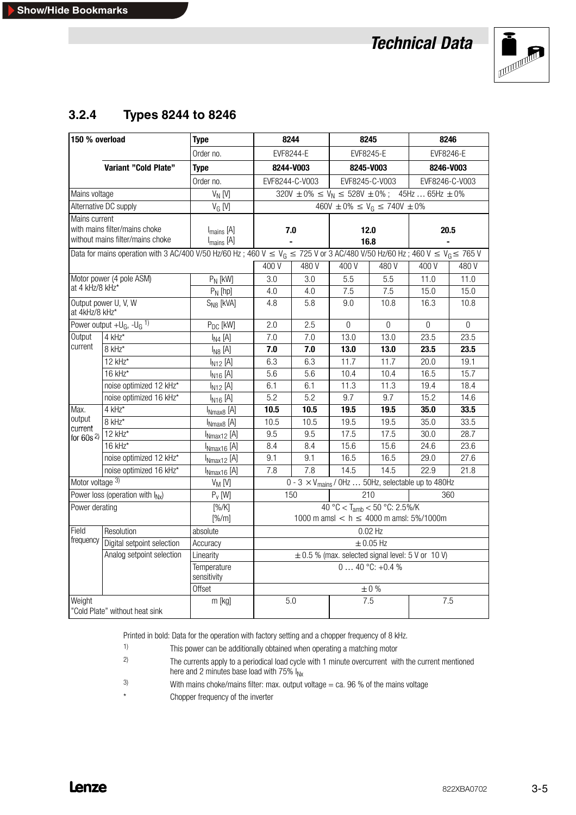![](_page_12_Picture_2.jpeg)

### <span id="page-12-0"></span>**3.2.4 Types 8244 to 8246**

| 150 % overload                                                                                                                                                                                                                                           |                                            | <b>Type</b>                                     | 8244           |              | 8245           |                                                                                      | 8246           |                |
|----------------------------------------------------------------------------------------------------------------------------------------------------------------------------------------------------------------------------------------------------------|--------------------------------------------|-------------------------------------------------|----------------|--------------|----------------|--------------------------------------------------------------------------------------|----------------|----------------|
|                                                                                                                                                                                                                                                          |                                            | Order no.                                       | EVF8244-E      |              | EVF8245-E      |                                                                                      | EVF8246-E      |                |
|                                                                                                                                                                                                                                                          | Variant "Cold Plate"                       | <b>Type</b>                                     | 8244-V003      |              | 8245-V003      |                                                                                      | 8246-V003      |                |
|                                                                                                                                                                                                                                                          |                                            | Order no.                                       | EVF8244-C-V003 |              | EVF8245-C-V003 |                                                                                      | EVF8246-C-V003 |                |
| Mains voltage                                                                                                                                                                                                                                            |                                            | $V_N$ [V]                                       |                |              |                | $320V \pm 0\% \leq V_N \leq 528V \pm 0\%$ ; 45Hz  65Hz $\pm 0\%$                     |                |                |
|                                                                                                                                                                                                                                                          | Alternative DC supply                      | $V_G[V]$                                        |                |              |                | $460V \pm 0\% \leq V_G \leq 740V \pm 0\%$                                            |                |                |
| Mains current<br>with mains filter/mains choke<br>without mains filter/mains choke<br>Data for mains operation with 3 AC/400 V/50 Hz/60 Hz; 460 V $\leq$ V <sub>G</sub> $\leq$ 725 V or 3 AC/480 V/50 Hz/60 Hz; 460 V $\leq$ V <sub>G</sub> $\leq$ 765 V |                                            | $I_{\text{mains}}$ [A]<br>$I_{\text{mains}}[A]$ | 7.0            |              | 12.0<br>16.8   |                                                                                      | 20.5           |                |
|                                                                                                                                                                                                                                                          |                                            |                                                 |                |              |                |                                                                                      |                |                |
|                                                                                                                                                                                                                                                          | Motor power (4 pole ASM)                   |                                                 | 400 V<br>3.0   | 480 V<br>3.0 | 400 V<br>5.5   | 480V<br>5.5                                                                          | 400 V<br>11.0  | 480 V<br>11.0  |
| at 4 kHz/8 kHz*                                                                                                                                                                                                                                          |                                            | $P_N$ [kW]<br>$P_N$ [hp]                        | 4.0            | 4.0          | 7.5            | 7.5                                                                                  | 15.0           | 15.0           |
| Output power U, V, W<br>at 4kHz/8 kHz*                                                                                                                                                                                                                   |                                            | $S_{N8}$ [kVA]                                  | 4.8            | 5.8          | 9.0            | 10.8                                                                                 | 16.3           | 10.8           |
|                                                                                                                                                                                                                                                          | Power output $+U_G$ , $-U_G$ <sup>1)</sup> | $P_{DC}$ [kW]                                   | 2.0            | 2.5          | $\overline{0}$ | $\overline{0}$                                                                       | $\overline{0}$ | $\overline{0}$ |
| Output                                                                                                                                                                                                                                                   | 4 kHz*                                     | $I_{N4}$ [A]                                    | 7.0            | 7.0          | 13.0           | 13.0                                                                                 | 23.5           | 23.5           |
| current                                                                                                                                                                                                                                                  | 8 kHz*                                     | $I_{N8}$ [A]                                    | 7.0            | 7.0          | 13.0           | 13.0                                                                                 | 23.5           | 23.5           |
|                                                                                                                                                                                                                                                          | $12$ kHz <sup>*</sup>                      | $IN12$ [A]                                      | 6.3            | 6.3          | 11.7           | 11.7                                                                                 | 20.0           | 19.1           |
|                                                                                                                                                                                                                                                          | 16 kHz*                                    | $I_{N16}$ [A]                                   | 5.6            | 5.6          | 10.4           | 10.4                                                                                 | 16.5           | 15.7           |
|                                                                                                                                                                                                                                                          | noise optimized 12 kHz*                    | $IN12$ [A]                                      | 6.1            | 6.1          | 11.3           | 11.3                                                                                 | 19.4           | 18.4           |
|                                                                                                                                                                                                                                                          | noise optimized 16 kHz*                    | $I_{N16}$ [A]                                   | 5.2            | 5.2          | 9.7            | 9.7                                                                                  | 15.2           | 14.6           |
| Max.                                                                                                                                                                                                                                                     | 4 kHz*                                     | $I_{Nmax8}$ [A]                                 | 10.5           | 10.5         | 19.5           | 19.5                                                                                 | 35.0           | 33.5           |
| output<br>current                                                                                                                                                                                                                                        | 8 kHz*                                     | $I_{Nmax8}$ [A]                                 | 10.5           | 10.5         | 19.5           | 19.5                                                                                 | 35.0           | 33.5           |
| for $60s$ $2)$                                                                                                                                                                                                                                           | 12 kHz*                                    | $I_{Nmax12}$ [A]                                | 9.5            | 9.5          | 17.5           | 17.5                                                                                 | 30.0           | 28.7           |
|                                                                                                                                                                                                                                                          | 16 kHz*                                    | $I_{Nmax16}$ [A]                                | 8.4            | 8.4          | 15.6           | 15.6                                                                                 | 24.6           | 23.6           |
|                                                                                                                                                                                                                                                          | noise optimized 12 kHz*                    | $I_{Nmax12}$ [A]                                | 9.1            | 9.1          | 16.5           | 16.5                                                                                 | 29.0           | 27.6           |
|                                                                                                                                                                                                                                                          | noise optimized 16 kHz*                    | $I_{Nmax16}$ [A]                                | 7.8            | 7.8          | 14.5           | 14.5                                                                                 | 22.9           | 21.8           |
| Motor voltage 3)                                                                                                                                                                                                                                         |                                            | $V_M$ [V]                                       |                |              |                | $0 - 3 \times V_{\text{mains}} / 0$ Hz  50Hz, selectable up to 480Hz                 |                |                |
|                                                                                                                                                                                                                                                          | Power loss (operation with $I_{Nx}$ )      | $P_V$ [W]                                       | 150            |              | 210            |                                                                                      | 360            |                |
| Power derating                                                                                                                                                                                                                                           |                                            | [% / K]<br>[%/m]                                |                |              |                | $40 °C < T_{amb} < 50 °C$ : 2.5%/K<br>1000 m amsl $\lt h \leq 4000$ m amsl: 5%/1000m |                |                |
| Field                                                                                                                                                                                                                                                    | Resolution                                 | absolute                                        |                |              |                | $0.02$ Hz                                                                            |                |                |
| frequency                                                                                                                                                                                                                                                | Digital setpoint selection                 | Accuracy                                        |                |              |                | $\pm$ 0.05 Hz                                                                        |                |                |
|                                                                                                                                                                                                                                                          | Analog setpoint selection                  | Linearity                                       |                |              |                | $\pm$ 0.5 % (max. selected signal level: 5 V or 10 V)                                |                |                |
|                                                                                                                                                                                                                                                          |                                            | Temperature<br>sensitivity                      |                |              |                | $040$ °C: +0.4 %                                                                     |                |                |
|                                                                                                                                                                                                                                                          |                                            | Offset                                          |                |              |                | $\pm$ 0 %                                                                            |                |                |
| Weight                                                                                                                                                                                                                                                   | "Cold Plate" without heat sink             | m [kg]                                          | 5.0            |              | 7.5            |                                                                                      | 7.5            |                |

Printed in bold: Data for the operation with factory setting and a chopper frequency of 8 kHz.

- 1) This power can be additionally obtained when operating a matching motor
- 2) The currents apply to a periodical load cycle with 1 minute overcurrent with the current mentioned here and 2 minutes base load with  $75\%$   $_{Nx}$
- $3$  With mains choke/mains filter: max. output voltage = ca. 96 % of the mains voltage
- \* Chopper frequency of the inverter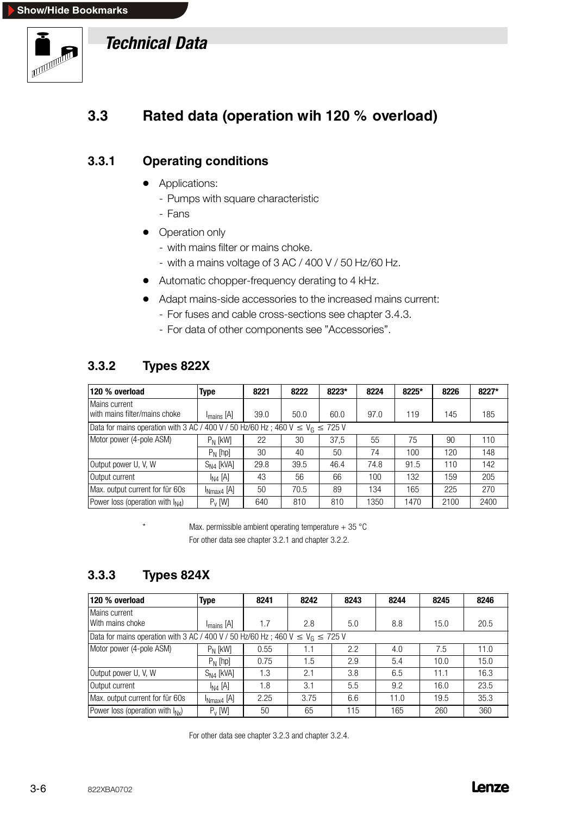<span id="page-13-0"></span>![](_page_13_Picture_1.jpeg)

### Rated data (operation wih 120 % overload)  $3.3$

#### $3.3.1$ **Operating conditions**

- **Applications:** 
	- Pumps with square characteristic
	- Fans
- Operation only
	- with mains filter or mains choke.
	- with a mains voltage of 3 AC / 400 V / 50 Hz/60 Hz.
- Automatic chopper-frequency derating to 4 kHz.
- Adapt mains-side accessories to the increased mains current:
	- For fuses and cable cross-sections see chapter 3.4.3.
	- For data of other components see "Accessories".

#### $3.3.2$ Types 822X

| 120 % overload                                                                                     | <b>Type</b>           | 8221 | 8222 | 8223* | 8224 | 8225* | 8226 | 8227* |
|----------------------------------------------------------------------------------------------------|-----------------------|------|------|-------|------|-------|------|-------|
| Mains current<br>with mains filter/mains choke                                                     | $I_{\text{mains}}[A]$ | 39.0 | 50.0 | 60.0  | 97.0 | 119   | 145  | 185   |
| Data for mains operation with 3 AC / 400 V / 50 Hz/60 Hz; 460 V $\leq$ V <sub>G</sub> $\leq$ 725 V |                       |      |      |       |      |       |      |       |
| Motor power (4-pole ASM)                                                                           | $P_N$ [kW]            | 22   | 30   | 37.5  | 55   | 75    | 90   | 110   |
|                                                                                                    | $P_N$ [hp]            | 30   | 40   | 50    | 74   | 100   | 120  | 148   |
| Output power U, V, W                                                                               | $S_{N4}$ [kVA]        | 29.8 | 39.5 | 46.4  | 74.8 | 91.5  | 110  | 142   |
| Output current                                                                                     | $I_{N4}$ [A]          | 43   | 56   | 66    | 100  | 132   | 159  | 205   |
| Max. output current for für 60s                                                                    | $I_{Nmax4}$ [A]       | 50   | 70.5 | 89    | 134  | 165   | 225  | 270   |
| Power loss (operation with $I_{N4}$ )                                                              | $P_v$ [W]             | 640  | 810  | 810   | 1350 | 1470  | 2100 | 2400  |

Max. permissible ambient operating temperature  $+35$  °C For other data see chapter 3.2.1 and chapter 3.2.2.

#### $3.3.3$ Types 824X

| 120 % overload                                                                                     | <b>Type</b>            | 8241 | 8242 | 8243 | 8244 | 8245 | 8246 |
|----------------------------------------------------------------------------------------------------|------------------------|------|------|------|------|------|------|
| Mains current<br>With mains choke                                                                  | $I_{\text{mains}}$ [A] | 1.7  | 2.8  | 5.0  | 8.8  | 15.0 | 20.5 |
| Data for mains operation with 3 AC / 400 V / 50 Hz/60 Hz; 460 V $\leq$ V <sub>G</sub> $\leq$ 725 V |                        |      |      |      |      |      |      |
| Motor power (4-pole ASM)                                                                           | $P_N$ [kW]             | 0.55 | 1.1  | 2.2  | 4.0  | 7.5  | 11.0 |
|                                                                                                    | $P_N$ [hp]             | 0.75 | 1.5  | 2.9  | 5.4  | 10.0 | 15.0 |
| Output power U, V, W                                                                               | $S_{N4}$ [kVA]         | 1.3  | 2.1  | 3.8  | 6.5  | 11.1 | 16.3 |
| Output current                                                                                     | $I_{N4}$ [A]           | 1.8  | 3.1  | 5.5  | 9.2  | 16.0 | 23.5 |
| Max. output current for für 60s                                                                    | $I_{Nmax4}$ [A]        | 2.25 | 3.75 | 6.6  | 11.0 | 19.5 | 35.3 |
| Power loss (operation with $I_{Nx}$ )                                                              | $P_V$ [W]              | 50   | 65   | 115  | 165  | 260  | 360  |

For other data see chapter 3.2.3 and chapter 3.2.4.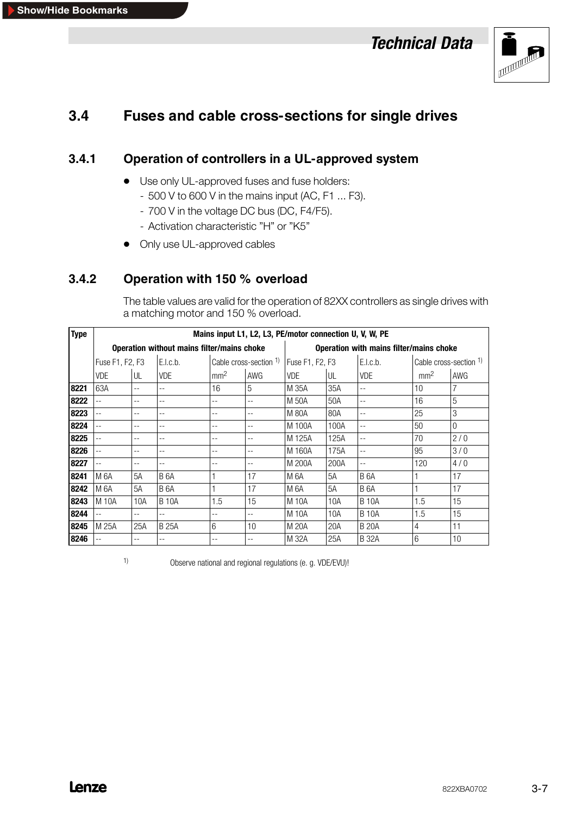![](_page_14_Picture_2.jpeg)

### <span id="page-14-0"></span>Fuses and cable cross-sections for single drives  $3.4$

#### Operation of controllers in a UL-approved system  $3.4.1$

- Use only UL-approved fuses and fuse holders:
	- $-500$  V to 600 V in the mains input (AC, F1 ... F3).
	- 700 V in the voltage DC bus (DC, F4/F5).
	- Activation characteristic "H" or "K5"
- Only use UL-approved cables

#### $3.4.2$ Operation with 150 % overload

The table values are valid for the operation of 82XX controllers as single drives with a matching motor and 150 % overload.

| <b>Type</b> |                  | Mains input L1, L2, L3, PE/motor connection U, V, W, PE |                                            |                 |                                                   |                                         |          |                  |                        |                |  |  |
|-------------|------------------|---------------------------------------------------------|--------------------------------------------|-----------------|---------------------------------------------------|-----------------------------------------|----------|------------------|------------------------|----------------|--|--|
|             |                  |                                                         | Operation without mains filter/mains choke |                 |                                                   | Operation with mains filter/mains choke |          |                  |                        |                |  |  |
|             | Fuse F1, F2, F3  |                                                         | E.I.c.b.                                   |                 | Cable cross-section <sup>1)</sup> Fuse F1, F2, F3 |                                         | E.I.c.b. |                  | Cable cross-section 1) |                |  |  |
|             | <b>VDE</b>       | <b>UL</b>                                               | <b>VDE</b>                                 | mm <sup>2</sup> | <b>AWG</b>                                        | <b>VDE</b>                              | UL       | <b>VDE</b>       | mm <sup>2</sup>        | <b>AWG</b>     |  |  |
| 8221        | 63A              | $-$                                                     | $-$                                        | 16              | 5                                                 | M 35A                                   | 35A      | $-$              | 10                     | 7              |  |  |
| 8222        |                  | $\overline{\phantom{a}}$                                | $-$                                        | --              | --                                                | M 50A                                   | 50A      | $-1$             | 16                     | 5              |  |  |
| 8223        |                  |                                                         | $-$                                        |                 | $-$                                               | M 80A                                   | 80A      | --               | 25                     | 3              |  |  |
| 8224        |                  | $-1$                                                    | $-$                                        | $-1$            | --                                                | M 100A                                  | 100A     | $-1$             | 50                     | $\overline{0}$ |  |  |
| 8225        | $-$              | $-1$                                                    | $-$                                        | $-1$            | --                                                | M 125A                                  | 125A     | $-$              | 70                     | 2/0            |  |  |
| 8226        |                  | --                                                      | $-$                                        | --              | --                                                | M 160A                                  | 175A     | $-1$             | 95                     | 3/0            |  |  |
| 8227        | $-$              | --                                                      | $-$                                        | $-$             | --                                                | M 200A                                  | 200A     | --               | 120                    | 4/0            |  |  |
| 8241        | M <sub>6</sub> A | 5A                                                      | <b>B</b> 6A                                |                 | 17                                                | <b>M 6A</b>                             | 5A       | B <sub>6</sub> A |                        | 17             |  |  |
| 8242        | M 6A             | 5A                                                      | <b>B</b> 6A                                |                 | 17                                                | M 6A                                    | 5A       | <b>B</b> 6A      |                        | 17             |  |  |
| 8243        | <b>M10A</b>      | 10A                                                     | <b>B</b> 10A                               | 1.5             | 15                                                | <b>M10A</b>                             | 10A      | <b>B10A</b>      | 1.5                    | 15             |  |  |
| 8244        |                  | $-1$                                                    | --                                         | --              | --                                                | M 10A                                   | 10A      | <b>B</b> 10A     | 1.5                    | 15             |  |  |
| 8245        | M 25A            | 25A                                                     | <b>B 25A</b>                               | 6               | 10                                                | M 20A                                   | 20A      | <b>B 20A</b>     | $\overline{4}$         | 11             |  |  |
| 8246        |                  | --                                                      | $- -$                                      | $-$             | --                                                | M 32A                                   | 25A      | <b>B32A</b>      | 6                      | 10             |  |  |

 $1)$ 

Observe national and regional regulations (e. g. VDE/EVU)!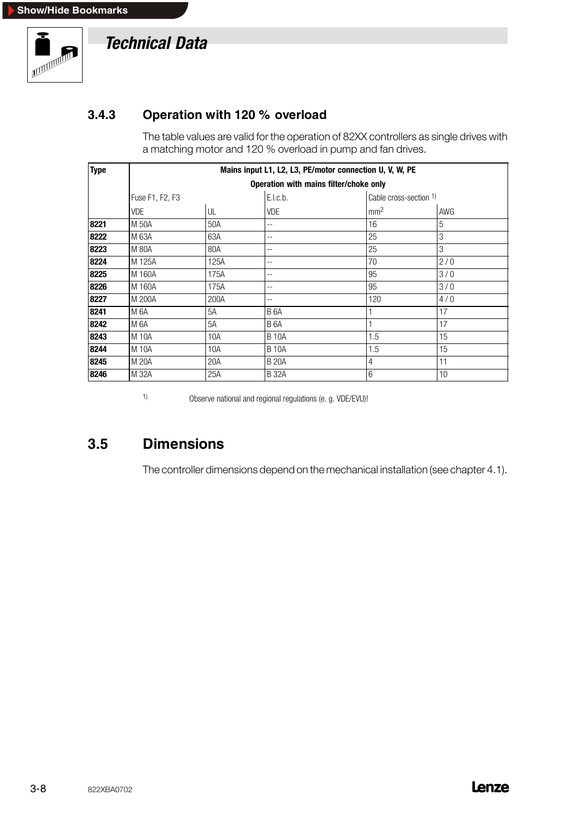<span id="page-15-0"></span>![](_page_15_Picture_1.jpeg)

## **3.4.3 Operation with 120 % overload**

The table values are valid for the operation of 82XX controllers as single drives with a matching motor and 120 % overload in pump and fan drives.

| <b>Type</b> |                 |      |                                        | Mains input L1, L2, L3, PE/motor connection U, V, W, PE |     |
|-------------|-----------------|------|----------------------------------------|---------------------------------------------------------|-----|
|             |                 |      | Operation with mains filter/choke only |                                                         |     |
|             | Fuse F1, F2, F3 |      | E.I.c.b.                               | Cable cross-section 1)                                  |     |
|             | <b>VDE</b>      | UL   | <b>VDE</b>                             | mm <sup>2</sup>                                         | AWG |
| 8221        | M 50A           | 50A  | $-1$                                   | 16                                                      | 5   |
| 8222        | M 63A           | 63A  | --                                     | 25                                                      | 3   |
| 8223        | M 80A           | 80A  | --                                     | 25                                                      | 3   |
| 8224        | M 125A          | 125A | --                                     | 70                                                      | 2/0 |
| 8225        | M 160A          | 175A | --                                     | 95                                                      | 3/0 |
| 8226        | M 160A          | 175A | --                                     | 95                                                      | 3/0 |
| 8227        | M 200A          | 200A | --                                     | 120                                                     | 4/0 |
| 8241        | M 6A            | 5A   | <b>B</b> 6A                            |                                                         | 17  |
| 8242        | M 6A            | 5A   | <b>B</b> 6A                            |                                                         | 17  |
| 8243        | M 10A           | 10A  | <b>B</b> 10A                           | 1.5                                                     | 15  |
| 8244        | M 10A           | 10A  | <b>B</b> 10A                           | 1.5                                                     | 15  |
| 8245        | M 20A           | 20A  | <b>B 20A</b>                           | 4                                                       | 11  |
| 8246        | M 32A           | 25A  | <b>B32A</b>                            | 6                                                       | 10  |

1) Observe national and regional regulations (e. g. VDE/EVU)!

## **3.5 Dimensions**

The controller dimensions depend on the mechanical installation (see chapter 4.1).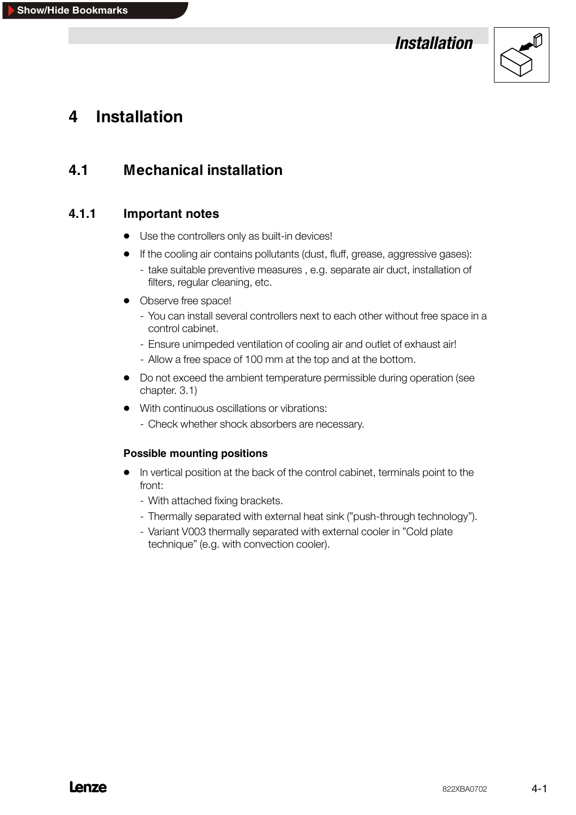![](_page_16_Picture_2.jpeg)

### <span id="page-16-0"></span>Installation  $\overline{\mathbf{4}}$

### **Mechanical installation**  $4.1$

#### $4.1.1$ **Important notes**

- Use the controllers only as built-in devices!
- If the cooling air contains pollutants (dust, fluff, grease, aggressive gases): - take suitable preventive measures, e.g. separate air duct, installation of filters, regular cleaning, etc.
- Observe free space!
	- You can install several controllers next to each other without free space in a control cabinet.
	- Ensure unimpeded ventilation of cooling air and outlet of exhaust air!
	- Allow a free space of 100 mm at the top and at the bottom.
- Do not exceed the ambient temperature permissible during operation (see chapter.  $3.1$ )
- With continuous oscillations or vibrations:
	- Check whether shock absorbers are necessary.

### **Possible mounting positions**

- In vertical position at the back of the control cabinet, terminals point to the front:
	- With attached fixing brackets.
	- Thermally separated with external heat sink ("push-through technology").
	- Variant V003 thermally separated with external cooler in "Cold plate technique" (e.g. with convection cooler).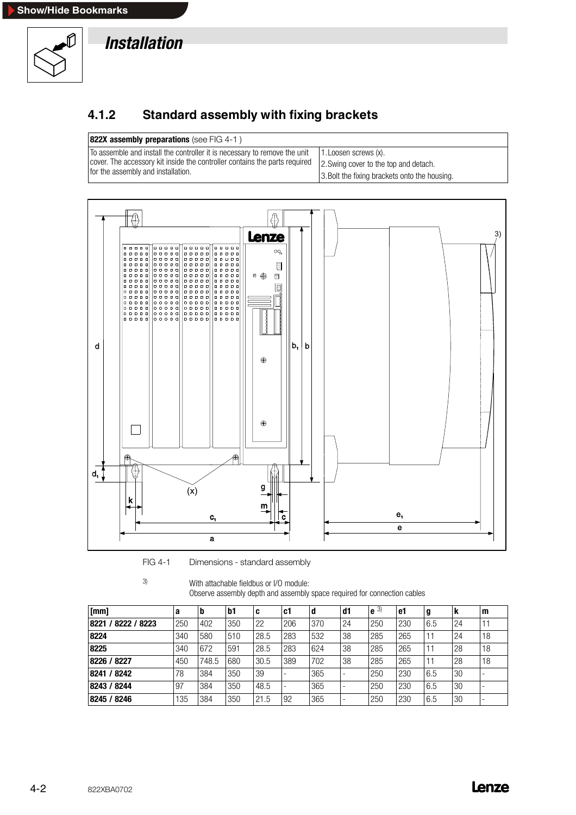<span id="page-17-0"></span>![](_page_17_Picture_1.jpeg)

### $4.1.2$ **Standard assembly with fixing brackets**

| <b>822X assembly preparations</b> (see FIG 4-1)                            |                                               |  |  |  |  |  |  |
|----------------------------------------------------------------------------|-----------------------------------------------|--|--|--|--|--|--|
| To assemble and install the controller it is necessary to remove the unit  | 1. Loosen screws (x).                         |  |  |  |  |  |  |
| cover. The accessory kit inside the controller contains the parts required | 2. Swing cover to the top and detach.         |  |  |  |  |  |  |
| for the assembly and installation.                                         | 3. Bolt the fixing brackets onto the housing. |  |  |  |  |  |  |

![](_page_17_Figure_5.jpeg)

**FIG 4-1** 

Dimensions - standard assembly

 $3)$ 

With attachable fieldbus or I/O module: Observe assembly depth and assembly space required for connection cables

| [mm]               | a   | b     | b1  | c    | c1  | d   | l d1 | $e^{3}$ | l e 1 | g   | ١k | l m |
|--------------------|-----|-------|-----|------|-----|-----|------|---------|-------|-----|----|-----|
| 8221 / 8222 / 8223 | 250 | 402   | 350 | 22   | 206 | 370 | 24   | 250     | 230   | 6.5 | 24 |     |
| 8224               | 340 | 580   | 510 | 28.5 | 283 | 532 | 38   | 285     | 265   |     | 24 | 18  |
| 8225               | 340 | 672   | 591 | 28.5 | 283 | 624 | 38   | 285     | 265   |     | 28 | 18  |
| 8226 / 8227        | 450 | 748.5 | 680 | 30.5 | 389 | 702 | 38   | 285     | 265   |     | 28 | 18  |
| 8241 / 8242        | 78  | 384   | 350 | 39   |     | 365 |      | 250     | 230   | 6.5 | 30 |     |
| 8243 / 8244        | -97 | 384   | 350 | 48.5 |     | 365 |      | 250     | 230   | 6.5 | 30 |     |
| 8245 / 8246        | 135 | 384   | 350 | 21.5 | 92  | 365 |      | 250     | 230   | 6.5 | 30 |     |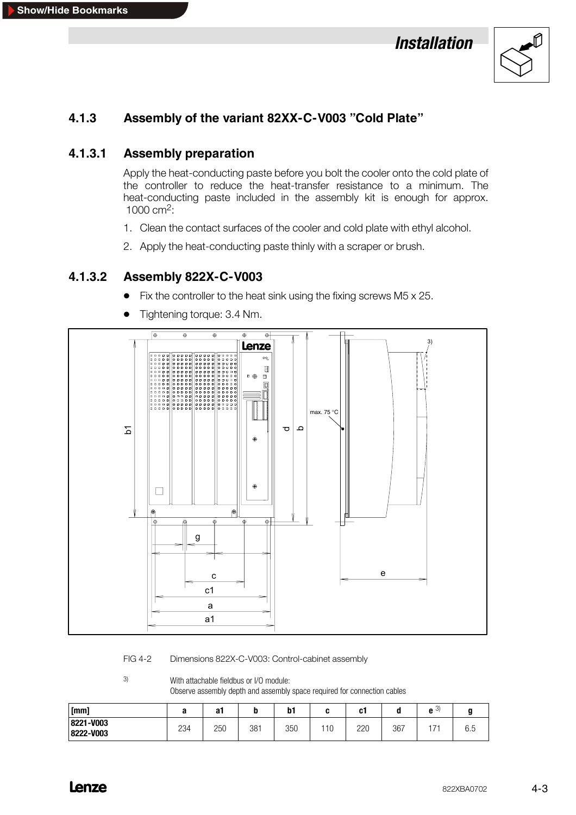![](_page_18_Picture_2.jpeg)

### <span id="page-18-0"></span> $4.1.3$ Assembly of the variant 82XX-C-V003 "Cold Plate"

#### $4.1.3.1$ **Assembly preparation**

Apply the heat-conducting paste before you bolt the cooler onto the cold plate of the controller to reduce the heat-transfer resistance to a minimum. The heat-conducting paste included in the assembly kit is enough for approx.  $1000 \text{ cm}^2$ :

- 1. Clean the contact surfaces of the cooler and cold plate with ethyl alcohol.
- 2. Apply the heat-conducting paste thinly with a scraper or brush.

#### $4.1.3.2$ Assembly 822X-C-V003

- Fix the controller to the heat sink using the fixing screws M5 x 25.
- Tightening torque: 3.4 Nm.

![](_page_18_Figure_11.jpeg)

**FIG 4-2** Dimensions 822X-C-V003: Control-cabinet assembly

 $3)$ 

With attachable fieldbus or I/O module: Observe assembly depth and assembly space required for connection cables

| [mm]                   | ч   | a.  |     | b1  |     | c1  |     | $\sim$<br>$e^{\omega}$   |                      |
|------------------------|-----|-----|-----|-----|-----|-----|-----|--------------------------|----------------------|
| 8221-V003<br>8222-V003 | 234 | 250 | 381 | 350 | 110 | 220 | 367 | $\overline{\phantom{a}}$ | $\sim$ $\sim$<br>6.5 |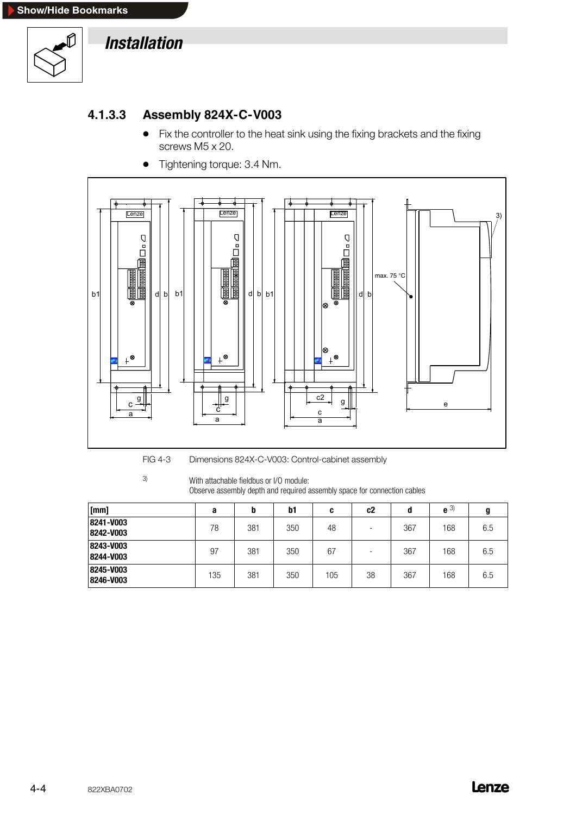<span id="page-19-0"></span>![](_page_19_Picture_1.jpeg)

### **4.1.3.3 Assembly 824X-C-V003**

- Fix the controller to the heat sink using the fixing brackets and the fixing screws M5 x 20.
- $\bullet$  Tightening torque: 3.4 Nm.

![](_page_19_Figure_6.jpeg)

FIG 4-3 Dimensions 824X-C-V003: Control-cabinet assembly

3) With attachable fieldbus or I/O module: Observe assembly depth and required assembly space for connection cables

| [mm]                   | a   | b   | b1  | c   | c2                       | a   | $e^{3}$ |     |
|------------------------|-----|-----|-----|-----|--------------------------|-----|---------|-----|
| 8241-V003<br>8242-V003 | 78  | 381 | 350 | 48  | -                        | 367 | 168     | 6.5 |
| 8243-V003<br>8244-V003 | 97  | 381 | 350 | 67  | $\overline{\phantom{a}}$ | 367 | 168     | 6.5 |
| 8245-V003<br>8246-V003 | 135 | 381 | 350 | 105 | 38                       | 367 | 168     | 6.5 |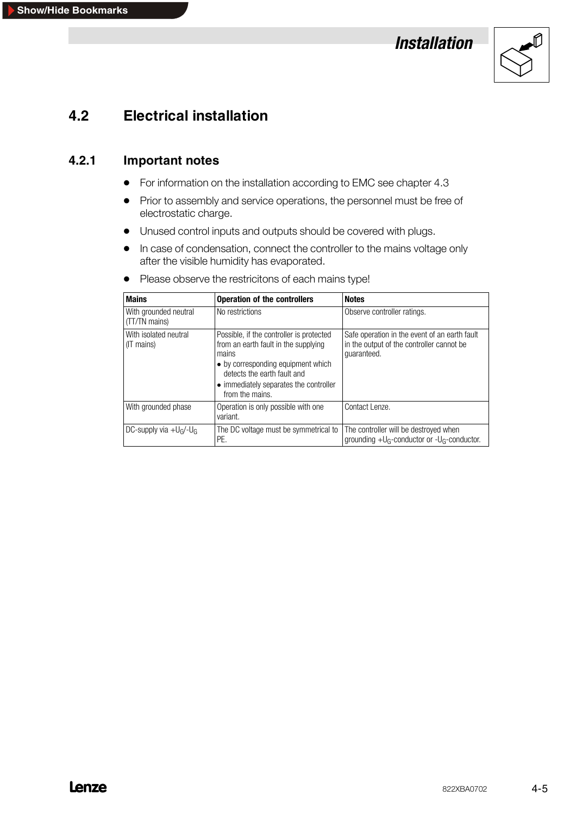![](_page_20_Picture_2.jpeg)

### <span id="page-20-0"></span>**Electrical installation**  $4.2$

#### $4.2.1$ **Important notes**

- For information on the installation according to EMC see chapter 4.3
- Prior to assembly and service operations, the personnel must be free of electrostatic charge.
- Unused control inputs and outputs should be covered with plugs.
- In case of condensation, connect the controller to the mains voltage only after the visible humidity has evaporated.

| <b>Mains</b>                           | <b>Operation of the controllers</b>                                                                                                                                                                                         | <b>Notes</b>                                                                                              |
|----------------------------------------|-----------------------------------------------------------------------------------------------------------------------------------------------------------------------------------------------------------------------------|-----------------------------------------------------------------------------------------------------------|
| With grounded neutral<br>(TT/TN mains) | No restrictions                                                                                                                                                                                                             | Observe controller ratings.                                                                               |
| With isolated neutral<br>(IT mains)    | Possible, if the controller is protected<br>from an earth fault in the supplying<br>mains<br>• by corresponding equipment which<br>detects the earth fault and<br>• immediately separates the controller<br>from the mains. | Safe operation in the event of an earth fault<br>in the output of the controller cannot be<br>quaranteed. |
| With grounded phase                    | Operation is only possible with one<br>variant.                                                                                                                                                                             | Contact Lenze.                                                                                            |
| DC-supply via $+U_G$ /-U <sub>G</sub>  | The DC voltage must be symmetrical to<br>PE.                                                                                                                                                                                | The controller will be destroyed when<br>grounding $+U_G$ -conductor or $-U_G$ -conductor.                |

• Please observe the restricitons of each mains type!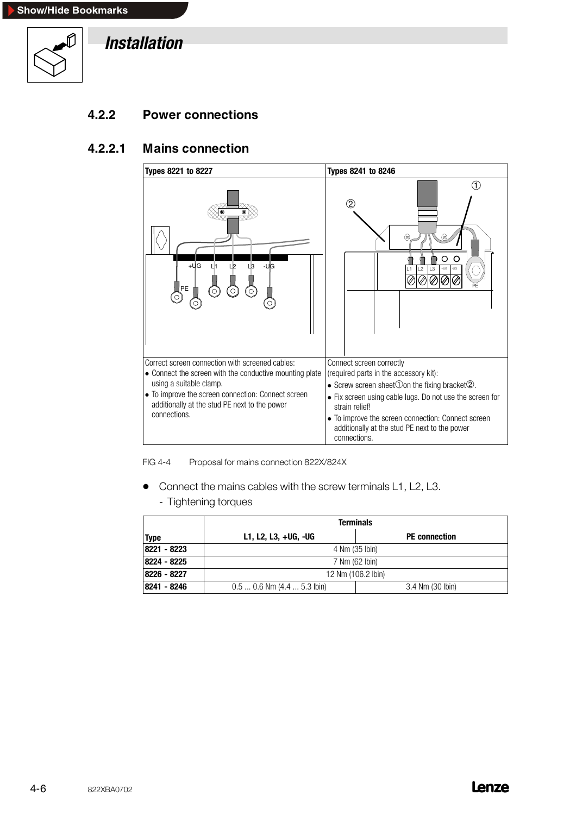<span id="page-21-0"></span>![](_page_21_Picture_1.jpeg)

### **4.2.2 Power connections**

### **4.2.2.1 Mains connection**

![](_page_21_Figure_5.jpeg)

FIG 4-4 Proposal for mains connection 822X/824X

- Connect the mains cables with the screw terminals L1, L2, L3.
	- Tightening torques

|             | <b>Terminals</b>                                 |                      |  |  |  |  |  |
|-------------|--------------------------------------------------|----------------------|--|--|--|--|--|
| <b>Type</b> | $L1, L2, L3, +UG, -UG$                           | <b>PE</b> connection |  |  |  |  |  |
| 8221 - 8223 |                                                  | 4 Nm (35 lbin)       |  |  |  |  |  |
| 8224 - 8225 | 7 Nm (62 lbin)                                   |                      |  |  |  |  |  |
| 8226 - 8227 | 12 Nm (106.2 lbin)                               |                      |  |  |  |  |  |
| 8241 - 8246 | $0.50.6$ Nm $(4.45.3)$ lbin)<br>3.4 Nm (30 lbin) |                      |  |  |  |  |  |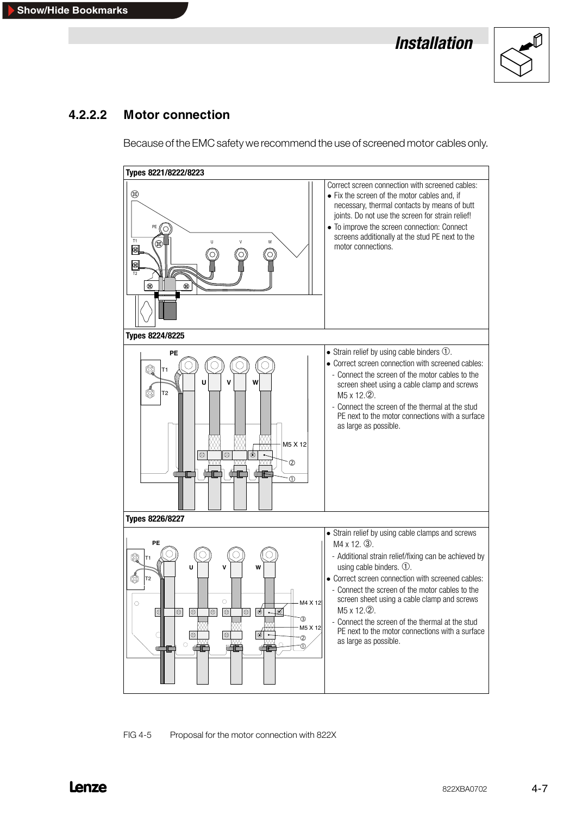![](_page_22_Picture_2.jpeg)

### <span id="page-22-0"></span>**4.2.2.2 Motor connection**

Because of the EMC safety we recommend the use of screened motor cables only.

![](_page_22_Figure_5.jpeg)

FIG 4-5 Proposal for the motor connection with 822X

![](_page_22_Picture_7.jpeg)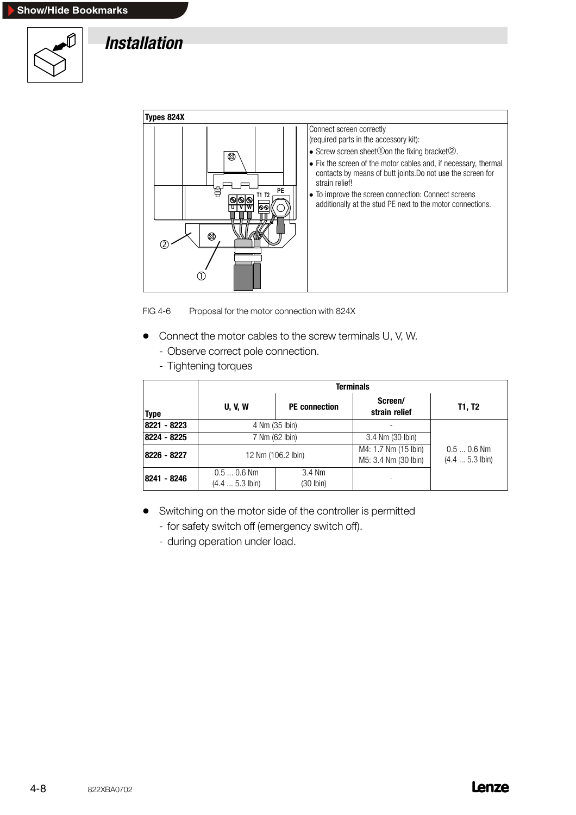![](_page_23_Picture_1.jpeg)

![](_page_23_Figure_3.jpeg)

FIG 4-6 Proposal for the motor connection with 824X

- Connect the motor cables to the screw terminals U, V, W.
	- Observe correct pole connection.
	- Tightening torques

| <b>Type</b> | <b>U, V, W</b>                 | <b>PE</b> connection | Screen/<br>strain relief                     | T1, T2                           |
|-------------|--------------------------------|----------------------|----------------------------------------------|----------------------------------|
| 8221 - 8223 |                                | 4 Nm (35 lbin)       |                                              |                                  |
| 8224 - 8225 |                                | 7 Nm (62 lbin)       | 3.4 Nm (30 lbin)                             |                                  |
| 8226 - 8227 | 12 Nm (106.2 lbin)             |                      | M4: 1.7 Nm (15 lbin)<br>M5: 3.4 Nm (30 lbin) | $0.50.6$ Nm<br>$(4.4 5.3)$ lbin) |
| 8241 - 8246 | $0.50.6$ Nm<br>(4.4  5.3 lbin) | 3.4 Nm<br>(30 lbin)  |                                              |                                  |

- Switching on the motor side of the controller is permitted
	- for safety switch off (emergency switch off).
	- during operation under load.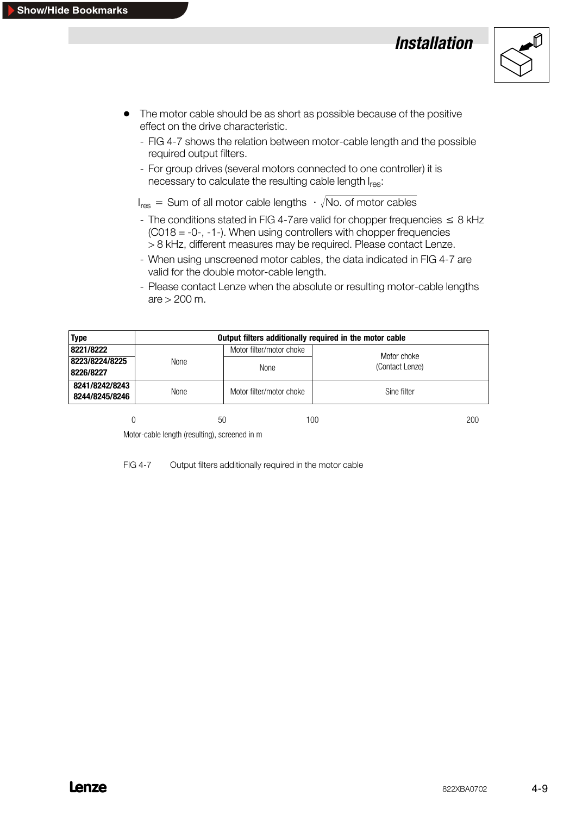![](_page_24_Picture_2.jpeg)

- The motor cable should be as short as possible because of the positive  $\bullet$ effect on the drive characteristic.
	- FIG 4-7 shows the relation between motor-cable length and the possible required output filters.
	- For group drives (several motors connected to one controller) it is necessary to calculate the resulting cable length l<sub>res</sub>:

 $I_{res}$  = Sum of all motor cable lengths  $\cdot \sqrt{N_0}$ . of motor cables

- The conditions stated in FIG 4-7are valid for chopper frequencies  $\leq 8$  kHz  $(C018 = -0-, -1)$ . When using controllers with chopper frequencies > 8 kHz, different measures may be required. Please contact Lenze.
- When using unscreened motor cables, the data indicated in FIG 4-7 are valid for the double motor-cable length.
- Please contact Lenze when the absolute or resulting motor-cable lengths  $are > 200$  m.

| <b>Type</b>                      |      | Output filters additionally required in the motor cable |                 |  |  |  |
|----------------------------------|------|---------------------------------------------------------|-----------------|--|--|--|
| 8221/8222                        |      | Motor filter/motor choke                                | Motor choke     |  |  |  |
| 8223/8224/8225<br>8226/8227      | None | None                                                    | (Contact Lenze) |  |  |  |
| 8241/8242/8243<br>8244/8245/8246 | None | Motor filter/motor choke                                | Sine filter     |  |  |  |
| 0                                | 50   |                                                         | 200<br>100      |  |  |  |

Motor-cable length (resulting), screened in m

**FIG 4-7** Output filters additionally required in the motor cable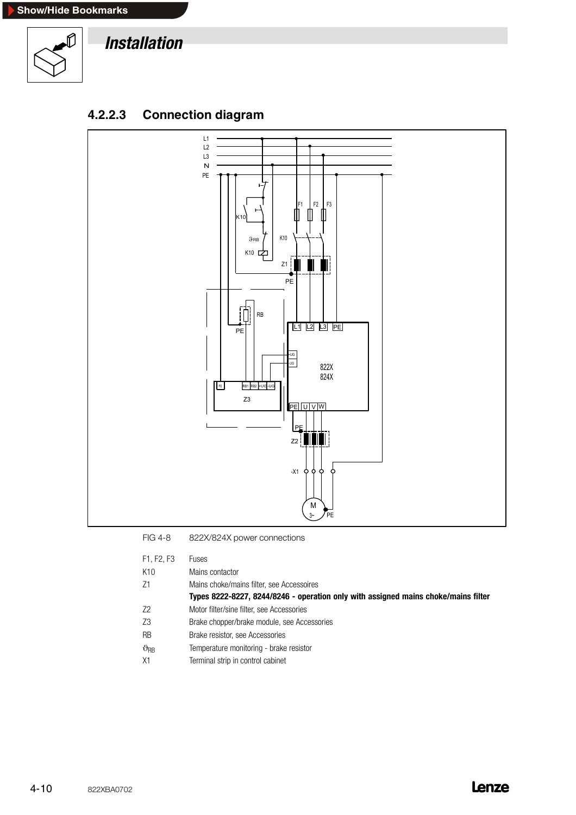<span id="page-25-0"></span>![](_page_25_Picture_1.jpeg)

 $4.2.2.3$ **Connection diagram** 

![](_page_25_Figure_3.jpeg)

**FIG 4-8** 822X/824X power connections

| F1, F2, F3 | <b>Fuses</b> |
|------------|--------------|
|------------|--------------|

- K10 Mains contactor
- $Z1$ Mains choke/mains filter, see Accessoires
	- Types 8222-8227, 8244/8246 operation only with assigned mains choke/mains filter
- $Z<sub>2</sub>$ Motor filter/sine filter, see Accessories
- $Z<sub>3</sub>$ Brake chopper/brake module, see Accessories
- $RB$ Brake resistor, see Accessories
- Temperature monitoring brake resistor  $\vartheta_{\mathsf{RB}}$
- $X1$ Terminal strip in control cabinet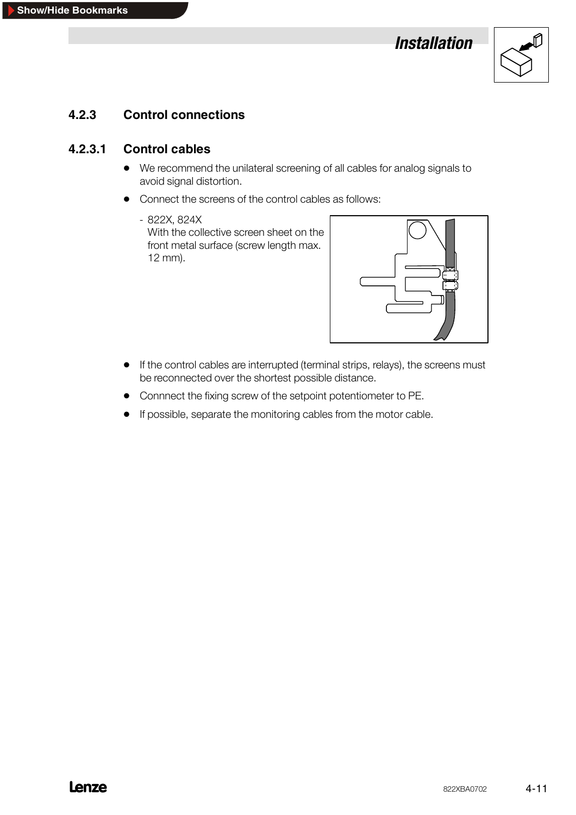![](_page_26_Picture_2.jpeg)

#### <span id="page-26-0"></span>**Control connections**  $4.2.3$

#### $4.2.3.1$ **Control cables**

- We recommend the unilateral screening of all cables for analog signals to avoid signal distortion.
- Connect the screens of the control cables as follows:  $\bullet$ 
	- $-822X, 824X$ With the collective screen sheet on the front metal surface (screw length max.  $12 \text{ mm}$ ).

![](_page_26_Picture_8.jpeg)

- If the control cables are interrupted (terminal strips, relays), the screens must be reconnected over the shortest possible distance.
- Connnect the fixing screw of the setpoint potentiometer to PE.
- If possible, separate the monitoring cables from the motor cable.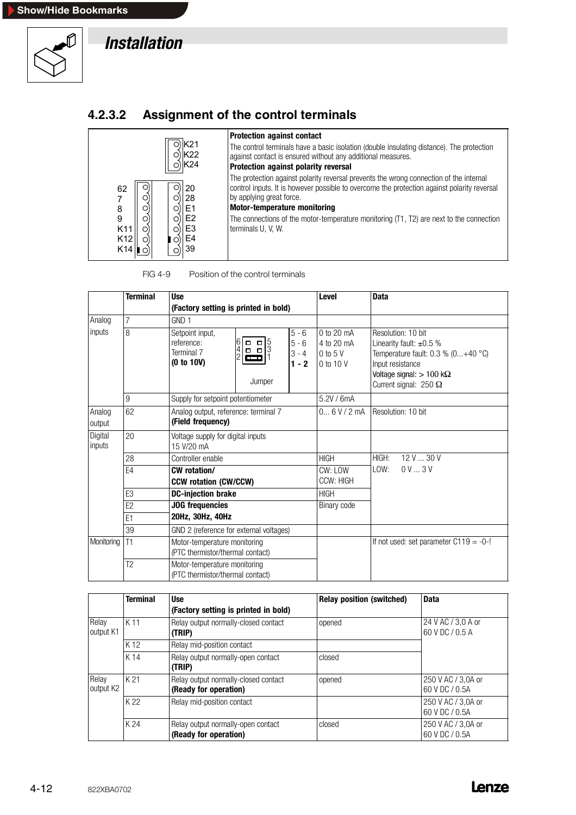<span id="page-27-0"></span>![](_page_27_Picture_1.jpeg)

## **4.2.3.2 Assignment of the control terminals**

| K21<br>O) K22<br>IK24<br>20<br>62<br>$\overline{7}$<br>-28<br>E1<br>8<br>9<br>E <sub>2</sub><br>O)<br>E3<br>K11<br>E4<br>K12<br>Ω<br>39<br>K14 | <b>Protection against contact</b><br>The control terminals have a basic isolation (double insulating distance). The protection<br>against contact is ensured without any additional measures.<br>Protection against polarity reversal<br>The protection against polarity reversal prevents the wrong connection of the internal<br>control inputs. It is however possible to overcome the protection against polarity reversal<br>by applying great force.<br>Motor-temperature monitoring<br>The connections of the motor-temperature monitoring (T1, T2) are next to the connection<br>terminals U, V, W. |
|------------------------------------------------------------------------------------------------------------------------------------------------|-------------------------------------------------------------------------------------------------------------------------------------------------------------------------------------------------------------------------------------------------------------------------------------------------------------------------------------------------------------------------------------------------------------------------------------------------------------------------------------------------------------------------------------------------------------------------------------------------------------|
|------------------------------------------------------------------------------------------------------------------------------------------------|-------------------------------------------------------------------------------------------------------------------------------------------------------------------------------------------------------------------------------------------------------------------------------------------------------------------------------------------------------------------------------------------------------------------------------------------------------------------------------------------------------------------------------------------------------------------------------------------------------------|

FIG 4-9 Position of the control terminals

|                   | <b>Terminal</b> | <b>Use</b>                                                                                                                           |                                                                                    | Level                                    | <b>Data</b>                                               |                                                                                                                                                                                      |
|-------------------|-----------------|--------------------------------------------------------------------------------------------------------------------------------------|------------------------------------------------------------------------------------|------------------------------------------|-----------------------------------------------------------|--------------------------------------------------------------------------------------------------------------------------------------------------------------------------------------|
|                   |                 | (Factory setting is printed in bold)                                                                                                 |                                                                                    |                                          |                                                           |                                                                                                                                                                                      |
| Analog            | 7               | GND <sub>1</sub>                                                                                                                     |                                                                                    |                                          |                                                           |                                                                                                                                                                                      |
| inputs            | 8               | Setpoint input,<br>reference:<br>Terminal 7<br>(0 to 10V)                                                                            | $\Box$ $\Box$<br>$\overline{\blacksquare}$ 3<br>$\Box$<br>$\blacksquare$<br>Jumper | $5 - 6$<br>$5 - 6$<br>$3 - 4$<br>$1 - 2$ | $0$ to $20$ mA<br>4 to 20 mA<br>$0$ to $5$ V<br>0 to 10 V | Resolution: 10 bit<br>Linearity fault: $\pm 0.5$ %<br>Temperature fault: $0.3 % (0+40 °C)$<br>Input resistance<br>Voltage signal: $> 100$ k $\Omega$<br>Current signal: 250 $\Omega$ |
|                   | 9               | Supply for setpoint potentiometer                                                                                                    |                                                                                    |                                          | 5.2V/6mA                                                  |                                                                                                                                                                                      |
| Analog<br>output  | 62              | Analog output, reference: terminal 7<br>(Field frequency)                                                                            |                                                                                    |                                          | 0 6 V / 2 mA                                              | Resolution: 10 bit                                                                                                                                                                   |
| Digital<br>inputs | 20              | Voltage supply for digital inputs<br>15 V/20 mA                                                                                      |                                                                                    |                                          |                                                           |                                                                                                                                                                                      |
|                   | 28              | Controller enable                                                                                                                    |                                                                                    |                                          | <b>HIGH</b>                                               | HIGH:<br>12 V  30 V                                                                                                                                                                  |
|                   | E4              | CW rotation/<br><b>CCW rotation (CW/CCW)</b>                                                                                         |                                                                                    |                                          | CW: LOW<br>CCW: HIGH                                      | LOW:<br>$0 V \dots 3 V$                                                                                                                                                              |
|                   | E3              | <b>DC-injection brake</b>                                                                                                            |                                                                                    |                                          | <b>HIGH</b>                                               |                                                                                                                                                                                      |
|                   | E <sub>2</sub>  | <b>JOG frequencies</b>                                                                                                               |                                                                                    |                                          | Binary code                                               |                                                                                                                                                                                      |
|                   | E <sub>1</sub>  | 20Hz, 30Hz, 40Hz                                                                                                                     |                                                                                    |                                          |                                                           |                                                                                                                                                                                      |
|                   | 39              | GND 2 (reference for external voltages)                                                                                              |                                                                                    |                                          |                                                           |                                                                                                                                                                                      |
| Monitoring        | T1              | Motor-temperature monitoring<br>(PTC thermistor/thermal contact)<br>Motor-temperature monitoring<br>(PTC thermistor/thermal contact) |                                                                                    |                                          | If not used: set parameter $C119 = -0$ -!                 |                                                                                                                                                                                      |
|                   | T <sub>2</sub>  |                                                                                                                                      |                                                                                    |                                          |                                                           |                                                                                                                                                                                      |

|                    | <b>Terminal</b> | <b>Use</b><br>(Factory setting is printed in bold)            | <b>Relay position (switched)</b> | <b>Data</b>                           |
|--------------------|-----------------|---------------------------------------------------------------|----------------------------------|---------------------------------------|
| Relay<br>output K1 | K 11            | Relay output normally-closed contact<br>(TRIP)                | opened                           | 24 V AC / 3,0 A or<br>60 V DC / 0.5 A |
|                    | K12             | Relay mid-position contact                                    |                                  |                                       |
|                    | K 14            | Relay output normally-open contact<br>(TRIP)                  | closed                           |                                       |
| Relay<br>output K2 | K 21            | Relay output normally-closed contact<br>(Ready for operation) | opened                           | 250 V AC / 3,0A or<br>60 V DC / 0.5A  |
|                    | K 22            | Relay mid-position contact                                    |                                  | 250 V AC / 3.0A or<br>60 V DC / 0.5A  |
|                    | K 24            | Relay output normally-open contact<br>(Ready for operation)   | closed                           | 250 V AC / 3.0A or<br>60 V DC / 0.5A  |

![](_page_27_Picture_9.jpeg)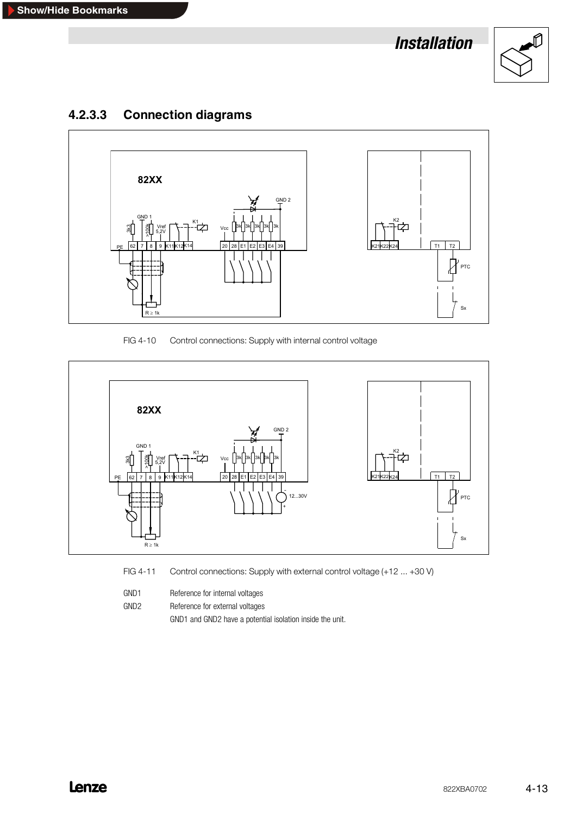#### <span id="page-28-0"></span> $4.2.3.3$ **Connection diagrams**

![](_page_28_Figure_4.jpeg)

FIG 4-10 Control connections: Supply with internal control voltage

![](_page_28_Figure_6.jpeg)

FIG 4-11 Control connections: Supply with external control voltage (+12 ... +30 V)

GND1 Reference for internal voltages

GND<sub>2</sub> Reference for external voltages

GND1 and GND2 have a potential isolation inside the unit.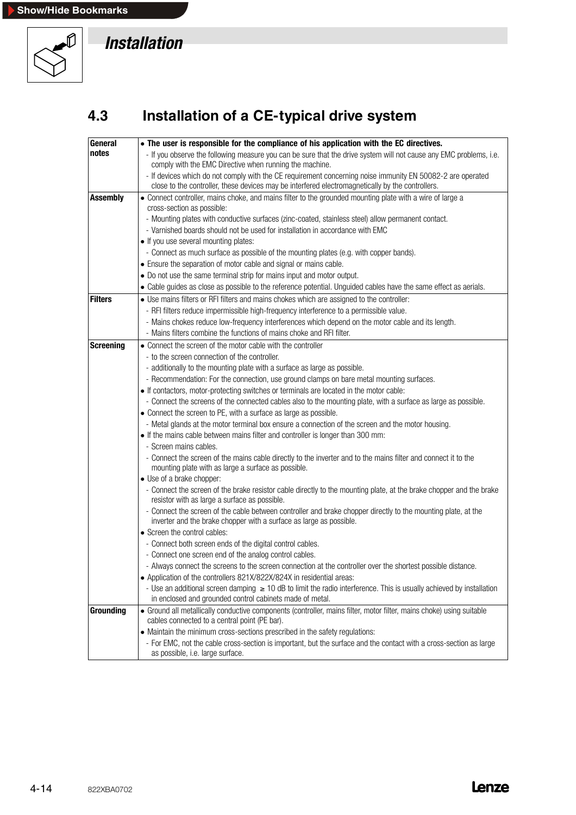<span id="page-29-0"></span>![](_page_29_Picture_1.jpeg)

## **4.3 Installation of a CE-typical drive system**

| General          | • The user is responsible for the compliance of his application with the EC directives.                                   |
|------------------|---------------------------------------------------------------------------------------------------------------------------|
| notes            | - If you observe the following measure you can be sure that the drive system will not cause any EMC problems, i.e.        |
|                  | comply with the EMC Directive when running the machine.                                                                   |
|                  | - If devices which do not comply with the CE requirement concerning noise immunity EN 50082-2 are operated                |
|                  | close to the controller, these devices may be interfered electromagnetically by the controllers.                          |
| <b>Assembly</b>  | • Connect controller, mains choke, and mains filter to the grounded mounting plate with a wire of large a                 |
|                  | cross-section as possible:                                                                                                |
|                  | - Mounting plates with conductive surfaces (zinc-coated, stainless steel) allow permanent contact.                        |
|                  | - Varnished boards should not be used for installation in accordance with EMC                                             |
|                  | • If you use several mounting plates:                                                                                     |
|                  | - Connect as much surface as possible of the mounting plates (e.g. with copper bands).                                    |
|                  | • Ensure the separation of motor cable and signal or mains cable.                                                         |
|                  | • Do not use the same terminal strip for mains input and motor output.                                                    |
|                  | • Cable guides as close as possible to the reference potential. Unguided cables have the same effect as aerials.          |
| <b>Filters</b>   | • Use mains filters or RFI filters and mains chokes which are assigned to the controller:                                 |
|                  | - RFI filters reduce impermissible high-frequency interference to a permissible value.                                    |
|                  | - Mains chokes reduce low-frequency interferences which depend on the motor cable and its length.                         |
|                  | - Mains filters combine the functions of mains choke and RFI filter.                                                      |
| <b>Screening</b> | • Connect the screen of the motor cable with the controller                                                               |
|                  | - to the screen connection of the controller.                                                                             |
|                  | - additionally to the mounting plate with a surface as large as possible.                                                 |
|                  | - Recommendation: For the connection, use ground clamps on bare metal mounting surfaces.                                  |
|                  | • If contactors, motor-protecting switches or terminals are located in the motor cable:                                   |
|                  | - Connect the screens of the connected cables also to the mounting plate, with a surface as large as possible.            |
|                  | • Connect the screen to PE, with a surface as large as possible.                                                          |
|                  | - Metal glands at the motor terminal box ensure a connection of the screen and the motor housing.                         |
|                  | • If the mains cable between mains filter and controller is longer than 300 mm:                                           |
|                  | - Screen mains cables.                                                                                                    |
|                  | - Connect the screen of the mains cable directly to the inverter and to the mains filter and connect it to the            |
|                  | mounting plate with as large a surface as possible.                                                                       |
|                  | • Use of a brake chopper:                                                                                                 |
|                  | - Connect the screen of the brake resistor cable directly to the mounting plate, at the brake chopper and the brake       |
|                  | resistor with as large a surface as possible.                                                                             |
|                  | - Connect the screen of the cable between controller and brake chopper directly to the mounting plate, at the             |
|                  | inverter and the brake chopper with a surface as large as possible.                                                       |
|                  | • Screen the control cables:                                                                                              |
|                  | - Connect both screen ends of the digital control cables.                                                                 |
|                  | - Connect one screen end of the analog control cables.                                                                    |
|                  | - Always connect the screens to the screen connection at the controller over the shortest possible distance.              |
|                  | • Application of the controllers 821X/822X/824X in residential areas:                                                     |
|                  | - Use an additional screen damping $\geq 10$ dB to limit the radio interference. This is usually achieved by installation |
|                  | in enclosed and grounded control cabinets made of metal.                                                                  |
| <b>Grounding</b> | • Ground all metallically conductive components (controller, mains filter, motor filter, mains choke) using suitable      |
|                  | cables connected to a central point (PE bar).                                                                             |
|                  | • Maintain the minimum cross-sections prescribed in the safety regulations:                                               |
|                  | - For EMC, not the cable cross-section is important, but the surface and the contact with a cross-section as large        |
|                  | as possible, i.e. large surface.                                                                                          |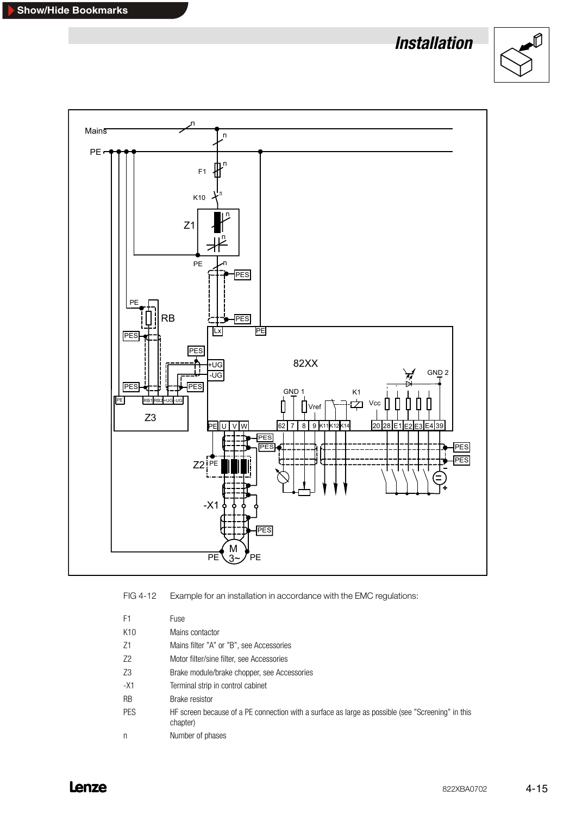![](_page_30_Picture_2.jpeg)

![](_page_30_Figure_3.jpeg)

FIG 4-12 Example for an installation in accordance with the EMC regulations:

| F1              | Fuse                                                                                                          |
|-----------------|---------------------------------------------------------------------------------------------------------------|
| K <sub>10</sub> | Mains contactor                                                                                               |
| Z1              | Mains filter "A" or "B", see Accessories                                                                      |
| Z <sub>2</sub>  | Motor filter/sine filter, see Accessories                                                                     |
| Z <sub>3</sub>  | Brake module/brake chopper, see Accessories                                                                   |
| $-X1$           | Terminal strip in control cabinet                                                                             |
| <b>RB</b>       | Brake resistor                                                                                                |
| <b>PFS</b>      | HF screen because of a PE connection with a surface as large as possible (see "Screening" in this<br>chapter) |
| n               | Number of phases                                                                                              |

![](_page_30_Picture_6.jpeg)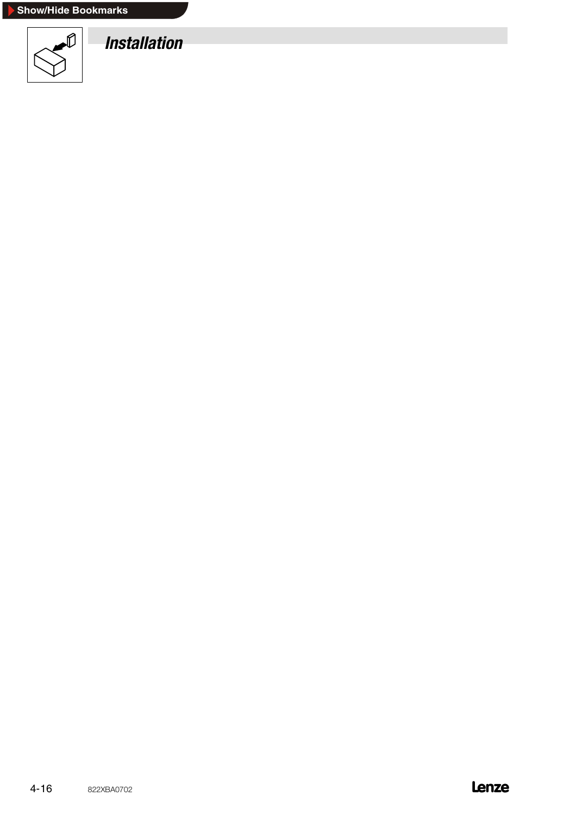![](_page_31_Picture_1.jpeg)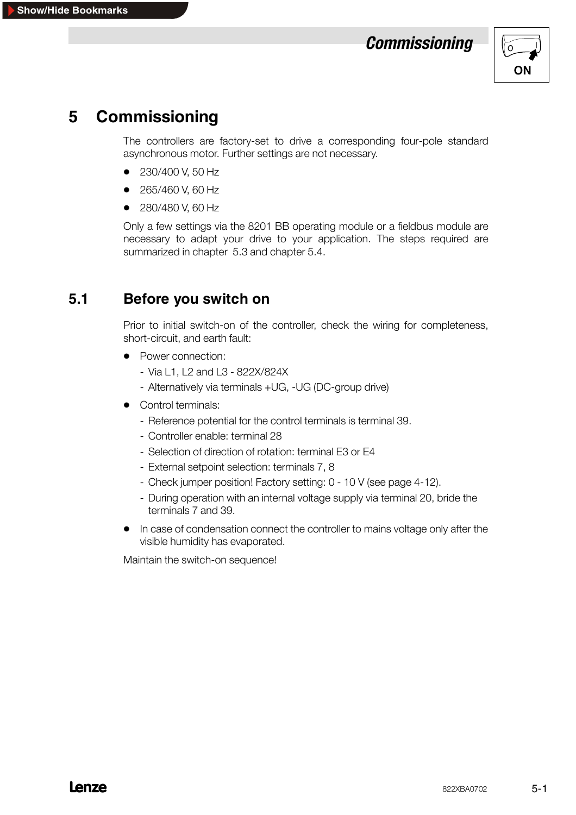![](_page_32_Picture_2.jpeg)

### <span id="page-32-0"></span> $5\phantom{1}$ **Commissioning**

The controllers are factory-set to drive a corresponding four-pole standard asynchronous motor. Further settings are not necessary.

- 230/400 V, 50 Hz  $\bullet$
- $\bullet$  265/460 V, 60 Hz
- 280/480 V, 60 Hz

Only a few settings via the 8201 BB operating module or a fieldbus module are necessary to adapt your drive to your application. The steps required are summarized in chapter 5.3 and chapter 5.4.

#### $5.1$ Before you switch on

Prior to initial switch-on of the controller, check the wiring for completeness, short-circuit, and earth fault:

- Power connection:
	- Via L1, L2 and L3 822X/824X
	- Alternatively via terminals +UG, -UG (DC-group drive)
- Control terminals:
	- Reference potential for the control terminals is terminal 39.
	- Controller enable: terminal 28
	- Selection of direction of rotation: terminal F3 or F4
	- External setpoint selection: terminals 7, 8
	- Check jumper position! Factory setting: 0 10 V (see page 4-12).
	- During operation with an internal voltage supply via terminal 20, bride the terminals 7 and 39.
- In case of condensation connect the controller to mains voltage only after the visible humidity has evaporated.

Maintain the switch-on sequence!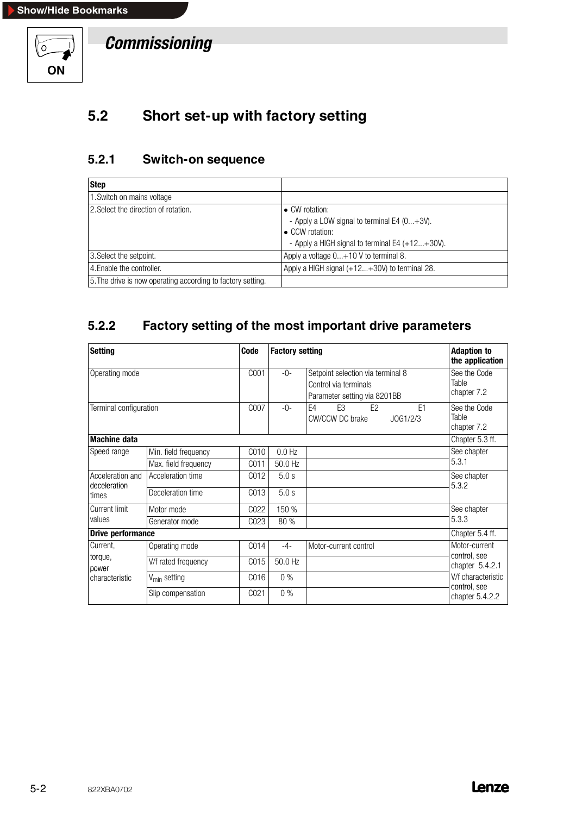<span id="page-33-0"></span>![](_page_33_Picture_1.jpeg)

## **5.2 Short set-up with factory setting**

## **5.2.1 Switch-on sequence**

| Step                                                        |                                                                                                                                        |
|-------------------------------------------------------------|----------------------------------------------------------------------------------------------------------------------------------------|
| 1. Switch on mains voltage                                  |                                                                                                                                        |
| 2. Select the direction of rotation.                        | • CW rotation:<br>- Apply a LOW signal to terminal E4 (0+3V).<br>• CCW rotation:<br>- Apply a HIGH signal to terminal E4 $(+12+30V)$ . |
| 3. Select the setpoint.                                     | Apply a voltage 0+10 V to terminal 8.                                                                                                  |
| 4. Enable the controller.                                   | Apply a HIGH signal (+12+30V) to terminal 28.                                                                                          |
| 5. The drive is now operating according to factory setting. |                                                                                                                                        |

## **5.2.2 Factory setting of the most important drive parameters**

| <b>Setting</b><br>Operating mode |                          | Code             | <b>Factory setting</b> | <b>Adaption to</b><br>the application                                                               |                                      |
|----------------------------------|--------------------------|------------------|------------------------|-----------------------------------------------------------------------------------------------------|--------------------------------------|
|                                  |                          | C001             | $-0-$                  | Setpoint selection via terminal 8<br>Control via terminals<br>Parameter setting via 8201BB          | See the Code<br>Table<br>chapter 7.2 |
| Terminal configuration           |                          | C007             | $-0-$                  | E <sub>4</sub><br>E <sub>3</sub><br>F <sub>2</sub><br>F <sub>1</sub><br>CW/CCW DC brake<br>J0G1/2/3 | See the Code<br>Table<br>chapter 7.2 |
| <b>Machine data</b>              |                          |                  |                        |                                                                                                     | Chapter 5.3 ff.                      |
| Speed range                      | Min. field frequency     | C010             | $0.0$ Hz               |                                                                                                     | See chapter                          |
|                                  | Max. field frequency     | C011             | 50.0 Hz                |                                                                                                     | 5.3.1                                |
| Acceleration and<br>deceleration | Acceleration time        | C012             | 5.0 s                  |                                                                                                     | See chapter<br>5.3.2                 |
| times                            | Deceleration time        | C013             | 5.0 s                  |                                                                                                     |                                      |
| <b>Current limit</b>             | Motor mode               | C022             | 150 %                  |                                                                                                     | See chapter                          |
| values                           | Generator mode           | C <sub>023</sub> | 80 %                   |                                                                                                     | 5.3.3                                |
| Drive performance                |                          |                  |                        |                                                                                                     | Chapter 5.4 ff.                      |
| Current,                         | Operating mode           | C014             | $-4-$                  | Motor-current control                                                                               | Motor-current<br>control, see        |
| torque,<br>power                 | V/f rated frequency      | C015             | 50.0 Hz                |                                                                                                     | chapter 5.4.2.1                      |
| characteristic                   | V <sub>min</sub> setting | C016             | $0\%$                  |                                                                                                     | V/f characteristic<br>control, see   |
|                                  | Slip compensation        | C021             | $0\%$                  |                                                                                                     | chapter 5.4.2.2                      |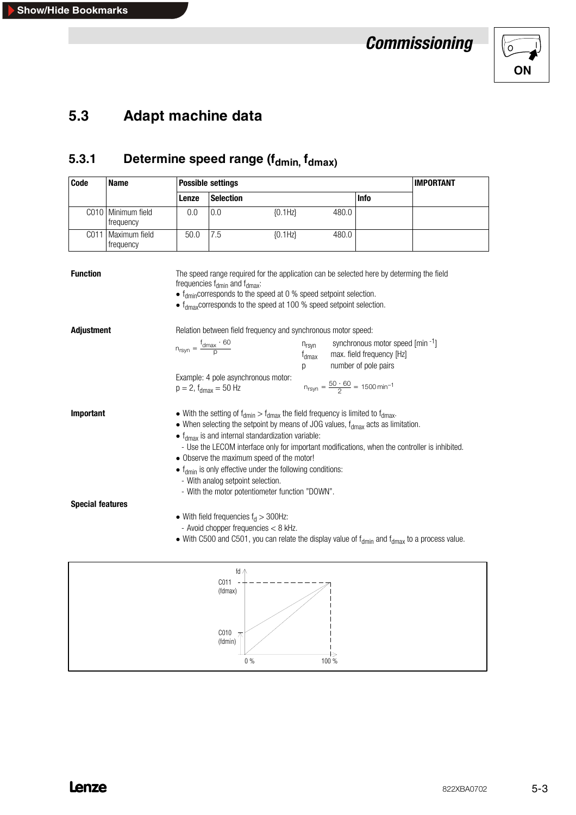![](_page_34_Picture_2.jpeg)

## <span id="page-34-0"></span>**5.3 Adapt machine data**

## 5.3.1 Determine speed range (f<sub>dmin,</sub> f<sub>dmax)</sub>

| Code                                 | Name                       | <b>Possible settings</b>                                                                                                                                                                                                                                                                                                                                                                           |                                                       |                                                                                                                                                                                             |                                                                                                                                                                                                                                                                      |      | <b>IMPORTANT</b>                                                                              |
|--------------------------------------|----------------------------|----------------------------------------------------------------------------------------------------------------------------------------------------------------------------------------------------------------------------------------------------------------------------------------------------------------------------------------------------------------------------------------------------|-------------------------------------------------------|---------------------------------------------------------------------------------------------------------------------------------------------------------------------------------------------|----------------------------------------------------------------------------------------------------------------------------------------------------------------------------------------------------------------------------------------------------------------------|------|-----------------------------------------------------------------------------------------------|
|                                      |                            | Lenze                                                                                                                                                                                                                                                                                                                                                                                              | <b>Selection</b>                                      |                                                                                                                                                                                             |                                                                                                                                                                                                                                                                      | Info |                                                                                               |
| C010                                 | Minimum field<br>frequency | 0.0                                                                                                                                                                                                                                                                                                                                                                                                | 0.0                                                   | ${0.1 Hz}$                                                                                                                                                                                  | 480.0                                                                                                                                                                                                                                                                |      |                                                                                               |
| C011                                 | Maximum field<br>frequency | 50.0                                                                                                                                                                                                                                                                                                                                                                                               | 7.5                                                   | ${0.1Hz}$                                                                                                                                                                                   | 480.0                                                                                                                                                                                                                                                                |      |                                                                                               |
| <b>Function</b>                      |                            |                                                                                                                                                                                                                                                                                                                                                                                                    | frequencies f <sub>dmin</sub> and f <sub>dmax</sub> : |                                                                                                                                                                                             | The speed range required for the application can be selected here by determing the field<br>$\bullet$ f <sub>dmin</sub> corresponds to the speed at 0 % speed setpoint selection.<br>• f <sub>dmax</sub> corresponds to the speed at 100 % speed setpoint selection. |      |                                                                                               |
| <b>Adjustment</b>                    |                            | Relation between field frequency and synchronous motor speed:<br>synchronous motor speed [min <sup>-1</sup> ]<br>$n_{rsyn} = \frac{t_{dmax} \cdot 60}{p}$<br>$n_{rsyn}$<br>max. field frequency [Hz]<br>f <sub>dmax</sub><br>number of pole pairs<br>p<br>Example: 4 pole asynchronous motor:<br>$n_{rsyn} = \frac{50 \cdot 60}{2} = 1500 \text{ min}^{-1}$<br>$p = 2$ , $f_{\text{dmax}} = 50$ Hz |                                                       |                                                                                                                                                                                             |                                                                                                                                                                                                                                                                      |      |                                                                                               |
| Important<br><b>Special features</b> |                            |                                                                                                                                                                                                                                                                                                                                                                                                    | - With analog setpoint selection.                     | $\bullet$ f <sub>dmax</sub> is and internal standardization variable:<br>. Observe the maximum speed of the motor!<br>• f <sub>dmin</sub> is only effective under the following conditions: | • With the setting of $f_{dmin} > f_{dmax}$ the field frequency is limited to $f_{dmax}$ .<br>• When selecting the setpoint by means of JOG values, f <sub>dmax</sub> acts as limitation.                                                                            |      | - Use the LECOM interface only for important modifications, when the controller is inhibited. |
|                                      |                            | - With the motor potentiometer function "DOWN".<br>• With field frequencies $f_d > 300$ Hz:<br>- Avoid chopper frequencies < 8 kHz.<br>$\bullet$ With C500 and C501, you can relate the display value of $f_{dmin}$ and $f_{dmax}$ to a process value.                                                                                                                                             |                                                       |                                                                                                                                                                                             |                                                                                                                                                                                                                                                                      |      |                                                                                               |
|                                      |                            |                                                                                                                                                                                                                                                                                                                                                                                                    | fd ∧<br>C011<br>(fdmax)<br>C010<br>(fdmin)            |                                                                                                                                                                                             |                                                                                                                                                                                                                                                                      |      |                                                                                               |

 $\begin{array}{c}\n 0 \times 100 \times 100 \\
\hline\n 0 \times 100 \times 100\n \end{array}$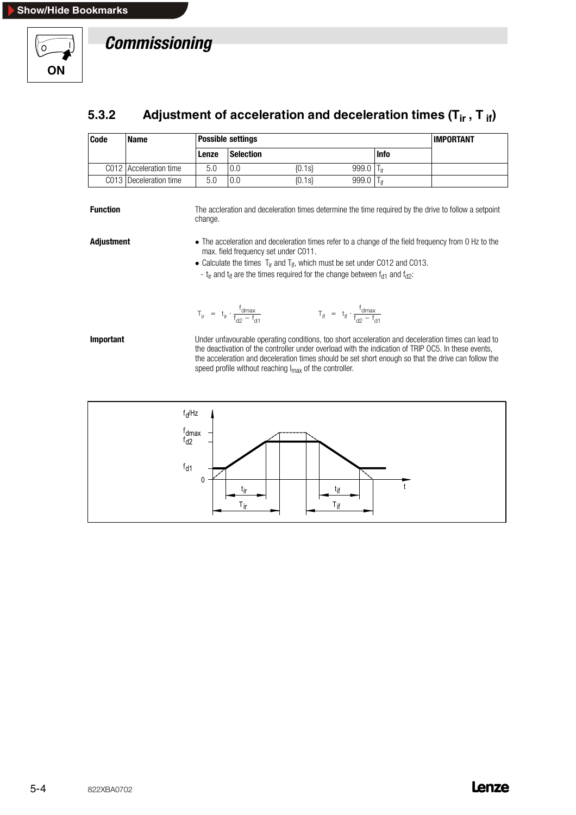<span id="page-35-0"></span>![](_page_35_Picture_1.jpeg)

## **5.3.2 Adjustment of acceleration and deceleration times (Tir , T if)**

| <b>Code</b> | <b>Name</b>            | <b>Possible settings</b> |                  | <b>I</b> IMPORTANT |       |        |  |
|-------------|------------------------|--------------------------|------------------|--------------------|-------|--------|--|
|             |                        | Lenze                    | <b>Selection</b> |                    |       | l Info |  |
|             | C012 Acceleration time | 5.0                      | 0.0              | ${0.1s}$           | 999.0 |        |  |
|             | C013 Deceleration time | 5.0                      | 0.0              | ${0.1s}$           | 999.0 |        |  |

**Function** The accleration and deceleration times determine the time required by the drive to follow a setpoint change.

- Adjustment The acceleration and deceleration times refer to a change of the field frequency from 0 Hz to the max. field frequency set under C011.
	- Calculate the times  $T_{ir}$  and  $T_{if}$ , which must be set under C012 and C013.
	- $t_{ir}$  and  $t_{if}$  are the times required for the change between  $f_{d1}$  and  $f_{d2}$ :

$$
T_{ir} = t_{ir} \cdot \frac{f_{dmax}}{f_{d2} - f_{d1}}
$$

**Important** Under unfavourable operating conditions, too short acceleration and deceleration times can lead to the deactivation of the controller under overload with the indication of TRIP OC5. In these events, the acceleration and deceleration times should be set short enough so that the drive can follow the speed profile without reaching  $I_{\text{max}}$  of the controller.

 $T_{if}$  =  $t_{if} \cdot \frac{f_{dmax}}{f_{d2} - f_{d1}}$ 

![](_page_35_Figure_14.jpeg)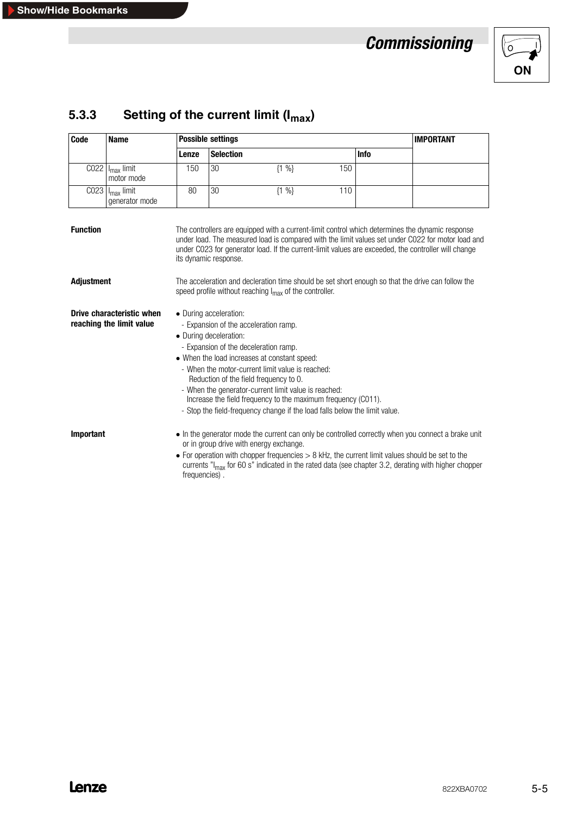![](_page_36_Picture_2.jpeg)

## <span id="page-36-0"></span>**5.3.3** Setting of the current limit (I<sub>max</sub>)

| <b>Code</b> | <b>Name</b>                              | <b>Possible settings</b> |                  |         |     |        | <b>IMPORTANT</b> |
|-------------|------------------------------------------|--------------------------|------------------|---------|-----|--------|------------------|
|             |                                          | Lenze                    | <b>Selection</b> |         |     | l Info |                  |
|             | $C022$ $I_{max}$ limit<br>motor mode     | 150                      | 30               | ${1 %}$ | 150 |        |                  |
|             | $CO23$ $I_{max}$ limit<br>generator mode | 80                       | 30               | ${1 %}$ | 110 |        |                  |

| <b>Function</b>                                       | The controllers are equipped with a current-limit control which determines the dynamic response<br>under load. The measured load is compared with the limit values set under C022 for motor load and<br>under C023 for generator load. If the current-limit values are exceeded, the controller will change<br>its dynamic response.                                                                                                                                                    |
|-------------------------------------------------------|-----------------------------------------------------------------------------------------------------------------------------------------------------------------------------------------------------------------------------------------------------------------------------------------------------------------------------------------------------------------------------------------------------------------------------------------------------------------------------------------|
| Adjustment                                            | The acceleration and decleration time should be set short enough so that the drive can follow the<br>speed profile without reaching $I_{\text{max}}$ of the controller.                                                                                                                                                                                                                                                                                                                 |
| Drive characteristic when<br>reaching the limit value | • During acceleration:<br>- Expansion of the acceleration ramp.<br>• During deceleration:<br>- Expansion of the deceleration ramp.<br>• When the load increases at constant speed:<br>- When the motor-current limit value is reached:<br>Reduction of the field frequency to 0.<br>- When the generator-current limit value is reached:<br>Increase the field frequency to the maximum frequency (C011).<br>- Stop the field-frequency change if the load falls below the limit value. |
| <b>Important</b>                                      | • In the generator mode the current can only be controlled correctly when you connect a brake unit<br>or in group drive with energy exchange.<br>• For operation with chopper frequencies $> 8$ kHz, the current limit values should be set to the<br>currents $"l_{max}$ for 60 s" indicated in the rated data (see chapter 3.2, derating with higher chopper<br>frequencies).                                                                                                         |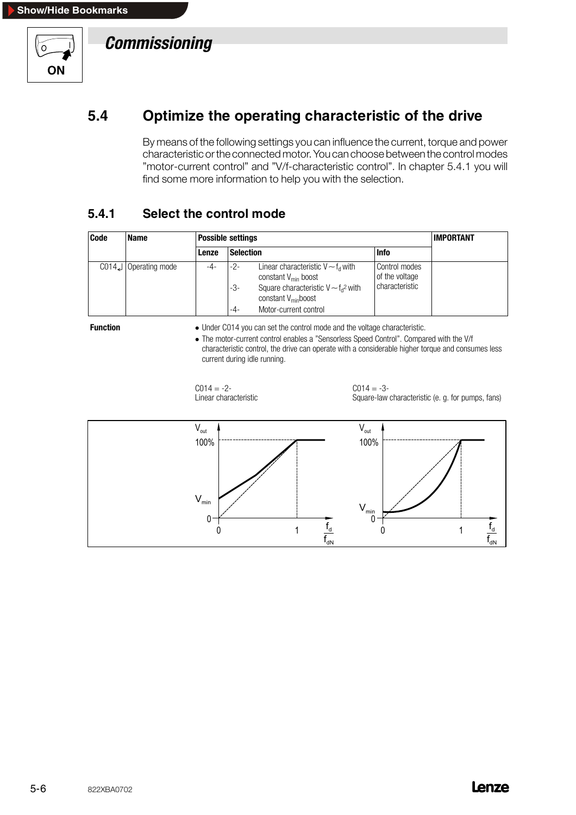<span id="page-37-0"></span>![](_page_37_Picture_1.jpeg)

### Optimize the operating characteristic of the drive  $5.4$

By means of the following settings you can influence the current, torque and power characteristic or the connected motor. You can choose between the control modes "motor-current control" and "V/f-characteristic control". In chapter 5.4.1 you will find some more information to help you with the selection.

#### $5.4.1$ Select the control mode

| <b>Code</b> | <b>Name</b>           |       | <b>Possible settings</b>                                                                                                                                                                          |                                                   | <b>IMPORTANT</b> |
|-------------|-----------------------|-------|---------------------------------------------------------------------------------------------------------------------------------------------------------------------------------------------------|---------------------------------------------------|------------------|
|             |                       | Lenze | <b>Selection</b>                                                                                                                                                                                  | <b>Info</b>                                       |                  |
|             | C014   Operating mode | -4-   | Linear characteristic $V \sim f_d$ with<br>-2-<br>constant $V_{min}$ boost<br>Square characteristic $V \sim f_d^2$ with<br>-3-<br>constant $V_{\text{min}}$ boost<br>Motor-current control<br>-4- | Control modes<br>of the voltage<br>characteristic |                  |

**Function** 

• Under C014 you can set the control mode and the voltage characteristic.

• The motor-current control enables a "Sensorless Speed Control". Compared with the V/f characteristic control, the drive can operate with a considerable higher torque and consumes less current during idle running.

 $C014 = -2$ Linear characteristic

 $C014 = -3$ Square-law characteristic (e. g. for pumps, fans)

![](_page_37_Figure_12.jpeg)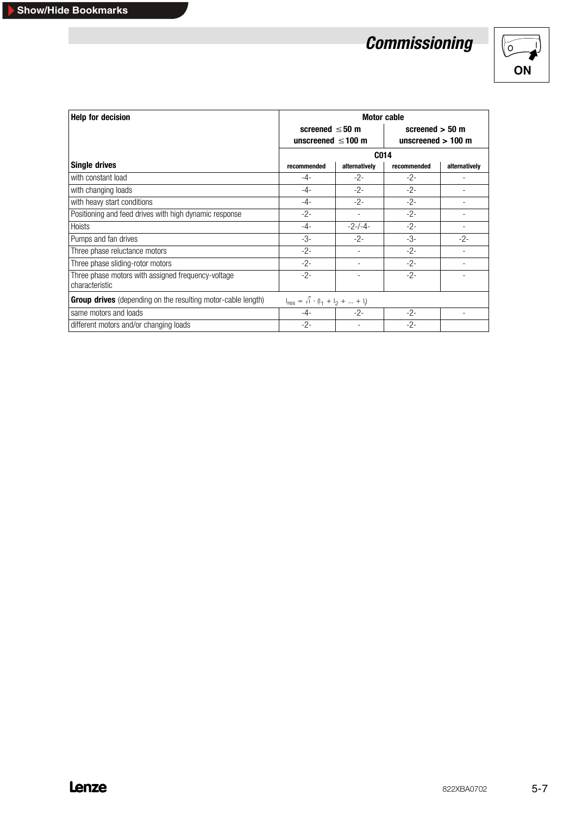![](_page_38_Picture_2.jpeg)

| <b>Help for decision</b>                                             |                                                 | <b>Motor cable</b> |                                           |               |  |  |  |  |
|----------------------------------------------------------------------|-------------------------------------------------|--------------------|-------------------------------------------|---------------|--|--|--|--|
|                                                                      | screened $\leq 50$ m<br>unscreened $\leq 100$ m |                    | screened $> 50$ m<br>unscreened $> 100$ m |               |  |  |  |  |
|                                                                      |                                                 | C014               |                                           |               |  |  |  |  |
| <b>Single drives</b>                                                 | recommended                                     | alternatively      | recommended                               | alternatively |  |  |  |  |
| with constant load                                                   | -4-                                             | $-2-$              | $-2-$                                     |               |  |  |  |  |
| with changing loads                                                  | $-4-$                                           | $-2-$              | $-2-$                                     |               |  |  |  |  |
| with heavy start conditions                                          | $-4-$                                           | $-2-$              | $-2-$                                     |               |  |  |  |  |
| Positioning and feed drives with high dynamic response               | $-2-$                                           |                    | $-2-$                                     |               |  |  |  |  |
| Hoists                                                               | $-4-$                                           | $-2$ -/-4-         | $-2-$                                     |               |  |  |  |  |
| Pumps and fan drives                                                 | $-3-$                                           | $-2-$              | $-3-$                                     | $-2-$         |  |  |  |  |
| Three phase reluctance motors                                        | $-2-$                                           |                    | $-2-$                                     |               |  |  |  |  |
| Three phase sliding-rotor motors                                     | $-2-$                                           |                    | $-2-$                                     |               |  |  |  |  |
| Three phase motors with assigned frequency-voltage<br>characteristic | $-2-$                                           |                    | $-2-$                                     |               |  |  |  |  |
| <b>Group drives</b> (depending on the resulting motor-cable length)  | $I_{res} = \sqrt{i} \cdot (l_1 + l_2 +  + l_i)$ |                    |                                           |               |  |  |  |  |
| same motors and loads                                                | $-4-$                                           | $-2-$              | $-2-$                                     |               |  |  |  |  |
| different motors and/or changing loads                               | $-2-$                                           |                    | $-2-$                                     |               |  |  |  |  |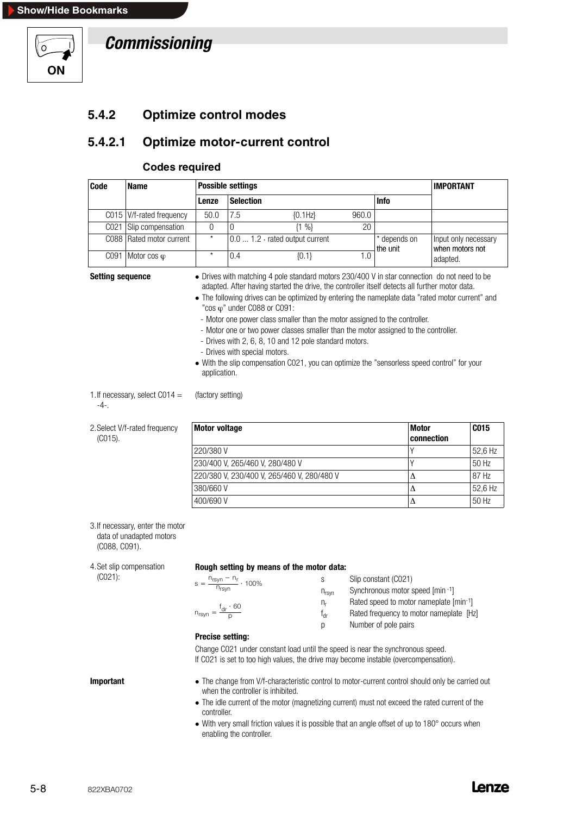<span id="page-39-0"></span>![](_page_39_Picture_1.jpeg)

## **5.4.2 Optimize control modes**

## **5.4.2.1 Optimize motor-current control**

## **Codes required**

| Code                    | <b>Name</b>                                                  |                                            | <b>Possible settings</b>                          |                                                                                                                                                                                                                                                                                                                                                                                                                                                                                                                                                                                                                                                                 |                                        |       |                                                                                                                                                                      | <b>IMPORTANT</b>            |                      |
|-------------------------|--------------------------------------------------------------|--------------------------------------------|---------------------------------------------------|-----------------------------------------------------------------------------------------------------------------------------------------------------------------------------------------------------------------------------------------------------------------------------------------------------------------------------------------------------------------------------------------------------------------------------------------------------------------------------------------------------------------------------------------------------------------------------------------------------------------------------------------------------------------|----------------------------------------|-------|----------------------------------------------------------------------------------------------------------------------------------------------------------------------|-----------------------------|----------------------|
|                         |                                                              | Lenze                                      | <b>Selection</b>                                  |                                                                                                                                                                                                                                                                                                                                                                                                                                                                                                                                                                                                                                                                 |                                        |       | Info                                                                                                                                                                 |                             |                      |
|                         | C015 V/f-rated frequency                                     | 50.0                                       | 7.5                                               | ${0.1 Hz}$                                                                                                                                                                                                                                                                                                                                                                                                                                                                                                                                                                                                                                                      |                                        | 960.0 |                                                                                                                                                                      |                             |                      |
| C021                    | Slip compensation                                            | 0                                          | 0                                                 | ${1 %}$                                                                                                                                                                                                                                                                                                                                                                                                                                                                                                                                                                                                                                                         |                                        | 20    |                                                                                                                                                                      |                             |                      |
|                         | C088 Rated motor current                                     | $\star$                                    |                                                   | 0.0  1.2 · rated output current                                                                                                                                                                                                                                                                                                                                                                                                                                                                                                                                                                                                                                 |                                        |       | * depends on                                                                                                                                                         |                             | Input only necessary |
| C091                    | Motor cos $\varphi$                                          | $\star$                                    | 0.4                                               | ${0.1}$                                                                                                                                                                                                                                                                                                                                                                                                                                                                                                                                                                                                                                                         |                                        | 1.0   | the unit                                                                                                                                                             | when motors not<br>adapted. |                      |
| <b>Setting sequence</b> |                                                              | application.                               | - Drives with special motors.                     | • Drives with matching 4 pole standard motors 230/400 V in star connection do not need to be<br>adapted. After having started the drive, the controller itself detects all further motor data.<br>• The following drives can be optimized by entering the nameplate data "rated motor current" and<br>"cos o" under C088 or C091:<br>- Motor one power class smaller than the motor assigned to the controller.<br>- Motor one or two power classes smaller than the motor assigned to the controller.<br>- Drives with 2, 6, 8, 10 and 12 pole standard motors.<br>• With the slip compensation C021, you can optimize the "sensorless speed control" for your |                                        |       |                                                                                                                                                                      |                             |                      |
| -4-.                    | 1. If necessary, select $CO14 =$                             | (factory setting)                          |                                                   |                                                                                                                                                                                                                                                                                                                                                                                                                                                                                                                                                                                                                                                                 |                                        |       |                                                                                                                                                                      |                             |                      |
| $(C015)$ .              | 2. Select V/f-rated frequency                                | <b>Motor voltage</b>                       |                                                   |                                                                                                                                                                                                                                                                                                                                                                                                                                                                                                                                                                                                                                                                 |                                        |       | <b>Motor</b>                                                                                                                                                         | connection                  | C015                 |
|                         |                                                              | 220/380 V                                  |                                                   |                                                                                                                                                                                                                                                                                                                                                                                                                                                                                                                                                                                                                                                                 |                                        |       | Υ                                                                                                                                                                    |                             | 52,6 Hz              |
|                         |                                                              |                                            |                                                   | 230/400 V, 265/460 V, 280/480 V                                                                                                                                                                                                                                                                                                                                                                                                                                                                                                                                                                                                                                 |                                        |       | Υ                                                                                                                                                                    |                             | 50 Hz                |
|                         |                                                              | 220/380 V, 230/400 V, 265/460 V, 280/480 V |                                                   |                                                                                                                                                                                                                                                                                                                                                                                                                                                                                                                                                                                                                                                                 |                                        | Δ     |                                                                                                                                                                      | 87 Hz                       |                      |
|                         |                                                              | 380/660 V                                  |                                                   |                                                                                                                                                                                                                                                                                                                                                                                                                                                                                                                                                                                                                                                                 |                                        | Δ     |                                                                                                                                                                      | 52,6 Hz                     |                      |
|                         |                                                              | 400/690 V                                  |                                                   |                                                                                                                                                                                                                                                                                                                                                                                                                                                                                                                                                                                                                                                                 |                                        |       | Δ                                                                                                                                                                    |                             | 50 Hz                |
| (C088, C091).           | 3. If necessary, enter the motor<br>data of unadapted motors |                                            |                                                   |                                                                                                                                                                                                                                                                                                                                                                                                                                                                                                                                                                                                                                                                 |                                        |       |                                                                                                                                                                      |                             |                      |
|                         | 4. Set slip compensation                                     |                                            |                                                   | Rough setting by means of the motor data:                                                                                                                                                                                                                                                                                                                                                                                                                                                                                                                                                                                                                       |                                        |       |                                                                                                                                                                      |                             |                      |
| $(C021)$ :              |                                                              | $n_{rsyn} = \frac{f_{dr} \cdot 60}{p}$     | $s = \frac{n_{rsyn} - n_r}{n_{rsvn}} \cdot 100\%$ |                                                                                                                                                                                                                                                                                                                                                                                                                                                                                                                                                                                                                                                                 | S<br>$n_{rsvn}$<br>n,<br>$t_{dr}$<br>p |       | Slip constant (CO21)<br>Synchronous motor speed [min-1]<br>Rated speed to motor nameplate [min-1]<br>Rated frequency to motor nameplate [Hz]<br>Number of pole pairs |                             |                      |
|                         |                                                              | Precise setting:                           |                                                   |                                                                                                                                                                                                                                                                                                                                                                                                                                                                                                                                                                                                                                                                 |                                        |       |                                                                                                                                                                      |                             |                      |
|                         |                                                              |                                            |                                                   | Change C021 under constant load until the speed is near the synchronous speed.<br>If C021 is set to too high values, the drive may become instable (overcompensation).                                                                                                                                                                                                                                                                                                                                                                                                                                                                                          |                                        |       |                                                                                                                                                                      |                             |                      |
| <b>Important</b>        |                                                              | controller.                                | enabling the controller.                          | • The change from V/f-characteristic control to motor-current control should only be carried out<br>when the controller is inhibited.<br>• The idle current of the motor (magnetizing current) must not exceed the rated current of the<br>• With very small friction values it is possible that an angle offset of up to 180° occurs when                                                                                                                                                                                                                                                                                                                      |                                        |       |                                                                                                                                                                      |                             |                      |

![](_page_39_Picture_8.jpeg)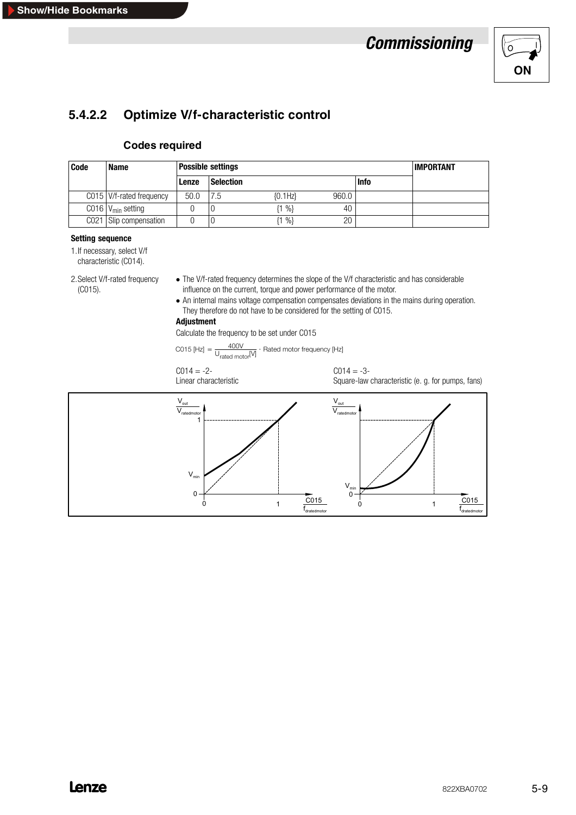![](_page_40_Picture_2.jpeg)

### <span id="page-40-0"></span>**5.4.2.2 Optimize V/f-characteristic control**

### **Codes required**

| <b>Code</b>      | <b>Name</b>                |         | <b>Possible settings</b> | <b>IMPORTANT</b> |       |        |  |
|------------------|----------------------------|---------|--------------------------|------------------|-------|--------|--|
|                  |                            | l Lenze | <b>Selection</b>         |                  |       | l Info |  |
|                  | C015   V/f-rated frequency | 50.0    | 7.5                      | ${0.1Hz}$        | 960.0 |        |  |
|                  | C016 $V_{min}$ setting     |         |                          | %}               | 40    |        |  |
| C <sub>021</sub> | Slip compensation          |         |                          | %}               | 20    |        |  |

### **Setting sequence**

(C015).

1.If necessary, select V/f characteristic (C014).

2.Select V/f-rated frequency

• The V/f-rated frequency determines the slope of the V/f characteristic and has considerable influence on the current, torque and power performance of the motor.

 $\bullet$  An internal mains voltage compensation compensates deviations in the mains during operation. They therefore do not have to be considered for the setting of C015.

### **Adjustment**

Calculate the frequency to be set under C015

 $\text{C015 [Hz]} = \frac{400 \text{V}}{\text{U}_{\text{rated motor}}[\text{V}]}}$ · Rated motor frequency [Hz]

 $CO14 = -2-$ Linear characteristic

![](_page_40_Figure_14.jpeg)

![](_page_40_Figure_15.jpeg)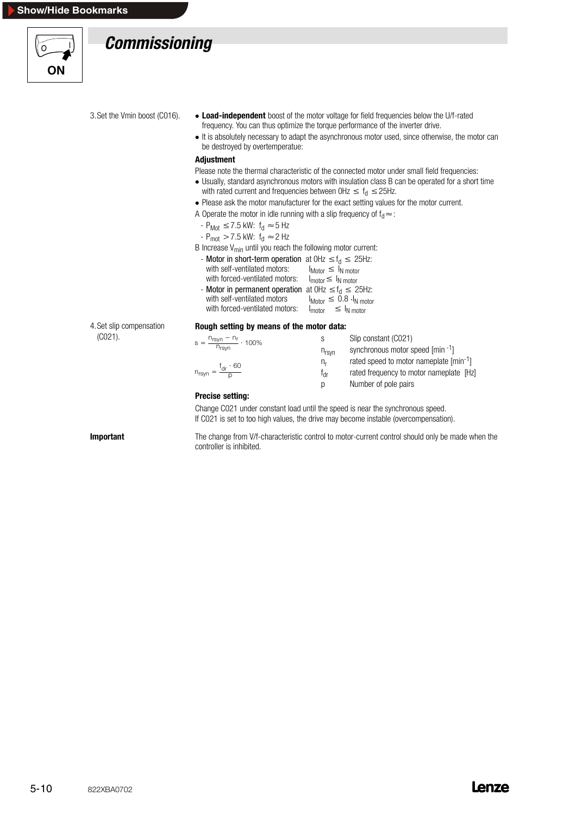![](_page_41_Picture_1.jpeg)

| 3. Set the Vmin boost (C016). | • Load-independent boost of the motor voltage for field frequencies below the U/f-rated<br>frequency. You can thus optimize the torque performance of the inverter drive.<br>• It is absolutely necessary to adapt the asynchronous motor used, since otherwise, the motor can<br>be destroyed by overtemperatue:                                                                                                                                                                                                                                                                                                                                                                                                                                                                                                                                                                                                                         |  |
|-------------------------------|-------------------------------------------------------------------------------------------------------------------------------------------------------------------------------------------------------------------------------------------------------------------------------------------------------------------------------------------------------------------------------------------------------------------------------------------------------------------------------------------------------------------------------------------------------------------------------------------------------------------------------------------------------------------------------------------------------------------------------------------------------------------------------------------------------------------------------------------------------------------------------------------------------------------------------------------|--|
|                               | <b>Adjustment</b><br>Please note the thermal characteristic of the connected motor under small field frequencies:<br>• Usually, standard asynchronous motors with insulation class B can be operated for a short time<br>with rated current and frequencies between $0Hz \le f_d \le 25Hz$ .<br>• Please ask the motor manufacturer for the exact setting values for the motor current.<br>A Operate the motor in idle running with a slip frequency of $f_d \approx$ :<br>$-P_{Mot} \le 7.5$ kW: $f_d \approx 5$ Hz<br>$- P_{\text{mot}} > 7.5$ kW: $f_{\text{d}} \approx 2$ Hz<br>B Increase $V_{\text{min}}$ until you reach the following motor current:<br>- Motor in short-term operation at $0Hz \le f_d \le 25Hz$ .<br>with self-ventilated motors:<br>$I_{Motor} \leq I_{N motor}$<br>with forced-ventilated motors:<br>$I_{\text{motor}} \leq I_{\text{N motor}}$<br>- Motor in permanent operation at $0Hz \le f_d \le 25Hz$ . |  |
|                               | with self-ventilated motors<br>$I_{\text{Motor}} \leq 0.8 \cdot I_{\text{N motor}}$<br>with forced-ventilated motors:<br>$I_{\text{motor}} \leq I_{\text{N motor}}$                                                                                                                                                                                                                                                                                                                                                                                                                                                                                                                                                                                                                                                                                                                                                                       |  |
| 4. Set slip compensation      | Rough setting by means of the motor data:                                                                                                                                                                                                                                                                                                                                                                                                                                                                                                                                                                                                                                                                                                                                                                                                                                                                                                 |  |
| $(C021)$ .                    | Slip constant (CO21)<br>$s = \frac{n_{rsyn} - n_r}{n_{rsvn}} \cdot 100\%$<br>S<br>synchronous motor speed [min <sup>-1</sup> ]<br>$n_{rsvn}$<br>rated speed to motor nameplate [min <sup>-1</sup> ]<br>$n_{r}$<br>$n_{rsyn} = \frac{f_{dr} \cdot 60}{p}$<br>rated frequency to motor nameplate [Hz]<br>$f_{dr}$<br>Number of pole pairs<br>р                                                                                                                                                                                                                                                                                                                                                                                                                                                                                                                                                                                              |  |
|                               | Precise setting:<br>Change C021 under constant load until the speed is near the synchronous speed.<br>If C021 is set to too high values, the drive may become instable (overcompensation).                                                                                                                                                                                                                                                                                                                                                                                                                                                                                                                                                                                                                                                                                                                                                |  |
|                               | .                                                                                                                                                                                                                                                                                                                                                                                                                                                                                                                                                                                                                                                                                                                                                                                                                                                                                                                                         |  |

**Important** The change from V/f-characteristic control to motor-current control should only be made when the controller is inhibited.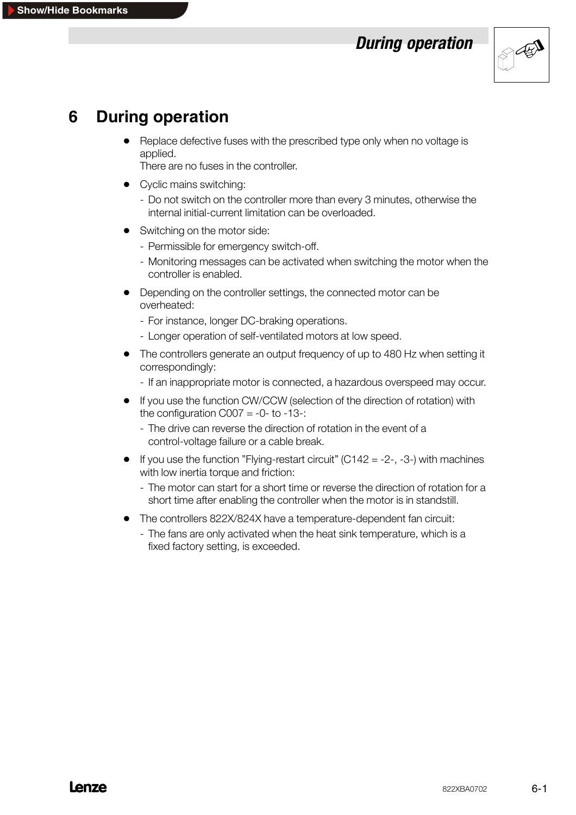## **During operation**

### <span id="page-42-0"></span>**During operation** 6

• Replace defective fuses with the prescribed type only when no voltage is applied.

There are no fuses in the controller.

- Cyclic mains switching:
	- Do not switch on the controller more than every 3 minutes, otherwise the internal initial-current limitation can be overloaded.
- Switching on the motor side:
	- Permissible for emergency switch-off.
	- Monitoring messages can be activated when switching the motor when the controller is enabled.
- Depending on the controller settings, the connected motor can be overheated:
	- For instance, longer DC-braking operations.
	- Longer operation of self-ventilated motors at low speed.
- The controllers generate an output frequency of up to 480 Hz when setting it correspondingly:
	- If an inappropriate motor is connected, a hazardous overspeed may occur.
- If you use the function CW/CCW (selection of the direction of rotation) with the configuration  $COO7 = -0$ - to -13-:
	- The drive can reverse the direction of rotation in the event of a control-voltage failure or a cable break.
- If you use the function "Flying-restart circuit" (C142 = -2-, -3-) with machines with low inertia torque and friction:
	- The motor can start for a short time or reverse the direction of rotation for a short time after enabling the controller when the motor is in standstill.
- The controllers 822X/824X have a temperature-dependent fan circuit:
	- The fans are only activated when the heat sink temperature, which is a fixed factory setting, is exceeded.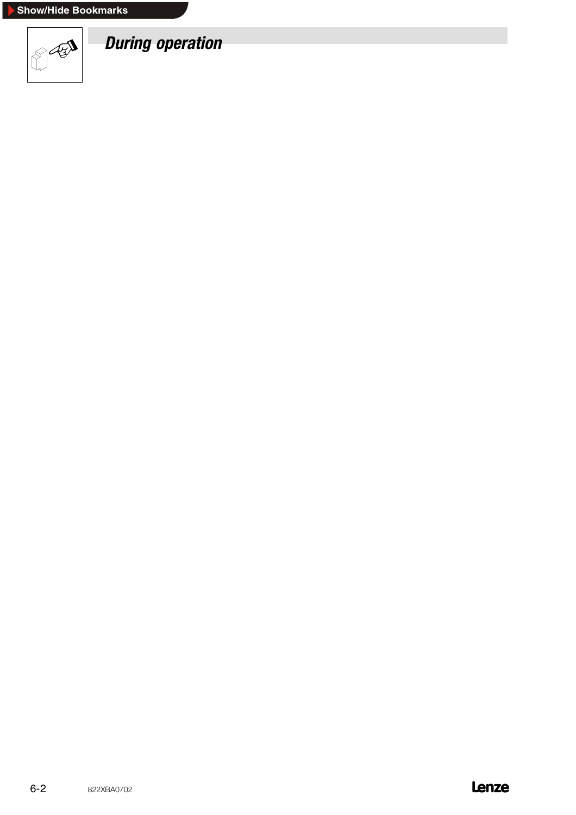![](_page_43_Picture_1.jpeg)

## **During operation**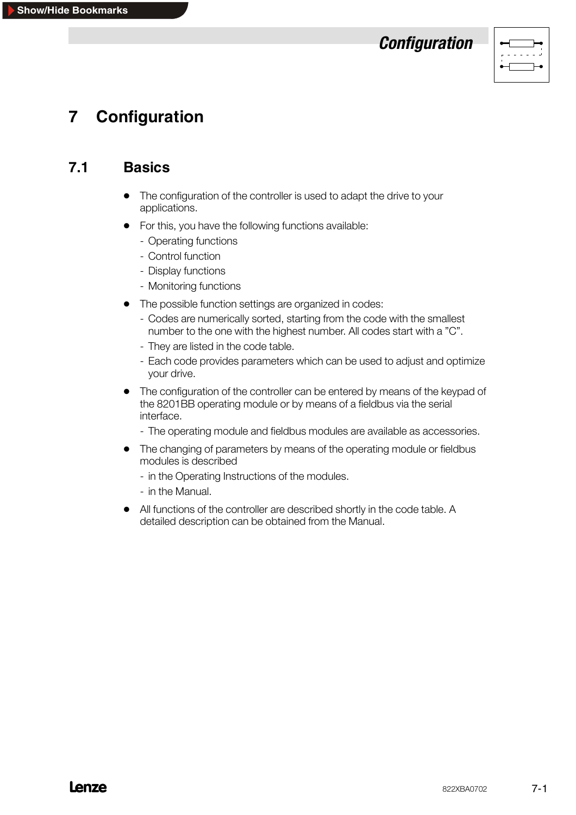![](_page_44_Picture_2.jpeg)

### <span id="page-44-0"></span>Configuration  $\overline{\mathbf{7}}$

#### **Basics**  $7.1$

- $\bullet$ The configuration of the controller is used to adapt the drive to your applications.
- For this, you have the following functions available:
	- Operating functions
	- Control function
	- Display functions
	- Monitoring functions
- The possible function settings are organized in codes:
	- Codes are numerically sorted, starting from the code with the smallest number to the one with the highest number. All codes start with a "C".
	- They are listed in the code table.
	- Each code provides parameters which can be used to adjust and optimize your drive.
- The configuration of the controller can be entered by means of the keypad of the 8201BB operating module or by means of a fieldbus via the serial interface.
	- The operating module and fieldbus modules are available as accessories.
- The changing of parameters by means of the operating module or fieldbus modules is described
	- in the Operating Instructions of the modules.
	- in the Manual.
- All functions of the controller are described shortly in the code table. A detailed description can be obtained from the Manual.

Lenze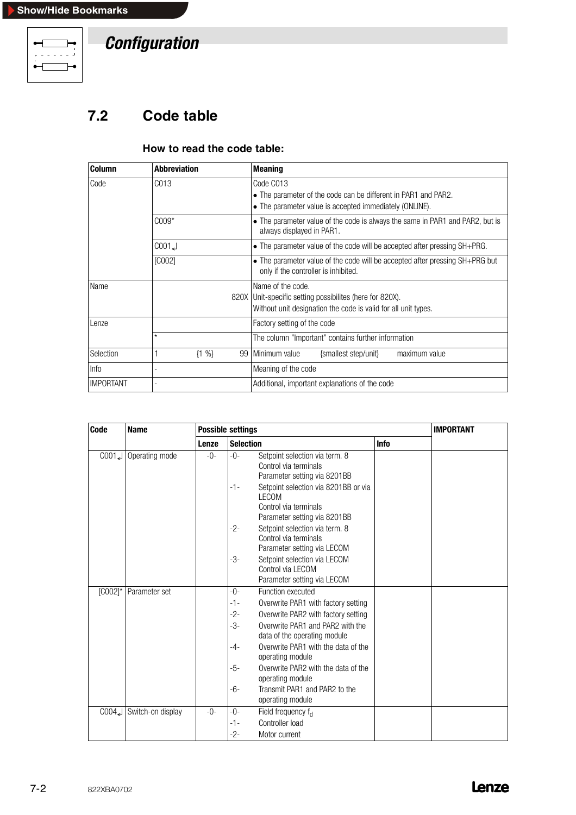<span id="page-45-0"></span>![](_page_45_Picture_1.jpeg)

## **7.2 Code table**

### **How to read the code table:**

| <b>Column</b>    | <b>Abbreviation</b> |         | <b>Meaning</b>                                                                                                                                  |  |  |
|------------------|---------------------|---------|-------------------------------------------------------------------------------------------------------------------------------------------------|--|--|
| Code             | C <sub>0</sub> 13   |         | Code C013<br>• The parameter of the code can be different in PAR1 and PAR2.<br>• The parameter value is accepted immediately (ONLINE).          |  |  |
|                  | $C009*$             |         | • The parameter value of the code is always the same in PAR1 and PAR2, but is<br>always displayed in PAR1.                                      |  |  |
|                  | C001                |         | • The parameter value of the code will be accepted after pressing SH+PRG.                                                                       |  |  |
|                  | [COO2]              |         | • The parameter value of the code will be accepted after pressing SH+PRG but<br>only if the controller is inhibited.                            |  |  |
| Name             |                     |         | Name of the code.<br>820X Unit-specific setting possibilites (here for 820X).<br>Without unit designation the code is valid for all unit types. |  |  |
| Lenze            |                     |         | Factory setting of the code                                                                                                                     |  |  |
|                  | $\star$             |         | The column "Important" contains further information                                                                                             |  |  |
| Selection        |                     | ${1 %}$ | 99 Minimum value<br>{smallest step/unit}<br>maximum value                                                                                       |  |  |
| Info             |                     |         | Meaning of the code                                                                                                                             |  |  |
| <b>IMPORTANT</b> |                     |         | Additional, important explanations of the code                                                                                                  |  |  |

| Code                  | <b>Name</b>       |       | <b>Possible settings</b> |                                                                                                                        | <b>IMPORTANT</b> |  |
|-----------------------|-------------------|-------|--------------------------|------------------------------------------------------------------------------------------------------------------------|------------------|--|
|                       |                   | Lenze | <b>Selection</b>         |                                                                                                                        | <b>Info</b>      |  |
| C001                  | Operating mode    | $-0-$ | $-0-$                    | Setpoint selection via term. 8<br>Control via terminals<br>Parameter setting via 8201BB                                |                  |  |
|                       |                   |       | $-1-$                    | Setpoint selection via 8201BB or via<br>LECOM<br>Control via terminals                                                 |                  |  |
|                       |                   |       | -2-                      | Parameter setting via 8201BB<br>Setpoint selection via term. 8<br>Control via terminals<br>Parameter setting via LECOM |                  |  |
|                       |                   |       | -3-                      | Setpoint selection via LECOM<br>Control via LECOM<br>Parameter setting via LECOM                                       |                  |  |
| $[COO2]$ <sup>*</sup> | Parameter set     |       | -0-                      | Function executed                                                                                                      |                  |  |
|                       |                   |       | $-1-$                    | Overwrite PAR1 with factory setting                                                                                    |                  |  |
|                       |                   |       | -2-                      | Overwrite PAR2 with factory setting                                                                                    |                  |  |
|                       |                   |       | $-3-$                    | Overwrite PAR1 and PAR2 with the<br>data of the operating module                                                       |                  |  |
|                       |                   |       | -4-                      | Overwrite PAR1 with the data of the<br>operating module                                                                |                  |  |
|                       |                   |       | -5-                      | Overwrite PAR2 with the data of the<br>operating module                                                                |                  |  |
|                       |                   |       | -6-                      | Transmit PAR1 and PAR2 to the<br>operating module                                                                      |                  |  |
| CO04                  | Switch-on display | $-0-$ | $-0-$                    | Field frequency f <sub>d</sub>                                                                                         |                  |  |
|                       |                   |       | $-1-$                    | Controller load                                                                                                        |                  |  |
|                       |                   |       | -2-                      | Motor current                                                                                                          |                  |  |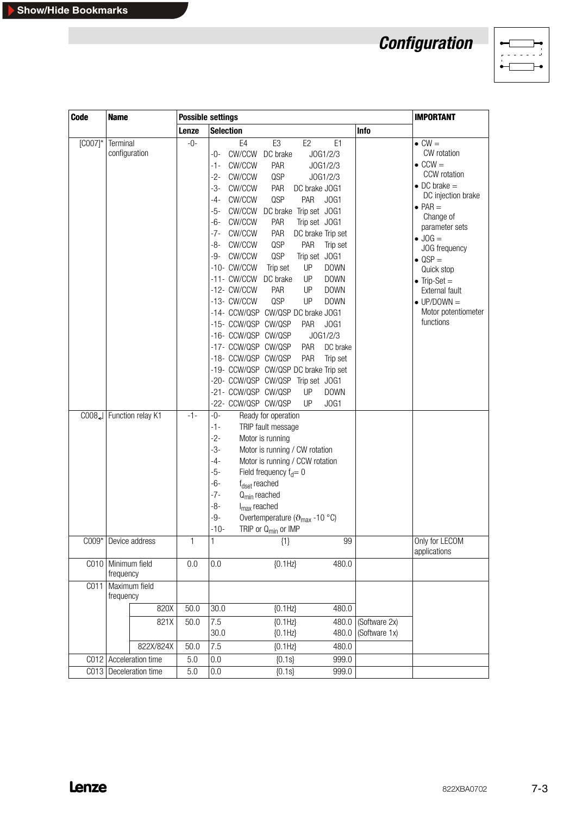![](_page_46_Picture_2.jpeg)

| <b>Code</b>      | <b>Name</b>                        |       | <b>Possible settings</b>                                                                                                                                                                                                                                                                                                                                                                                                                                                                                                                                                                                                                                                                                                                                                                                                                                                                                                                                                                                                                                     | <b>IMPORTANT</b>                                                                                                                                                                                                                                                                                                                               |
|------------------|------------------------------------|-------|--------------------------------------------------------------------------------------------------------------------------------------------------------------------------------------------------------------------------------------------------------------------------------------------------------------------------------------------------------------------------------------------------------------------------------------------------------------------------------------------------------------------------------------------------------------------------------------------------------------------------------------------------------------------------------------------------------------------------------------------------------------------------------------------------------------------------------------------------------------------------------------------------------------------------------------------------------------------------------------------------------------------------------------------------------------|------------------------------------------------------------------------------------------------------------------------------------------------------------------------------------------------------------------------------------------------------------------------------------------------------------------------------------------------|
|                  |                                    | Lenze | <b>Selection</b>                                                                                                                                                                                                                                                                                                                                                                                                                                                                                                                                                                                                                                                                                                                                                                                                                                                                                                                                                                                                                                             | Info                                                                                                                                                                                                                                                                                                                                           |
| $[COO7]$ *       | Terminal<br>configuration          | $-0-$ | E3<br>E <sub>2</sub><br>E <sub>1</sub><br>E4<br>CW/CCW<br>DC brake<br>J0G1/2/3<br>-0-<br><b>CW/CCW</b><br>PAR<br>J0G1/2/3<br>-1-<br><b>CW/CCW</b><br>QSP<br>-2-<br>J0G1/2/3<br>-3-<br><b>CW/CCW</b><br>PAR<br>DC brake JOG1<br>CW/CCW<br>QSP<br>PAR<br>JOG1<br>-4-<br><b>CW/CCW</b><br>DC brake Trip set JOG1<br>-5-<br>CW/CCW<br>PAR<br>Trip set JOG1<br>-6-<br>CW/CCW<br>PAR<br>DC brake Trip set<br>-7-<br>QSP<br>CW/CCW<br>PAR<br>Trip set<br>-8-<br>QSP<br><b>CW/CCW</b><br>Trip set JOG1<br>-9-<br>-10- CW/CCW<br>UP<br><b>DOWN</b><br>Trip set<br>-11- CW/CCW<br>DC brake<br>UP<br><b>DOWN</b><br>-12- CW/CCW<br>PAR<br>UP<br><b>DOWN</b><br>-13- CW/CCW<br>QSP<br>UP<br><b>DOWN</b><br>-14- CCW/QSP CW/QSP DC brake JOG1<br>-15- CCW/QSP CW/QSP<br>PAR<br>JOG1<br>-16- CCW/QSP CW/QSP<br>J0G1/2/3<br>-17- CCW/QSP CW/QSP<br>PAR<br>DC brake<br>-18- CCW/QSP CW/QSP<br>PAR<br>Trip set<br>-19- CCW/QSP CW/QSP DC brake Trip set<br>-20- CCW/QSP CW/QSP Trip set JOG1<br>-21- CCW/QSP CW/QSP<br>UP<br><b>DOWN</b><br>-22- CCW/QSP CW/QSP<br>UP<br>JOG1 | $\bullet$ CW $=$<br>CW rotation<br>$\bullet$ CCW $=$<br>CCW rotation<br>$\bullet$ DC brake $=$<br>DC injection brake<br>$\bullet$ PAR $=$<br>Change of<br>parameter sets<br>$\bullet$ JOG =<br>JOG frequency<br>$\bullet$ QSP =<br>Quick stop<br>• Trip-Set $=$<br>External fault<br>$\bullet$ UP/DOWN $=$<br>Motor potentiometer<br>functions |
|                  | COO8   Function relay K1           | $-1-$ | $-0-$<br>Ready for operation<br>$-1-$<br>TRIP fault message<br>Motor is running<br>-2-<br>Motor is running / CW rotation<br>-3-<br>Motor is running / CCW rotation<br>$-4-$<br>-5-<br>Field frequency $f_d = 0$<br>-6-<br>f <sub>dset</sub> reached<br>-7-<br>$Q_{\text{min}}$ reached<br>-8-<br>$I_{\text{max}}$ reached<br>Overtemperature ( $\Theta_{\text{max}}$ -10 °C)<br>-9-<br>-10-<br>TRIP or $Q_{\text{min}}$ or IMP                                                                                                                                                                                                                                                                                                                                                                                                                                                                                                                                                                                                                               |                                                                                                                                                                                                                                                                                                                                                |
|                  | C009* Device address               | 1     | $\vert$ 1<br>99<br>${1}$                                                                                                                                                                                                                                                                                                                                                                                                                                                                                                                                                                                                                                                                                                                                                                                                                                                                                                                                                                                                                                     | Only for LECOM<br>applications                                                                                                                                                                                                                                                                                                                 |
|                  | C010 Minimum field<br>frequency    | 0.0   | ${0.1 Hz}$<br>0.0<br>480.0                                                                                                                                                                                                                                                                                                                                                                                                                                                                                                                                                                                                                                                                                                                                                                                                                                                                                                                                                                                                                                   |                                                                                                                                                                                                                                                                                                                                                |
| C <sub>011</sub> | Maximum field<br>frequency<br>820X | 50.0  | 30.0<br>${0.1 Hz}$<br>480.0                                                                                                                                                                                                                                                                                                                                                                                                                                                                                                                                                                                                                                                                                                                                                                                                                                                                                                                                                                                                                                  |                                                                                                                                                                                                                                                                                                                                                |
|                  | 821X                               | 50.0  | 7.5<br>${0.1 Hz}$<br>480.0                                                                                                                                                                                                                                                                                                                                                                                                                                                                                                                                                                                                                                                                                                                                                                                                                                                                                                                                                                                                                                   | (Software 2x)                                                                                                                                                                                                                                                                                                                                  |
|                  |                                    |       | 480.0<br>30.0<br>${0.1 Hz}$                                                                                                                                                                                                                                                                                                                                                                                                                                                                                                                                                                                                                                                                                                                                                                                                                                                                                                                                                                                                                                  | (Software 1x)                                                                                                                                                                                                                                                                                                                                  |
|                  | 822X/824X                          | 50.0  | ${0.1 Hz}$<br>480.0<br>7.5                                                                                                                                                                                                                                                                                                                                                                                                                                                                                                                                                                                                                                                                                                                                                                                                                                                                                                                                                                                                                                   |                                                                                                                                                                                                                                                                                                                                                |
|                  | C012 Acceleration time             | 5.0   | 999.0<br>0.0<br>${0.1s}$                                                                                                                                                                                                                                                                                                                                                                                                                                                                                                                                                                                                                                                                                                                                                                                                                                                                                                                                                                                                                                     |                                                                                                                                                                                                                                                                                                                                                |
|                  | C013 Deceleration time             | 5.0   | 999.0<br>0.0<br>${0.1s}$                                                                                                                                                                                                                                                                                                                                                                                                                                                                                                                                                                                                                                                                                                                                                                                                                                                                                                                                                                                                                                     |                                                                                                                                                                                                                                                                                                                                                |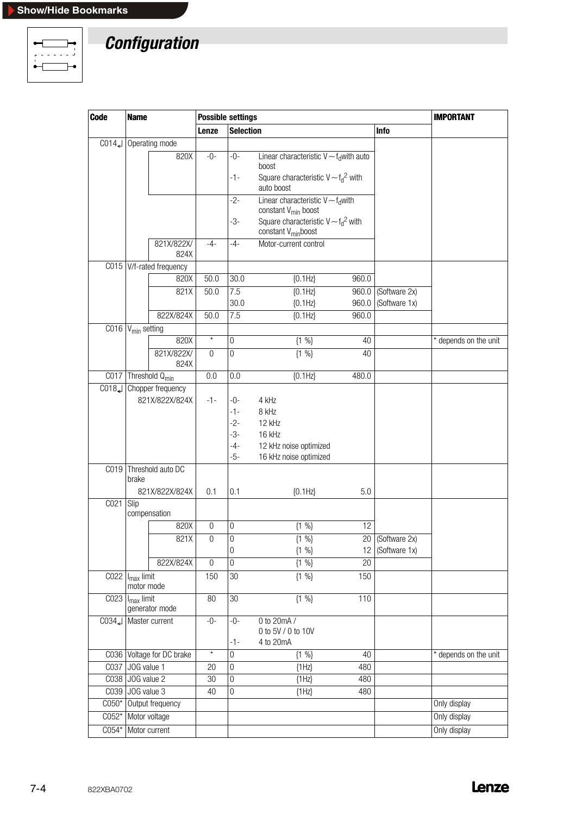![](_page_47_Picture_1.jpeg)

| <b>Code</b>      | <b>Possible settings</b><br><b>Name</b>  |                  |                                                  | <b>IMPORTANT</b>                                                                                                                                           |                                |                       |
|------------------|------------------------------------------|------------------|--------------------------------------------------|------------------------------------------------------------------------------------------------------------------------------------------------------------|--------------------------------|-----------------------|
|                  |                                          | Lenze            | <b>Selection</b>                                 |                                                                                                                                                            | Info                           |                       |
| CO14             | Operating mode                           |                  |                                                  |                                                                                                                                                            |                                |                       |
|                  | 820X                                     | $-0-$            | $-0-$<br>$-1-$                                   | Linear characteristic $V \sim f_d$ with auto<br>boost<br>Square characteristic $V \sim f_d^2$ with<br>auto boost                                           |                                |                       |
|                  |                                          |                  | $-2-$<br>$-3-$                                   | Linear characteristic $V \sim f_d$ with<br>constant V <sub>min</sub> boost<br>Square characteristic $V \sim f_d^2$ with<br>constant V <sub>min</sub> boost |                                |                       |
|                  | 821X/822X/<br>824X                       | $-4-$            | $-4-$                                            | Motor-current control                                                                                                                                      |                                |                       |
| C015             | V/f-rated frequency                      |                  |                                                  |                                                                                                                                                            |                                |                       |
|                  | 820X                                     | 50.0             | 30.0                                             | ${0.1 Hz}$<br>960.0                                                                                                                                        |                                |                       |
|                  | 821X                                     | 50.0             | 7.5<br>30.0                                      | ${0.1 Hz}$<br>960.0<br>960.0<br>${0.1 Hz}$                                                                                                                 | (Software 2x)<br>(Software 1x) |                       |
|                  | 822X/824X                                | 50.0             | 7.5                                              | ${0.1 Hz}$<br>960.0                                                                                                                                        |                                |                       |
| C <sub>016</sub> | V <sub>min</sub> setting                 |                  |                                                  |                                                                                                                                                            |                                |                       |
|                  | 820X                                     | $\star$          | $\boldsymbol{0}$                                 | ${1 %}$<br>40                                                                                                                                              |                                | * depends on the unit |
|                  | 821X/822X/<br>824X                       | $\overline{0}$   | $\boldsymbol{0}$                                 | ${1 %}$<br>40                                                                                                                                              |                                |                       |
| C017             | Threshold Q <sub>min</sub>               | 0.0              | 0.0                                              | ${0.1 Hz}$<br>480.0                                                                                                                                        |                                |                       |
| CO18             | Chopper frequency<br>821X/822X/824X      | $-1-$            | -0-<br>$-1-$<br>$-2-$<br>$-3-$<br>$-4-$<br>$-5-$ | 4 kHz<br>8 kHz<br>12 kHz<br>16 kHz<br>12 kHz noise optimized<br>16 kHz noise optimized                                                                     |                                |                       |
| C019             | Threshold auto DC<br>brake               |                  |                                                  |                                                                                                                                                            |                                |                       |
|                  | 821X/822X/824X                           | 0.1              | 0.1                                              | ${0.1 Hz}$<br>5.0                                                                                                                                          |                                |                       |
| C021 Slip        | compensation                             |                  |                                                  |                                                                                                                                                            |                                |                       |
|                  | 820X                                     | $\boldsymbol{0}$ | $\boldsymbol{0}$                                 | $\{1\% \}$<br>12                                                                                                                                           |                                |                       |
|                  | 821X                                     | 0                | $\overline{0}$<br>$\boldsymbol{0}$               | ${1 %}$<br>20<br>${1 %}$<br>12                                                                                                                             | (Software 2x)<br>(Software 1x) |                       |
|                  | 822X/824X                                | $\overline{0}$   | $\boldsymbol{0}$                                 | ${1 %}$<br>20                                                                                                                                              |                                |                       |
| C022             | $I_{\text{max}}$ limit<br>motor mode     | 150              | 30                                               | $\sqrt{1 \%}$<br>150                                                                                                                                       |                                |                       |
| C023             | $I_{\text{max}}$ limit<br>generator mode | 80               | 30                                               | ${1 %}$<br>110                                                                                                                                             |                                |                       |
| CO34             | Master current                           | $-0-$            | $-0-$<br>$-1-$                                   | 0 to 20mA /<br>0 to 5V / 0 to 10V<br>4 to 20mA                                                                                                             |                                |                       |
| C <sub>036</sub> | Voltage for DC brake                     | $\star$          | $\boldsymbol{0}$                                 | ${1 %}$<br>40                                                                                                                                              |                                | * depends on the unit |
| C037             | JOG value 1                              | 20               | $\boldsymbol{0}$                                 | 480<br>${1 Hz}$                                                                                                                                            |                                |                       |
| C038             | JOG value 2                              | 30               | $\boldsymbol{0}$                                 | ${1 Hz}$<br>480                                                                                                                                            |                                |                       |
| C039             | JOG value 3                              | 40               | $\boldsymbol{0}$                                 | 480<br>${1 Hz}$                                                                                                                                            |                                |                       |
| $CO50*$          | Output frequency                         |                  |                                                  |                                                                                                                                                            |                                | Only display          |
| $CO52*$          | Motor voltage                            |                  |                                                  |                                                                                                                                                            |                                | Only display          |
| $CO54*$          | Motor current                            |                  |                                                  |                                                                                                                                                            |                                | Only display          |

![](_page_47_Picture_5.jpeg)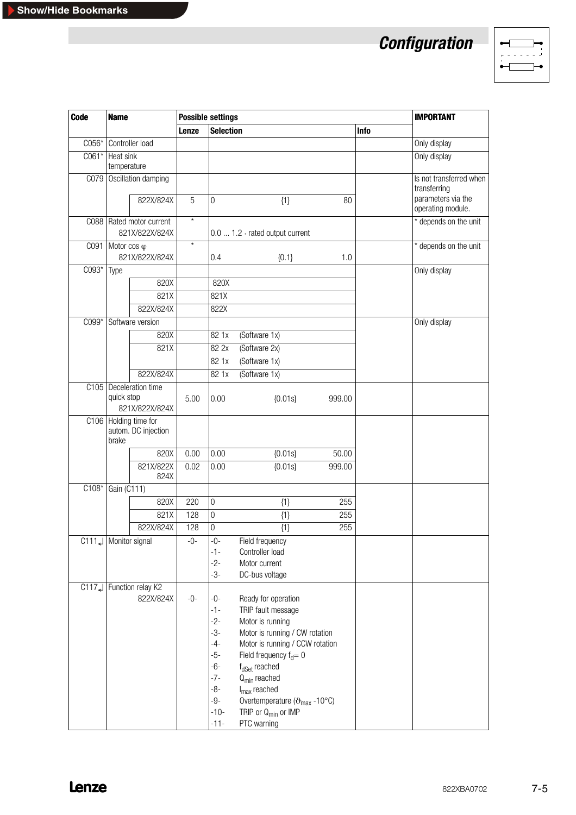![](_page_48_Picture_2.jpeg)

| <b>Code</b> | <b>Name</b>                  |         | <b>Possible settings</b> |                                                |        | <b>IMPORTANT</b> |                                    |
|-------------|------------------------------|---------|--------------------------|------------------------------------------------|--------|------------------|------------------------------------|
|             |                              | Lenze   | <b>Selection</b>         |                                                |        | Info             |                                    |
| C056*       | Controller load              |         |                          |                                                |        |                  | Only display                       |
| C061*       | Heat sink                    |         |                          |                                                |        |                  | Only display                       |
|             | temperature                  |         |                          |                                                |        |                  |                                    |
| C079        | Oscillation damping          |         |                          |                                                |        |                  | Is not transferred when            |
|             | 822X/824X                    | 5       | 0                        | ${1}$                                          | 80     |                  | transferring<br>parameters via the |
|             |                              |         |                          |                                                |        |                  | operating module.                  |
|             | C088 Rated motor current     | $\star$ |                          |                                                |        |                  | * depends on the unit              |
|             | 821X/822X/824X               |         |                          | 0.0  1.2 · rated output current                |        |                  |                                    |
|             | C091 Motor cos $\varphi$     | $\star$ |                          |                                                |        |                  | * depends on the unit              |
|             | 821X/822X/824X               |         | 0.4                      | ${0.1}$                                        | 1.0    |                  |                                    |
| C093*       | Type                         |         |                          |                                                |        |                  | Only display                       |
|             | 820X                         |         | 820X                     |                                                |        |                  |                                    |
|             | 821X                         |         | 821X                     |                                                |        |                  |                                    |
|             | 822X/824X                    |         | 822X                     |                                                |        |                  |                                    |
| $CO99*$     | Software version             |         |                          |                                                |        |                  | Only display                       |
|             | 820X                         |         | 82 1x                    | (Software 1x)                                  |        |                  |                                    |
|             | 821X                         |         | 82 2x                    | (Software 2x)                                  |        |                  |                                    |
|             |                              |         | 82 1x                    | (Software 1x)                                  |        |                  |                                    |
|             | 822X/824X                    |         | 82 1x                    | (Software 1x)                                  |        |                  |                                    |
|             | C105 Deceleration time       |         |                          |                                                |        |                  |                                    |
|             | quick stop<br>821X/822X/824X | 5.00    | 0.00                     | ${0.01s}$                                      | 999.00 |                  |                                    |
|             | C106 Holding time for        |         |                          |                                                |        |                  |                                    |
|             | autom. DC injection          |         |                          |                                                |        |                  |                                    |
|             | brake                        |         |                          |                                                |        |                  |                                    |
|             | 820X                         | 0.00    | 0.00                     | ${0.01s}$                                      | 50.00  |                  |                                    |
|             | 821X/822X                    | 0.02    | 0.00                     | ${0.01s}$                                      | 999.00 |                  |                                    |
|             | 824X                         |         |                          |                                                |        |                  |                                    |
| $C108*$     | Gain (C111)                  |         |                          |                                                |        |                  |                                    |
|             | 820X                         | 220     | $\overline{0}$           | ${1}$                                          | 255    |                  |                                    |
|             | 821X                         | 128     | $\boldsymbol{0}$         | ${1}$                                          | 255    |                  |                                    |
|             | 822X/824X                    | 128     | 0                        | ${1}$                                          | 255    |                  |                                    |
|             | C111 J Monitor signal        | $-()$ - | $-0-$                    | Field frequency                                |        |                  |                                    |
|             |                              |         | $-1-$                    | Controller load                                |        |                  |                                    |
|             |                              |         | $-2-$<br>-3-             | Motor current<br>DC-bus voltage                |        |                  |                                    |
| C117        | Function relay K2            |         |                          |                                                |        |                  |                                    |
|             | 822X/824X                    | $-0-$   | $-0-$                    | Ready for operation                            |        |                  |                                    |
|             |                              |         | $-1-$                    | TRIP fault message                             |        |                  |                                    |
|             |                              |         | $-2-$                    | Motor is running                               |        |                  |                                    |
|             |                              |         | $-3-$                    | Motor is running / CW rotation                 |        |                  |                                    |
|             |                              |         | -4-                      | Motor is running / CCW rotation                |        |                  |                                    |
|             |                              |         | -5-                      | Field frequency $f_d = 0$                      |        |                  |                                    |
|             |                              |         | $-6-$                    | $f_{dSet}$ reached                             |        |                  |                                    |
|             |                              |         | $-7-$                    | Q <sub>min</sub> reached                       |        |                  |                                    |
|             |                              |         | -8-                      | I <sub>max</sub> reached                       |        |                  |                                    |
|             |                              |         | $-9-$                    | Overtemperature ( $\Theta_{\text{max}}$ -10°C) |        |                  |                                    |
|             |                              |         | $-10-$                   | TRIP or $Q_{\text{min}}$ or IMP                |        |                  |                                    |
|             |                              |         | $-11-$                   | PTC warning                                    |        |                  |                                    |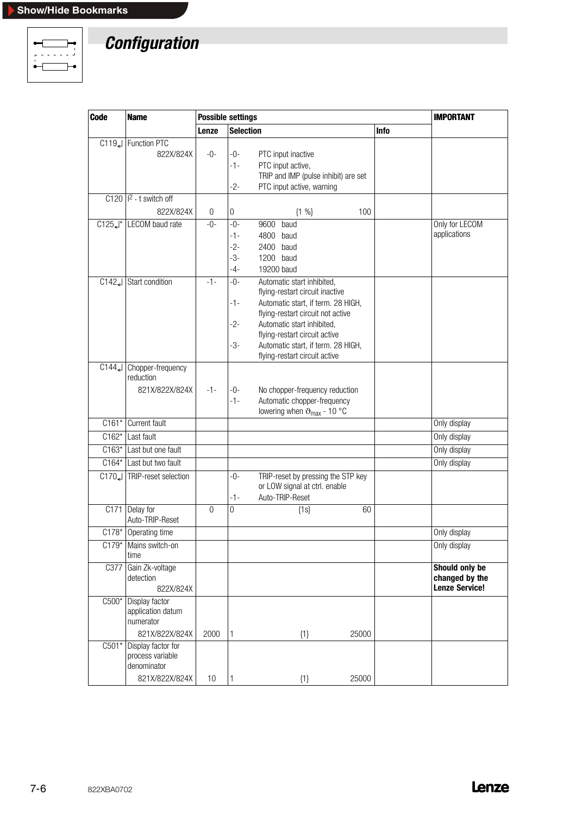![](_page_49_Picture_1.jpeg)

| <b>Code</b>         | <b>Name</b>                                                             | <b>Possible settings</b> |                                           | <b>IMPORTANT</b>                                                                                                                                                                                                                                                               |             |                                                    |
|---------------------|-------------------------------------------------------------------------|--------------------------|-------------------------------------------|--------------------------------------------------------------------------------------------------------------------------------------------------------------------------------------------------------------------------------------------------------------------------------|-------------|----------------------------------------------------|
|                     |                                                                         | Lenze                    | <b>Selection</b>                          |                                                                                                                                                                                                                                                                                | <b>Info</b> |                                                    |
| C119                | Function PTC<br>822X/824X                                               | $-0-$                    | $-0-$<br>$-1-$<br>$-2-$                   | PTC input inactive<br>PTC input active,<br>TRIP and IMP (pulse inhibit) are set<br>PTC input active, warning                                                                                                                                                                   |             |                                                    |
| C120                | $1^2 \cdot t$ switch off                                                |                          |                                           |                                                                                                                                                                                                                                                                                |             |                                                    |
|                     | 822X/824X                                                               | $\boldsymbol{0}$         | $\boldsymbol{0}$                          | ${1 %}$<br>100                                                                                                                                                                                                                                                                 |             |                                                    |
| $C125$ <sup>*</sup> | <b>LECOM</b> baud rate                                                  | $-0-$                    | $-0-$<br>$-1-$<br>$-2-$<br>$-3-$<br>$-4-$ | 9600<br>baud<br>4800 baud<br>2400 baud<br>1200 baud<br>19200 baud                                                                                                                                                                                                              |             | Only for LECOM<br>applications                     |
| C142                | Start condition                                                         | $-1-$                    | -0-<br>$-1-$<br>$-2-$<br>$-3-$            | Automatic start inhibited,<br>flying-restart circuit inactive<br>Automatic start, if term. 28 HIGH,<br>flying-restart circuit not active<br>Automatic start inhibited,<br>flying-restart circuit active<br>Automatic start, if term. 28 HIGH,<br>flying-restart circuit active |             |                                                    |
| C144                | Chopper-frequency                                                       |                          |                                           |                                                                                                                                                                                                                                                                                |             |                                                    |
|                     | reduction<br>821X/822X/824X                                             | $-1-$                    | $-0-$<br>$-1-$                            | No chopper-frequency reduction<br>Automatic chopper-frequency<br>lowering when $\Theta_{\text{max}}$ - 10 °C                                                                                                                                                                   |             |                                                    |
| $C161*$             | Current fault                                                           |                          |                                           |                                                                                                                                                                                                                                                                                |             | Only display                                       |
| $C162*$             | Last fault                                                              |                          |                                           |                                                                                                                                                                                                                                                                                |             | Only display                                       |
| $C163*$             | Last but one fault                                                      |                          |                                           |                                                                                                                                                                                                                                                                                |             | Only display                                       |
| $C164*$             | Last but two fault                                                      |                          |                                           |                                                                                                                                                                                                                                                                                |             | Only display                                       |
| C170                | TRIP-reset selection                                                    |                          | $-0-$<br>$-1-$                            | TRIP-reset by pressing the STP key<br>or LOW signal at ctrl. enable<br>Auto-TRIP-Reset                                                                                                                                                                                         |             |                                                    |
| C <sub>171</sub>    | Delay for<br>Auto-TRIP-Reset                                            | 0                        | $\overline{0}$                            | 60<br>${1s}$                                                                                                                                                                                                                                                                   |             |                                                    |
| $C178*$             | Operating time                                                          |                          |                                           |                                                                                                                                                                                                                                                                                |             | Only display                                       |
| $C179*$             | Mains switch-on<br>time                                                 |                          |                                           |                                                                                                                                                                                                                                                                                |             | Only display                                       |
| C377                | Gain Zk-voltage<br>detection<br>822X/824X                               |                          |                                           |                                                                                                                                                                                                                                                                                |             | Should only be<br>changed by the<br>Lenze Service! |
| $C500*$             | Display factor<br>application datum<br>numerator<br>821X/822X/824X      | 2000                     | $\vert$ 1                                 | 25000<br>${1}$                                                                                                                                                                                                                                                                 |             |                                                    |
| $C501*$             | Display factor for<br>process variable<br>denominator<br>821X/822X/824X | 10                       | $\overline{1}$                            | ${1}$<br>25000                                                                                                                                                                                                                                                                 |             |                                                    |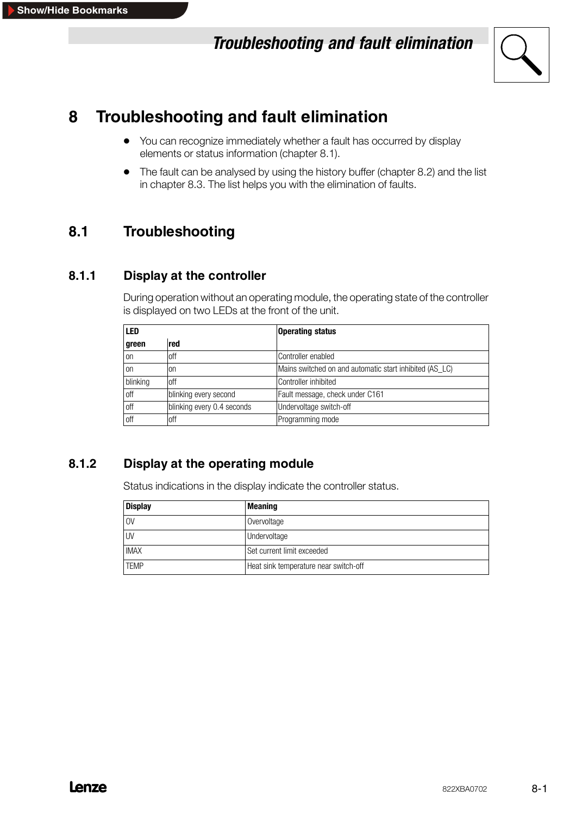![](_page_50_Picture_2.jpeg)

## <span id="page-50-0"></span>**8 Troubleshooting and fault elimination**

- You can recognize immediately whether a fault has occurred by display elements or status information (chapter 8.1).
- The fault can be analysed by using the history buffer (chapter 8.2) and the list in chapter 8.3. The list helps you with the elimination of faults.

## **8.1 Troubleshooting**

### **8.1.1 Display at the controller**

During operation without an operating module, the operating state of the controller is displayed on two LEDs at the front of the unit.

| <b>LED</b> |                            | <b>Operating status</b>                                 |
|------------|----------------------------|---------------------------------------------------------|
| green      | red                        |                                                         |
| on         | off                        | Controller enabled                                      |
| on         | on                         | Mains switched on and automatic start inhibited (AS LC) |
| blinking   | off                        | Controller inhibited                                    |
| off        | blinking every second      | Fault message, check under C161                         |
| off        | blinking every 0.4 seconds | Undervoltage switch-off                                 |
| off        | off                        | Programming mode                                        |

### **8.1.2 Display at the operating module**

Status indications in the display indicate the controller status.

| <b>Display</b> | <b>Meaning</b>                        |
|----------------|---------------------------------------|
| <b>OV</b>      | Overvoltage                           |
| <b>UV</b>      | Undervoltage                          |
| <b>IMAX</b>    | Set current limit exceeded            |
| <b>TEMP</b>    | Heat sink temperature near switch-off |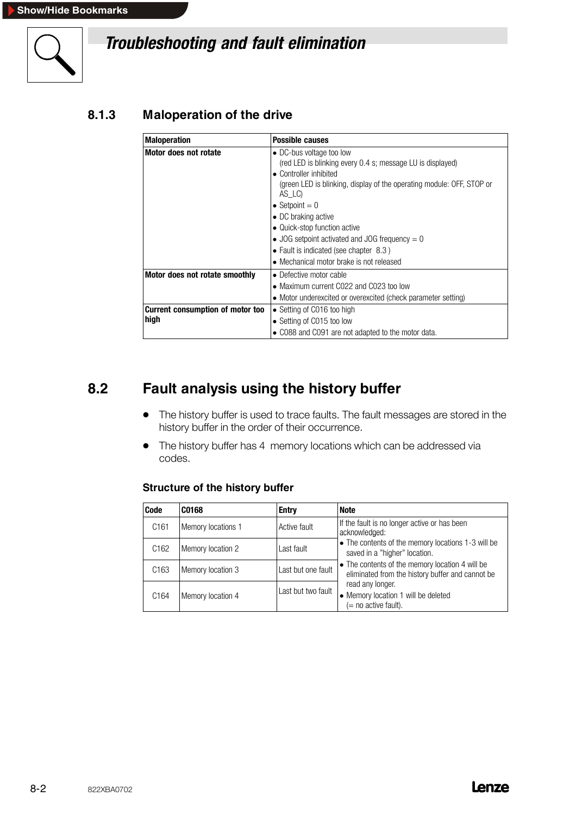<span id="page-51-0"></span>![](_page_51_Picture_1.jpeg)

### **8.1.3 Maloperation of the drive**

| <b>Maloperation</b>                             | <b>Possible causes</b>                                                                                                                                                                                                                                                                                                                                                                                                   |
|-------------------------------------------------|--------------------------------------------------------------------------------------------------------------------------------------------------------------------------------------------------------------------------------------------------------------------------------------------------------------------------------------------------------------------------------------------------------------------------|
| Motor does not rotate                           | • DC-bus voltage too low<br>(red LED is blinking every 0.4 s; message LU is displayed)<br>• Controller inhibited<br>(green LED is blinking, display of the operating module: OFF, STOP or<br>AS LC)<br>• Setpoint $= 0$<br>• DC braking active<br>• Quick-stop function active<br>• JOG setpoint activated and JOG frequency $= 0$<br>• Fault is indicated (see chapter 8.3)<br>• Mechanical motor brake is not released |
| Motor does not rotate smoothly                  | • Defective motor cable<br>• Maximum current C022 and C023 too low<br>• Motor underexcited or overexcited (check parameter setting)                                                                                                                                                                                                                                                                                      |
| <b>Current consumption of motor too</b><br>high | • Setting of C016 too high<br>• Setting of C015 too low<br>• C088 and C091 are not adapted to the motor data.                                                                                                                                                                                                                                                                                                            |

## **8.2 Fault analysis using the history buffer**

- $\bullet$  The history buffer is used to trace faults. The fault messages are stored in the history buffer in the order of their occurrence.
- $\bullet$  The history buffer has 4 memory locations which can be addressed via codes.

### **Structure of the history buffer**

| Code             | C0168              | <b>Entry</b>       | <b>Note</b>                                                                                         |
|------------------|--------------------|--------------------|-----------------------------------------------------------------------------------------------------|
| C <sub>161</sub> | Memory locations 1 | Active fault       | If the fault is no longer active or has been<br>acknowledged:                                       |
| C <sub>162</sub> | Memory location 2  | Last fault         | • The contents of the memory locations 1-3 will be<br>saved in a "higher" location.                 |
| C <sub>163</sub> | Memory location 3  | Last but one fault | • The contents of the memory location 4 will be<br>eliminated from the history buffer and cannot be |
| C <sub>164</sub> | Memory location 4  | Last but two fault | read any longer.<br>• Memory location 1 will be deleted<br>(= no active fault).                     |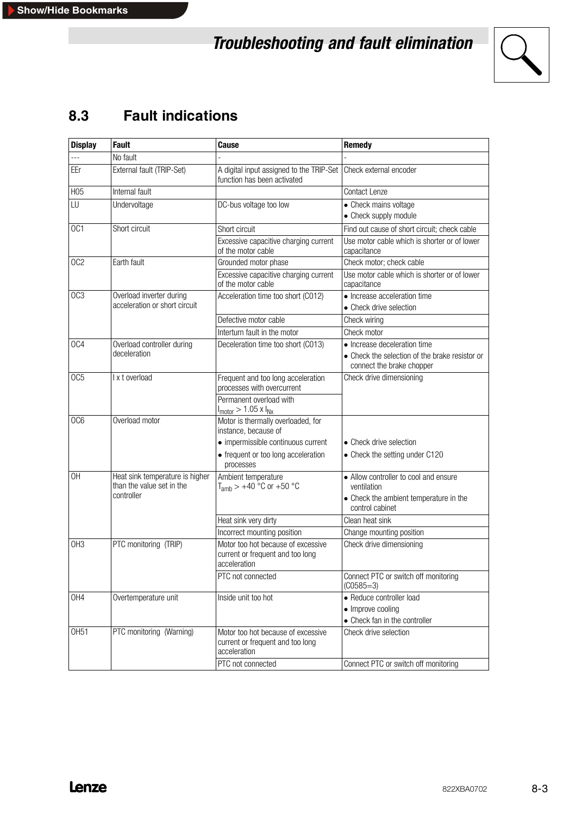![](_page_52_Picture_2.jpeg)

## <span id="page-52-0"></span>**8.3 Fault indications**

| <b>Display</b>  | <b>Fault</b>                                                               | Cause                                                                                                                                      | Remedy                                                                                                            |
|-----------------|----------------------------------------------------------------------------|--------------------------------------------------------------------------------------------------------------------------------------------|-------------------------------------------------------------------------------------------------------------------|
|                 | No fault                                                                   |                                                                                                                                            |                                                                                                                   |
| EEr             | External fault (TRIP-Set)                                                  | A digital input assigned to the TRIP-Set<br>function has been activated                                                                    | Check external encoder                                                                                            |
| H05             | Internal fault                                                             |                                                                                                                                            | <b>Contact Lenze</b>                                                                                              |
| LU              | Undervoltage                                                               | DC-bus voltage too low                                                                                                                     | • Check mains voltage<br>• Check supply module                                                                    |
| OC <sub>1</sub> | Short circuit                                                              | Short circuit                                                                                                                              | Find out cause of short circuit; check cable                                                                      |
|                 |                                                                            | Excessive capacitive charging current<br>of the motor cable                                                                                | Use motor cable which is shorter or of lower<br>capacitance                                                       |
| OC <sub>2</sub> | Earth fault                                                                | Grounded motor phase                                                                                                                       | Check motor; check cable                                                                                          |
|                 |                                                                            | Excessive capacitive charging current<br>of the motor cable                                                                                | Use motor cable which is shorter or of lower<br>capacitance                                                       |
| OC <sub>3</sub> | Overload inverter during<br>acceleration or short circuit                  | Acceleration time too short (C012)                                                                                                         | • Increase acceleration time<br>• Check drive selection                                                           |
|                 |                                                                            | Defective motor cable                                                                                                                      | Check wiring                                                                                                      |
|                 |                                                                            | Interturn fault in the motor                                                                                                               | Check motor                                                                                                       |
| OC4             | Overload controller during<br>deceleration                                 | Deceleration time too short (C013)                                                                                                         | • Increase deceleration time<br>• Check the selection of the brake resistor or<br>connect the brake chopper       |
| OC <sub>5</sub> | I x t overload                                                             | Frequent and too long acceleration<br>processes with overcurrent<br>Permanent overload with<br>$I_{\text{motor}}$ > 1.05 x $I_{\text{Nx}}$ | Check drive dimensioning                                                                                          |
| OC <sub>6</sub> | Overload motor                                                             | Motor is thermally overloaded, for<br>instance, because of<br>• impermissible continuous current<br>• frequent or too long acceleration    | • Check drive selection<br>• Check the setting under C120                                                         |
| ΟH              | Heat sink temperature is higher<br>than the value set in the<br>controller | processes<br>Ambient temperature<br>$T_{amb}$ > +40 °C or +50 °C                                                                           | • Allow controller to cool and ensure<br>ventilation<br>• Check the ambient temperature in the<br>control cabinet |
|                 |                                                                            | Heat sink very dirty                                                                                                                       | Clean heat sink                                                                                                   |
|                 |                                                                            | Incorrect mounting position                                                                                                                | Change mounting position                                                                                          |
| OH <sub>3</sub> | PTC monitoring (TRIP)                                                      | Motor too hot because of excessive<br>current or frequent and too long<br>acceleration                                                     | Check drive dimensioning                                                                                          |
|                 |                                                                            | PTC not connected                                                                                                                          | Connect PTC or switch off monitoring<br>$(C0585=3)$                                                               |
| OH4             | Overtemperature unit                                                       | Inside unit too hot                                                                                                                        | • Reduce controller load<br>• Improve cooling<br>• Check fan in the controller                                    |
| OH51            | PTC monitoring (Warning)                                                   | Motor too hot because of excessive<br>current or frequent and too long<br>acceleration                                                     | Check drive selection                                                                                             |
|                 |                                                                            | PTC not connected                                                                                                                          | Connect PTC or switch off monitoring                                                                              |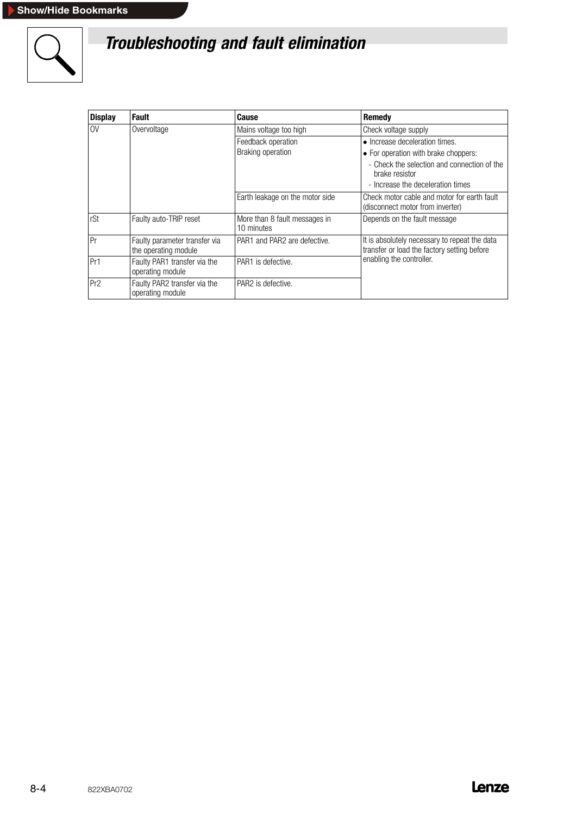![](_page_53_Picture_1.jpeg)

| <b>Display</b>  | <b>Fault</b>                                          | Cause                                       | Remedy                                                                                                                                                                       |
|-----------------|-------------------------------------------------------|---------------------------------------------|------------------------------------------------------------------------------------------------------------------------------------------------------------------------------|
| <b>OV</b>       | Overvoltage                                           | Mains voltage too high                      | Check voltage supply                                                                                                                                                         |
|                 |                                                       | Feedback operation<br>Braking operation     | • Increase deceleration times.<br>• For operation with brake choppers:<br>- Check the selection and connection of the<br>brake resistor<br>- Increase the deceleration times |
|                 |                                                       | Earth leakage on the motor side             | Check motor cable and motor for earth fault<br>(disconnect motor from inverter)                                                                                              |
| rSt             | Faulty auto-TRIP reset                                | More than 8 fault messages in<br>10 minutes | Depends on the fault message                                                                                                                                                 |
| Pr              | Faulty parameter transfer via<br>the operating module | PAR1 and PAR2 are defective.                | It is absolutely necessary to repeat the data<br>transfer or load the factory setting before                                                                                 |
| Pr <sub>1</sub> | Faulty PAR1 transfer via the<br>operating module      | PAR1 is defective.                          | enabling the controller.                                                                                                                                                     |
| Pr <sub>2</sub> | Faulty PAR2 transfer via the<br>operating module      | PAR2 is defective.                          |                                                                                                                                                                              |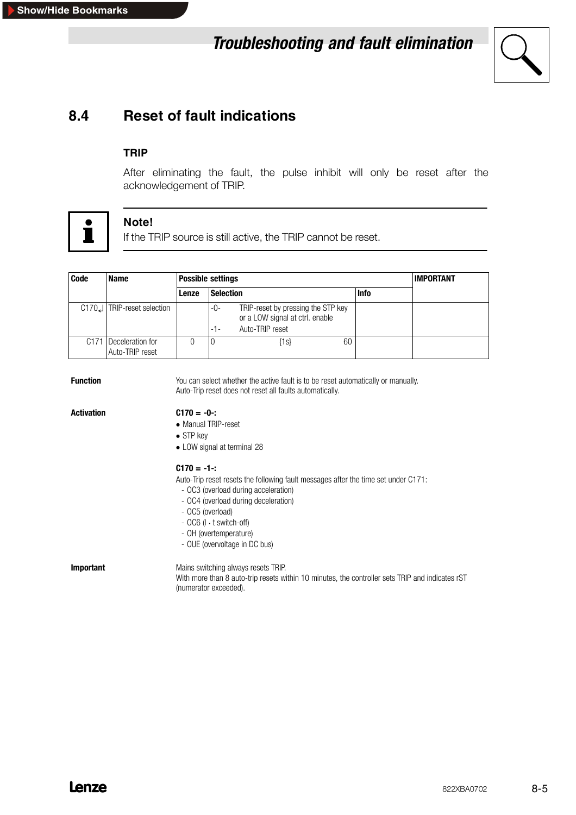![](_page_54_Picture_2.jpeg)

## <span id="page-54-0"></span>**8.4 Reset of fault indications**

### **TRIP**

After eliminating the fault, the pulse inhibit will only be reset after the acknowledgement of TRIP.

![](_page_54_Picture_6.jpeg)

### **Note!**

If the TRIP source is still active, the TRIP cannot be reset.

| <b>Code</b> | <b>Name</b>                              |       | <b>Possible settings</b> |                                                                                          |        | <b>IMPORTANT</b> |
|-------------|------------------------------------------|-------|--------------------------|------------------------------------------------------------------------------------------|--------|------------------|
|             |                                          | Lenze | <b>Selection</b>         |                                                                                          | l Info |                  |
|             | C170 J TRIP-reset selection              |       | -0-<br>-1-               | TRIP-reset by pressing the STP key<br>or a LOW signal at ctrl. enable<br>Auto-TRIP reset |        |                  |
|             | C171 Deceleration for<br>Auto-TRIP reset |       |                          | 60<br>{1s}                                                                               |        |                  |

**Function** You can select whether the active fault is to be reset automatically or manually. Auto-Trip reset does not reset all faults automatically.

### **Activation C170 = -0-:**

- Manual TRIP-reset
- $\bullet$  STP key
- LOW signal at terminal 28

### **C170 = -1-:**

Auto-Trip reset resets the following fault messages after the time set under C171:

- OC3 (overload during acceleration)
- OC4 (overload during deceleration)
- OC5 (overload)
- $-$  OC6 (I  $\cdot$  t switch-off)
- OH (overtemperature)
- OUE (overvoltage in DC bus)

**Important** Mains switching always resets TRIP.

With more than 8 auto-trip resets within 10 minutes, the controller sets TRIP and indicates rST (numerator exceeded).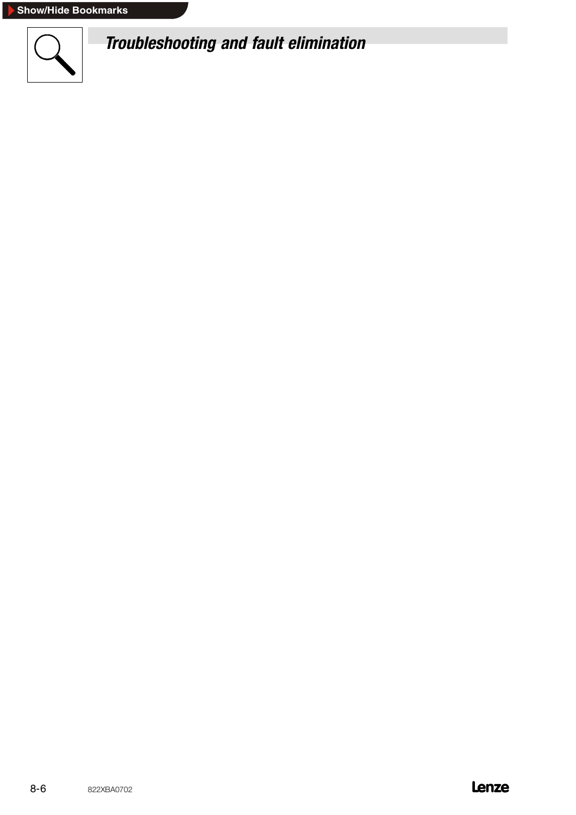![](_page_55_Picture_1.jpeg)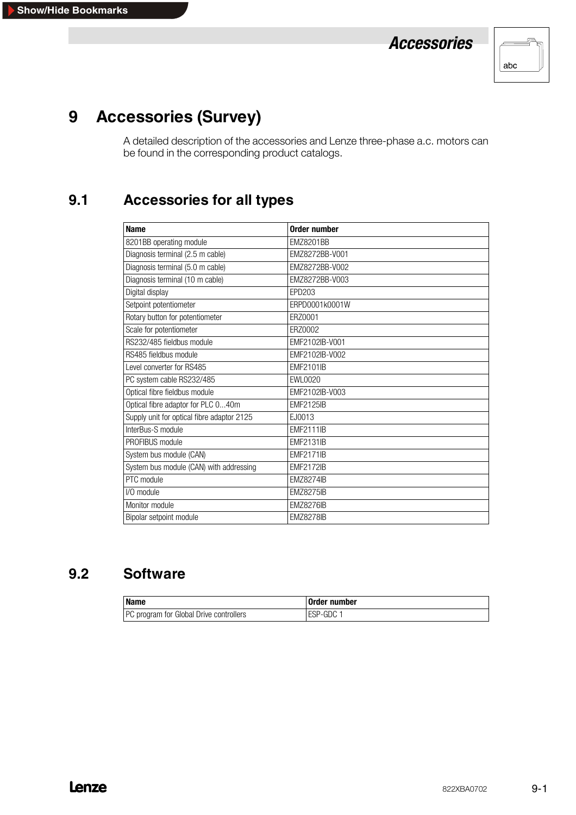![](_page_56_Picture_2.jpeg)

## <span id="page-56-0"></span>**9 Accessories (Survey)**

A detailed description of the accessories and Lenze three-phase a.c. motors can be found in the corresponding product catalogs.

## **9.1 Accessories for all types**

| Name                                       | Order number     |
|--------------------------------------------|------------------|
| 8201BB operating module                    | <b>EMZ8201BB</b> |
| Diagnosis terminal (2.5 m cable)           | EMZ8272BB-V001   |
| Diagnosis terminal (5.0 m cable)           | EMZ8272BB-V002   |
| Diagnosis terminal (10 m cable)            | EMZ8272BB-V003   |
| Digital display                            | <b>EPD203</b>    |
| Setpoint potentiometer                     | ERPD0001k0001W   |
| Rotary button for potentiometer            | ERZ0001          |
| Scale for potentiometer                    | ERZ0002          |
| RS232/485 fieldbus module                  | EMF2102IB-V001   |
| RS485 fieldbus module                      | EMF2102IB-V002   |
| Level converter for RS485                  | <b>EMF2101IB</b> |
| PC system cable RS232/485                  | <b>EWL0020</b>   |
| Optical fibre fieldbus module              | EMF2102IB-V003   |
| Optical fibre adaptor for PLC 040m         | <b>EMF2125IB</b> |
| Supply unit for optical fibre adaptor 2125 | EJ0013           |
| InterBus-S module                          | <b>EMF2111IB</b> |
| PROFIBUS module                            | <b>EMF2131IB</b> |
| System bus module (CAN)                    | <b>EMF2171IB</b> |
| System bus module (CAN) with addressing    | <b>EMF2172IB</b> |
| PTC module                                 | <b>EM78274IB</b> |
| I/O module                                 | <b>EM78275IB</b> |
| Monitor module                             | <b>EM78276IB</b> |
| Bipolar setpoint module                    | <b>EMZ8278IB</b> |

## **9.2 Software**

| <b>Name</b>                             | Order number         |
|-----------------------------------------|----------------------|
| PC program for Global Drive controllers | .′-GDC ′<br>Ωn<br>D٢ |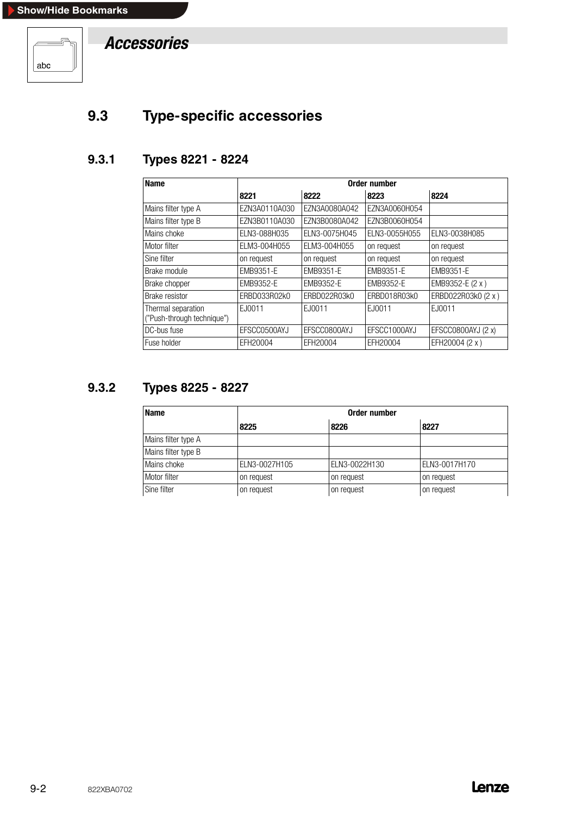<span id="page-57-0"></span>

| $\Rightarrow$<br>ੇ | <b>Accessories</b> |  |
|--------------------|--------------------|--|
|                    |                    |  |
| abc                |                    |  |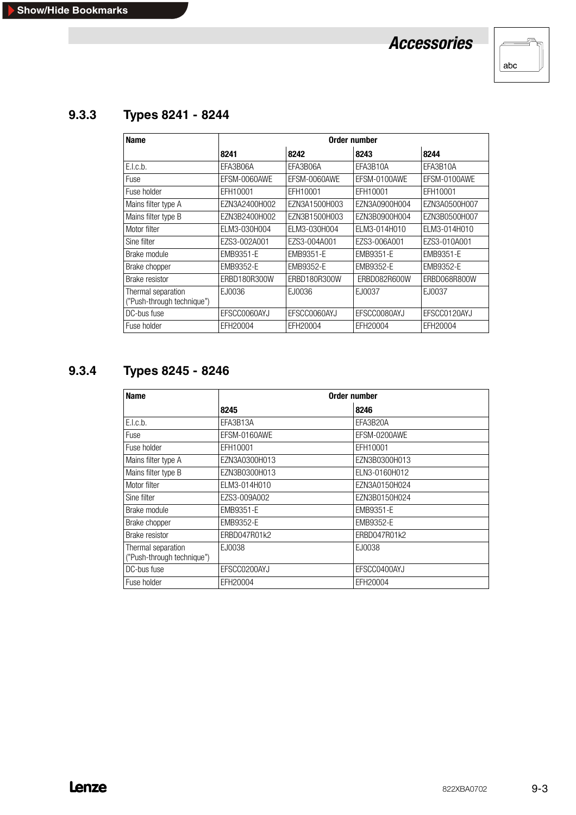$abc$ 

## <span id="page-58-0"></span>**9.3.3 Types 8241 - 8244**

| <b>Name</b>                                      | Order number  |                  |                  |                  |  |  |
|--------------------------------------------------|---------------|------------------|------------------|------------------|--|--|
|                                                  | 8241          | 8242             | 8243             | 8244             |  |  |
| E.I.c.b.                                         | EFA3B06A      | EFA3B06A         | EFA3B10A         | EFA3B10A         |  |  |
| Fuse                                             | EFSM-0060AWE  | EFSM-0060AWE     | EFSM-0100AWE     | EFSM-0100AWE     |  |  |
| Fuse holder                                      | EFH10001      | EFH10001         | EFH10001         | EFH10001         |  |  |
| Mains filter type A                              | FZN3A2400H002 | EZN3A1500H003    | EZN3A0900H004    | EZN3A0500H007    |  |  |
| Mains filter type B                              | FZN3B2400H002 | EZN3B1500H003    | EZN3B0900H004    | EZN3B0500H007    |  |  |
| Motor filter                                     | ELM3-030H004  | ELM3-030H004     | ELM3-014H010     | ELM3-014H010     |  |  |
| Sine filter                                      | FZS3-002A001  | EZS3-004A001     | EZS3-006A001     | EZS3-010A001     |  |  |
| Brake module                                     | EMB9351-E     | EMB9351-E        | EMB9351-E        | <b>EMB9351-E</b> |  |  |
| Brake chopper                                    | EMB9352-E     | <b>EMB9352-E</b> | <b>EMB9352-E</b> | <b>EMB9352-E</b> |  |  |
| Brake resistor                                   | ERBD180R300W  | ERBD180R300W     | ERBD082R600W     | ERBD068R800W     |  |  |
| Thermal separation<br>("Push-through technique") | EJ0036        | EJ0036           | EJ0037           | EJ0037           |  |  |
| DC-bus fuse                                      | EFSCC0060AYJ  | EFSCC0060AYJ     | EFSCC0080AYJ     | EFSCC0120AYJ     |  |  |
| Fuse holder                                      | EFH20004      | EFH20004         | EFH20004         | <b>EFH20004</b>  |  |  |

## **9.3.4 Types 8245 - 8246**

| Name                                             | Order number  |               |  |
|--------------------------------------------------|---------------|---------------|--|
|                                                  | 8245          | 8246          |  |
| E.I.c.b.                                         | EFA3B13A      | EFA3B20A      |  |
| Fuse                                             | FFSM-0160AWE  | EFSM-0200AWE  |  |
| Fuse holder                                      | EFH10001      | EFH10001      |  |
| Mains filter type A                              | EZN3A0300H013 | EZN3B0300H013 |  |
| Mains filter type B                              | FZN3B0300H013 | ELN3-0160H012 |  |
| Motor filter                                     | ELM3-014H010  | EZN3A0150H024 |  |
| Sine filter                                      | EZS3-009A002  | EZN3B0150H024 |  |
| Brake module                                     | EMB9351-E     | EMB9351-E     |  |
| Brake chopper                                    | EMB9352-E     | EMB9352-E     |  |
| <b>Brake resistor</b>                            | ERBD047R01k2  | ERBD047R01k2  |  |
| Thermal separation<br>("Push-through technique") | EJ0038        | EJ0038        |  |
| DC-bus fuse                                      | EFSCC0200AYJ  | EFSCC0400AYJ  |  |
| Fuse holder                                      | EFH20004      | EFH20004      |  |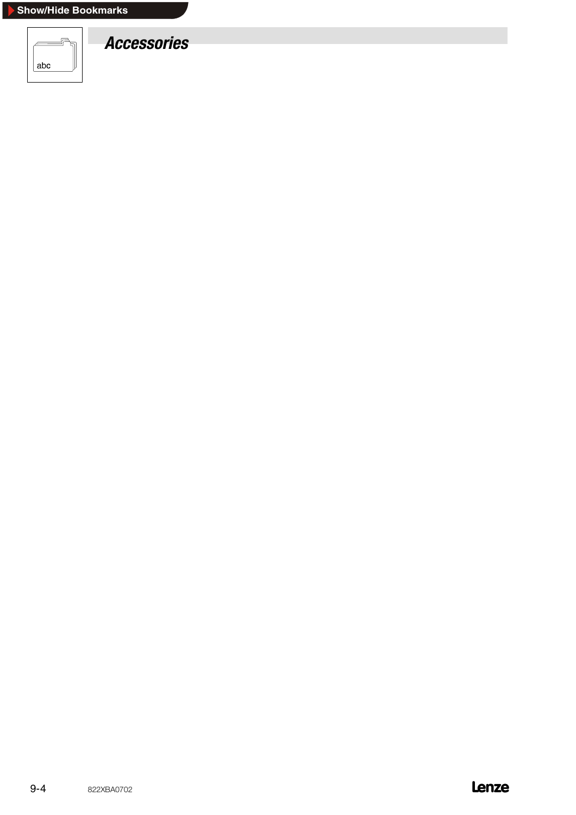![](_page_59_Picture_1.jpeg)

**Accessories**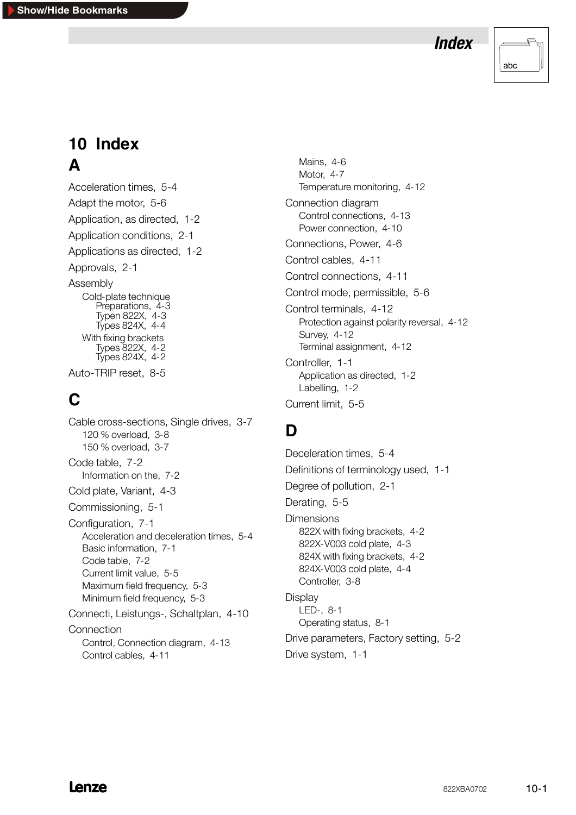![](_page_60_Picture_2.jpeg)

## <span id="page-60-0"></span>10 Index  $\Delta$

Acceleration times. 5-4 Adapt the motor, 5-6 Application, as directed, 1-2 Application conditions, 2-1 Applications as directed, 1-2 Approvals, 2-1 Assembly Cold-plate technique Preparations, 4-3<br>Typen 822X, 4-3<br>Types 824X, 4-4 With fixing brackets Types 822X, 4-2<br>Types 824X, 4-2 Auto-TRIP reset, 8-5

## C

Cable cross-sections, Single drives, 3-7 120 % overload, 3-8 150 % overload, 3-7 Code table, 7-2 Information on the, 7-2 Cold plate, Variant, 4-3 Commissioning, 5-1 Configuration, 7-1 Acceleration and deceleration times, 5-4 Basic information, 7-1 Code table, 7-2 Current limit value, 5-5 Maximum field frequency, 5-3 Minimum field frequency, 5-3 Connecti, Leistungs-, Schaltplan, 4-10 Connection Control, Connection diagram, 4-13

Control cables, 4-11

Mains, 4-6 Motor, 4-7 Temperature monitoring, 4-12 Connection diagram Control connections, 4-13 Power connection, 4-10 Connections, Power, 4-6 Control cables, 4-11 Control connections, 4-11 Control mode, permissible, 5-6 Control terminals, 4-12 Protection against polarity reversal, 4-12 Survey, 4-12 Terminal assignment, 4-12 Controller, 1-1 Application as directed, 1-2 Labelling, 1-2 Current limit, 5-5

## D

Deceleration times, 5-4 Definitions of terminology used, 1-1 Degree of pollution, 2-1 Derating, 5-5 **Dimensions** 822X with fixing brackets, 4-2 822X-V003 cold plate, 4-3 824X with fixing brackets, 4-2 824X-V003 cold plate, 4-4 Controller, 3-8 Display LED-, 8-1 Operating status, 8-1 Drive parameters, Factory setting, 5-2 Drive system, 1-1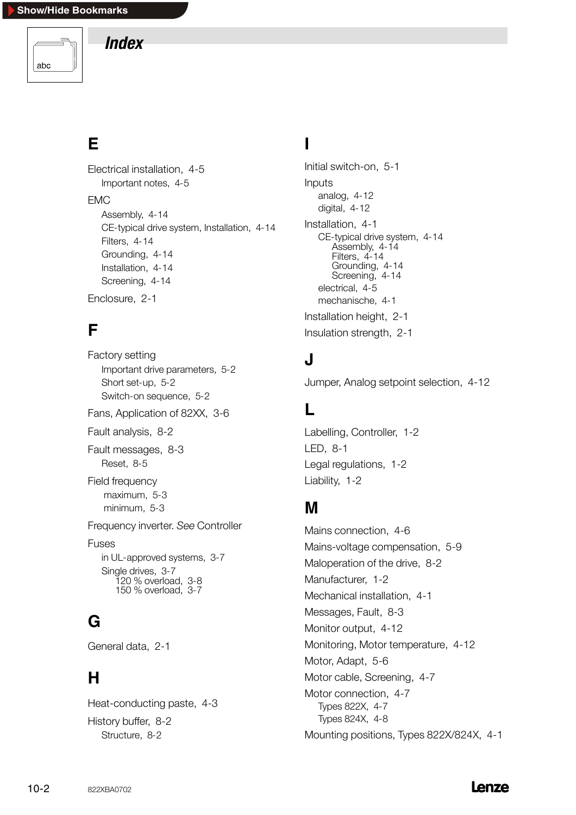![](_page_61_Picture_1.jpeg)

## F

Electrical installation, 4-5 Important notes, 4-5 **FMC** Assembly, 4-14 CE-typical drive system, Installation, 4-14 Filters, 4-14 Grounding, 4-14 Installation, 4-14 Screening, 4-14 Enclosure, 2-1

## F

Factory setting Important drive parameters, 5-2 Short set-up, 5-2 Switch-on sequence, 5-2 Fans, Application of 82XX, 3-6 Fault analysis, 8-2 Fault messages, 8-3 Reset. 8-5 Field frequency maximum, 5-3 minimum, 5-3 Frequency inverter. See Controller **Fuses** in UL-approved systems, 3-7 Single drives, 3-7 120 % overload, 3-8<br>150 % overload, 3-7 G

General data, 2-1

## Н

Heat-conducting paste, 4-3 History buffer, 8-2 Structure, 8-2

## $\mathbf{I}$

Initial switch-on, 5-1 Inputs analog, 4-12 digital, 4-12 Installation, 4-1 CE-typical drive system, 4-14 Assembly,  $4-14$ Filters, 4-14 Grounding, 4-14<br>Screening, 4-14 electrical, 4-5 mechanische, 4-1 Installation height, 2-1 Insulation strength, 2-1

## J

Jumper, Analog setpoint selection, 4-12

## L

Labelling, Controller, 1-2 LED, 8-1 Legal regulations, 1-2 Liability, 1-2

## M

Mains connection, 4-6 Mains-voltage compensation, 5-9 Maloperation of the drive, 8-2 Manufacturer, 1-2 Mechanical installation, 4-1 Messages, Fault, 8-3 Monitor output, 4-12 Monitoring, Motor temperature, 4-12 Motor, Adapt, 5-6 Motor cable, Screening, 4-7 Motor connection, 4-7 Types 822X, 4-7 Types 824X, 4-8 Mounting positions, Types 822X/824X, 4-1

## Lenze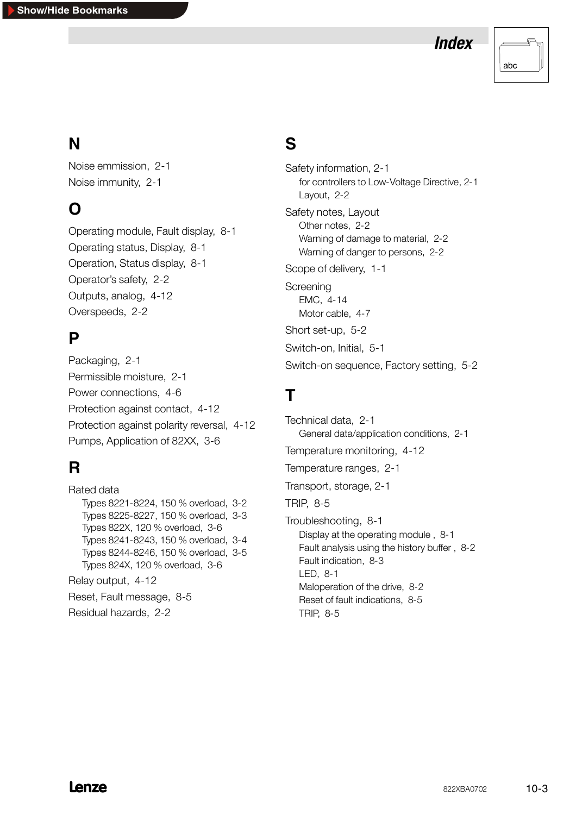![](_page_62_Picture_2.jpeg)

## **N**

Noise emmission, 2-1 Noise immunity, 2-1

## O

Operating module, Fault display, 8-1 Operating status, Display, 8-1 Operation, Status display, 8-1 Operator's safety, 2-2 Outputs, analog, 4-12 Overspeeds, 2-2

## P

Packaging, 2-1 Permissible moisture, 2-1 Power connections, 4-6 Protection against contact, 4-12 Protection against polarity reversal, 4-12 Pumps, Application of 82XX, 3-6

## R

Rated data Types 8221-8224, 150 % overload, 3-2 Types 8225-8227, 150 % overload, 3-3 Types 822X, 120 % overload, 3-6 Types 8241-8243, 150 % overload, 3-4 Types 8244-8246, 150 % overload, 3-5 Types 824X, 120 % overload, 3-6 Relay output, 4-12

Reset, Fault message, 8-5

Residual hazards, 2-2

## S.

Safety information, 2-1 for controllers to Low-Voltage Directive, 2-1 Layout, 2-2 Safety notes, Layout Other notes, 2-2 Warning of damage to material, 2-2 Warning of danger to persons, 2-2 Scope of delivery, 1-1 Screening EMC, 4-14 Motor cable, 4-7 Short set-up, 5-2 Switch-on, Initial, 5-1 Switch-on sequence, Factory setting, 5-2

## Т

Technical data, 2-1 General data/application conditions, 2-1 Temperature monitoring, 4-12 Temperature ranges, 2-1 Transport, storage, 2-1 **TRIP, 8-5** Troubleshooting, 8-1 Display at the operating module, 8-1 Fault analysis using the history buffer, 8-2 Fault indication, 8-3 LED, 8-1 Maloperation of the drive, 8-2 Reset of fault indications, 8-5 TRIP, 8-5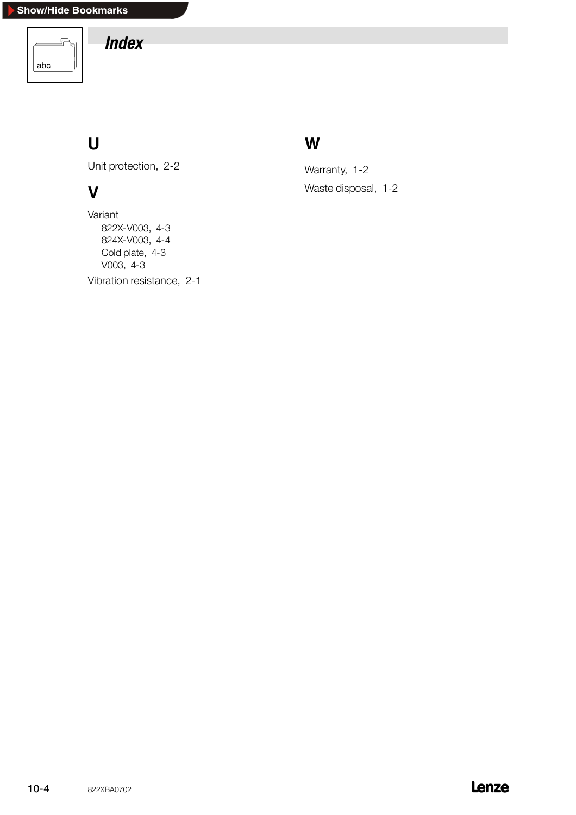![](_page_63_Picture_1.jpeg)

## $\overline{U}$

Unit protection, 2-2

## $\mathbf V$

Variant 822X-V003, 4-3 824X-V003, 4-4 Cold plate, 4-3  $V003, 4-3$ Vibration resistance, 2-1

## W

Warranty, 1-2 Waste disposal, 1-2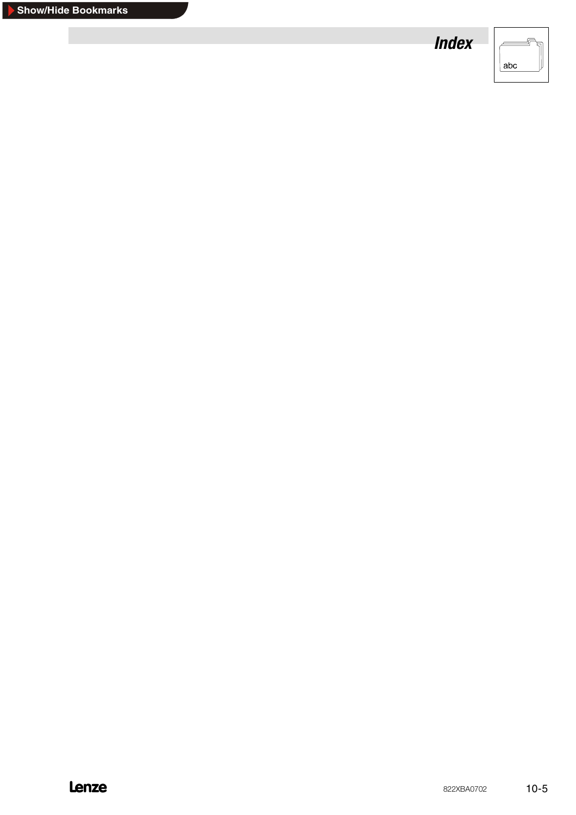| abc |  |
|-----|--|